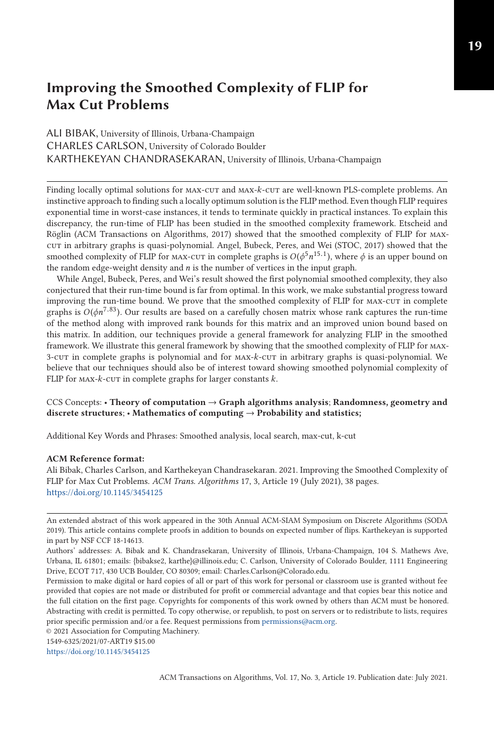## ALI BIBAK, University of Illinois, Urbana-Champaign CHARLES CARLSON, University of Colorado Boulder KARTHEKEYAN CHANDRASEKARAN, University of Illinois, Urbana-Champaign

Finding locally optimal solutions for MAX-CUT and MAX- $k$ -CUT are well-known PLS-complete problems. An instinctive approach to finding such a locally optimum solution is the FLIP method. Even though FLIP requires exponential time in worst-case instances, it tends to terminate quickly in practical instances. To explain this discrepancy, the run-time of FLIP has been studied in the smoothed complexity framework. Etscheid and Röglin (ACM Transactions on Algorithms, 2017) showed that the smoothed complexity of FLIP for maxcut in arbitrary graphs is quasi-polynomial. Angel, Bubeck, Peres, and Wei (STOC, 2017) showed that the smoothed complexity of FLIP for max-cut in complete graphs is  $O(\phi^5 n^{15.1})$ , where  $\phi$  is an upper bound on the random edge-weight density and *n* is the number of vertices in the input graph.

While Angel, Bubeck, Peres, and Wei's result showed the first polynomial smoothed complexity, they also conjectured that their run-time bound is far from optimal. In this work, we make substantial progress toward improving the run-time bound. We prove that the smoothed complexity of FLIP for max-cut in complete graphs is  $O(\phi n^{7.83})$ . Our results are based on a carefully chosen matrix whose rank captures the run-time of the method along with improved rank bounds for this matrix and an improved union bound based on this matrix. In addition, our techniques provide a general framework for analyzing FLIP in the smoothed framework. We illustrate this general framework by showing that the smoothed complexity of FLIP for max-3-cut in complete graphs is polynomial and for max-*k*-cut in arbitrary graphs is quasi-polynomial. We believe that our techniques should also be of interest toward showing smoothed polynomial complexity of FLIP for MAX- $k$ -cut in complete graphs for larger constants  $k$ .

### CCS Concepts: • **Theory of computation** → **Graph algorithms analysis**; **Randomness, geometry and discrete structures**; • **Mathematics of computing** → **Probability and statistics;**

Additional Key Words and Phrases: Smoothed analysis, local search, max-cut, k-cut

### **ACM Reference format:**

Ali Bibak, Charles Carlson, and Karthekeyan Chandrasekaran. 2021. Improving the Smoothed Complexity of FLIP for Max Cut Problems. *ACM Trans. Algorithms* 17, 3, Article 19 (July 2021), 38 pages. <https://doi.org/10.1145/3454125>

1549-6325/2021/07-ART19 \$15.00

<https://doi.org/10.1145/3454125>

An extended abstract of this work appeared in the 30th Annual ACM-SIAM Symposium on Discrete Algorithms (SODA 2019). This article contains complete proofs in addition to bounds on expected number of flips. Karthekeyan is supported in part by NSF CCF 18-14613.

Authors' addresses: A. Bibak and K. Chandrasekaran, University of Illinois, Urbana-Champaign, 104 S. Mathews Ave, Urbana, IL 61801; emails: {bibakse2, karthe}@illinois.edu; C. Carlson, University of Colorado Boulder, 1111 Engineering Drive, ECOT 717, 430 UCB Boulder, CO 80309; email: Charles.Carlson@Colorado.edu.

Permission to make digital or hard copies of all or part of this work for personal or classroom use is granted without fee provided that copies are not made or distributed for profit or commercial advantage and that copies bear this notice and the full citation on the first page. Copyrights for components of this work owned by others than ACM must be honored. Abstracting with credit is permitted. To copy otherwise, or republish, to post on servers or to redistribute to lists, requires prior specific permission and/or a fee. Request permissions from [permissions@acm.org.](mailto:permissions@acm.org)

<sup>© 2021</sup> Association for Computing Machinery.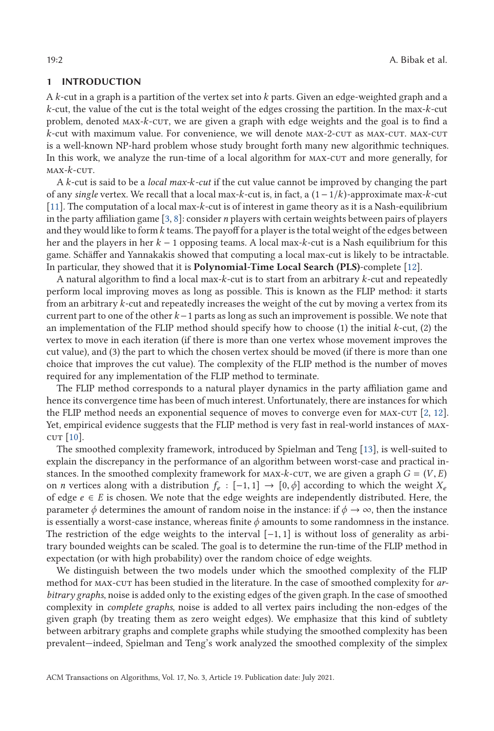### **1 INTRODUCTION**

A *k*-cut in a graph is a partition of the vertex set into *k* parts. Given an edge-weighted graph and a *k*-cut, the value of the cut is the total weight of the edges crossing the partition. In the max-*k*-cut problem, denoted max-*k*-cut, we are given a graph with edge weights and the goal is to find a *k*-cut with maximum value. For convenience, we will denote  $MAX-2$ -cut as  $MAX$ -cut.  $MAX$ -cut is a well-known NP-hard problem whose study brought forth many new algorithmic techniques. In this work, we analyze the run-time of a local algorithm for  $max-cur$  and more generally, for max-*k*-cut.

A *k*-cut is said to be a *local max-k-cut* if the cut value cannot be improved by changing the part of any *single* vertex. We recall that a local max-*k*-cut is, in fact, a (1−1/*k*)-approximate max-*k*-cut [\[11\]](#page-37-0). The computation of a local max-*k*-cut is of interest in game theory as it is a Nash-equilibrium in the party affiliation game [\[3,](#page-37-0) [8\]](#page-37-0): consider *n* players with certain weights between pairs of players and they would like to form*k* teams. The payoff for a player is the total weight of the edges between her and the players in her *k* − 1 opposing teams. A local max-*k*-cut is a Nash equilibrium for this game. Schäffer and Yannakakis showed that computing a local max-cut is likely to be intractable. In particular, they showed that it is **Polynomial-Time Local Search (PLS)**-complete [\[12\]](#page-37-0).

A natural algorithm to find a local max-*k*-cut is to start from an arbitrary *k*-cut and repeatedly perform local improving moves as long as possible. This is known as the FLIP method: it starts from an arbitrary *k*-cut and repeatedly increases the weight of the cut by moving a vertex from its current part to one of the other *k*−1 parts as long as such an improvement is possible. We note that an implementation of the FLIP method should specify how to choose (1) the initial *k*-cut, (2) the vertex to move in each iteration (if there is more than one vertex whose movement improves the cut value), and (3) the part to which the chosen vertex should be moved (if there is more than one choice that improves the cut value). The complexity of the FLIP method is the number of moves required for any implementation of the FLIP method to terminate.

The FLIP method corresponds to a natural player dynamics in the party affiliation game and hence its convergence time has been of much interest. Unfortunately, there are instances for which the FLIP method needs an exponential sequence of moves to converge even for  $MAX-cUT$  [\[2,](#page-37-0) [12\]](#page-37-0). Yet, empirical evidence suggests that the FLIP method is very fast in real-world instances of max- $\text{cut}$  [\[10\]](#page-37-0).

The smoothed complexity framework, introduced by Spielman and Teng [\[13\]](#page-37-0), is well-suited to explain the discrepancy in the performance of an algorithm between worst-case and practical instances. In the smoothed complexity framework for  $\text{MAX-}k$ -cur, we are given a graph  $G = (V, E)$ on *n* vertices along with a distribution  $f_e : [-1, 1] \rightarrow [0, \phi]$  according to which the weight  $X_e$ of edge  $e \in E$  is chosen. We note that the edge weights are independently distributed. Here, the parameter  $\phi$  determines the amount of random noise in the instance: if  $\phi \to \infty$ , then the instance is essentially a worst-case instance, whereas finite  $\phi$  amounts to some randomness in the instance. The restriction of the edge weights to the interval  $[-1, 1]$  is without loss of generality as arbitrary bounded weights can be scaled. The goal is to determine the run-time of the FLIP method in expectation (or with high probability) over the random choice of edge weights.

We distinguish between the two models under which the smoothed complexity of the FLIP method for max-cut has been studied in the literature. In the case of smoothed complexity for *arbitrary graphs*, noise is added only to the existing edges of the given graph. In the case of smoothed complexity in *complete graphs*, noise is added to all vertex pairs including the non-edges of the given graph (by treating them as zero weight edges). We emphasize that this kind of subtlety between arbitrary graphs and complete graphs while studying the smoothed complexity has been prevalent—indeed, Spielman and Teng's work analyzed the smoothed complexity of the simplex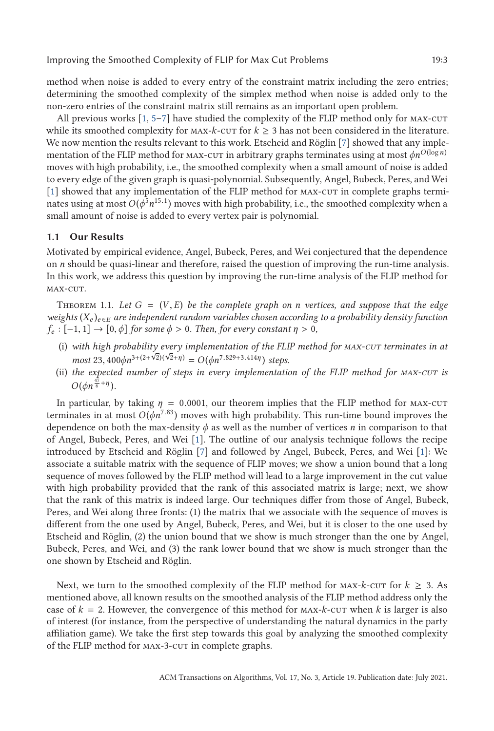<span id="page-2-0"></span>method when noise is added to every entry of the constraint matrix including the zero entries; determining the smoothed complexity of the simplex method when noise is added only to the non-zero entries of the constraint matrix still remains as an important open problem.

All previous works  $\lceil 1, 5-7 \rceil$  have studied the complexity of the FLIP method only for MAX-CUT while its smoothed complexity for  $\text{MAX-}k$ -cut for  $k \geq 3$  has not been considered in the literature. We now mention the results relevant to this work. Etscheid and Röglin [\[7\]](#page-37-0) showed that any implementation of the FLIP method for max-cut in arbitrary graphs terminates using at most  $\phi n^{O(\log n)}$ moves with high probability, i.e., the smoothed complexity when a small amount of noise is added to every edge of the given graph is quasi-polynomial. Subsequently, Angel, Bubeck, Peres, and Wei [\[1\]](#page-37-0) showed that any implementation of the FLIP method for max-cut in complete graphs terminates using at most  $O(\phi^5 n^{15.1})$  moves with high probability, i.e., the smoothed complexity when a small amount of noise is added to every vertex pair is polynomial.

### **1.1 Our Results**

Motivated by empirical evidence, Angel, Bubeck, Peres, and Wei conjectured that the dependence on *n* should be quasi-linear and therefore, raised the question of improving the run-time analysis. In this work, we address this question by improving the run-time analysis of the FLIP method for MAX-CUT.

THEOREM 1.1. Let  $G = (V, E)$  be the complete graph on *n* vertices, and suppose that the edge *weights* (*X<sup>e</sup>* )*<sup>e</sup>* <sup>∈</sup>*<sup>E</sup> are independent random variables chosen according to a probability density function*  $f_e: [-1, 1] \rightarrow [0, \phi]$  *for some*  $\phi > 0$ *. Then, for every constant*  $\eta > 0$ *,* 

- (i) *with high probability every implementation of the FLIP method for max-cut terminates in at* √ *most* 23,  $400\phi n^{3+(2+\sqrt{2})(\sqrt{2}+\eta)} = O(\phi n^{7.829+3.414\eta})$  steps.<br>the expected number of steps in every implementation
- (ii) *the expected number of steps in every implementation of the FLIP method for max-cut is*  $O(\phi n^{\frac{47}{6} + \eta}).$

In particular, by taking  $\eta = 0.0001$ , our theorem implies that the FLIP method for MAX-CUT terminates in at most  $O(\phi n^{7.83})$  moves with high probability. This run-time bound improves the dependence on both the max-density  $\phi$  as well as the number of vertices *n* in comparison to that of Angel, Bubeck, Peres, and Wei [\[1\]](#page-37-0). The outline of our analysis technique follows the recipe introduced by Etscheid and Röglin [\[7\]](#page-37-0) and followed by Angel, Bubeck, Peres, and Wei [\[1\]](#page-37-0): We associate a suitable matrix with the sequence of FLIP moves; we show a union bound that a long sequence of moves followed by the FLIP method will lead to a large improvement in the cut value with high probability provided that the rank of this associated matrix is large; next, we show that the rank of this matrix is indeed large. Our techniques differ from those of Angel, Bubeck, Peres, and Wei along three fronts: (1) the matrix that we associate with the sequence of moves is different from the one used by Angel, Bubeck, Peres, and Wei, but it is closer to the one used by Etscheid and Röglin, (2) the union bound that we show is much stronger than the one by Angel, Bubeck, Peres, and Wei, and (3) the rank lower bound that we show is much stronger than the one shown by Etscheid and Röglin.

Next, we turn to the smoothed complexity of the FLIP method for  $\text{MAX-}k$ -cut for  $k \geq 3$ . As mentioned above, all known results on the smoothed analysis of the FLIP method address only the case of  $k = 2$ . However, the convergence of this method for  $\text{MAX-}k$ -cut when k is larger is also of interest (for instance, from the perspective of understanding the natural dynamics in the party affiliation game). We take the first step towards this goal by analyzing the smoothed complexity of the FLIP method for max-3-cut in complete graphs.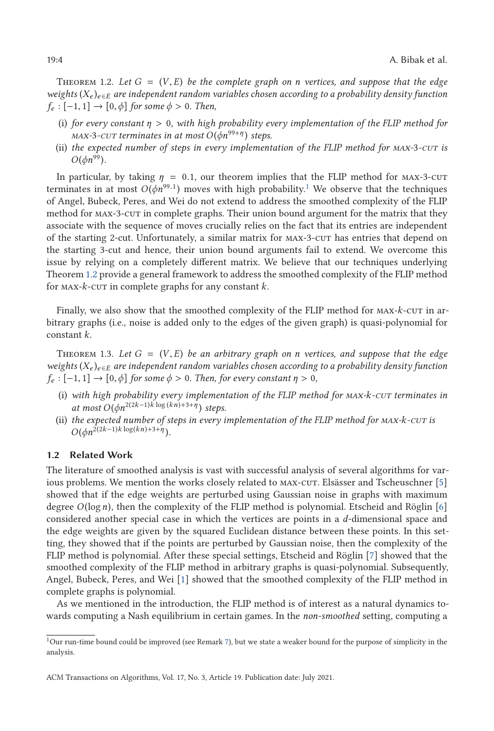<span id="page-3-0"></span>THEOREM 1.2. Let  $G = (V, E)$  be the complete graph on *n* vertices, and suppose that the edge *weights* (*X<sup>e</sup>* )*<sup>e</sup>* <sup>∈</sup>*<sup>E</sup> are independent random variables chosen according to a probability density function*  $f_e: [-1, 1] \rightarrow [0, \phi]$  *for some*  $\phi > 0$ *. Then,* 

- (i) *for every constant <sup>η</sup>* > <sup>0</sup>*, with high probability every implementation of the FLIP method for max-3-cut terminates in at most*  $O(\phi n^{99+\eta})$  *steps.*
- (ii) *the expected number of steps in every implementation of the FLIP method for max-*3*-cut is*  $O(\phi n^{99})$ .

In particular, by taking  $\eta = 0.1$ , our theorem implies that the FLIP method for MAX-3-CUT terminates in at most  $O(\phi n^{99.1})$  moves with high probability.<sup>1</sup> We observe that the techniques of Angel, Bubeck, Peres, and Wei do not extend to address the smoothed complexity of the FLIP method for max-3-cut in complete graphs. Their union bound argument for the matrix that they associate with the sequence of moves crucially relies on the fact that its entries are independent of the starting 2-cut. Unfortunately, a similar matrix for max-3-cut has entries that depend on the starting 3-cut and hence, their union bound arguments fail to extend. We overcome this issue by relying on a completely different matrix. We believe that our techniques underlying Theorem 1.2 provide a general framework to address the smoothed complexity of the FLIP method for max-*k*-cut in complete graphs for any constant *k*.

Finally, we also show that the smoothed complexity of the FLIP method for max-*k*-cut in arbitrary graphs (i.e., noise is added only to the edges of the given graph) is quasi-polynomial for constant *k*.

Theorem 1.3. *Let <sup>G</sup>* <sup>=</sup> (*V*, *<sup>E</sup>*) *be an arbitrary graph on <sup>n</sup> vertices, and suppose that the edge weights* (*X<sup>e</sup>* )*<sup>e</sup>* <sup>∈</sup>*<sup>E</sup> are independent random variables chosen according to a probability density function*  $f_e: [-1, 1] \rightarrow [0, \phi]$  *for some*  $\phi > 0$ *. Then, for every constant*  $\eta > 0$ *,* 

- (i) *with high probability every implementation of the FLIP method for max-k-cut terminates in at most*  $O(\phi n^{2(2k-1)k \log (kn)+3+\eta})$  *steps.*
- (ii) *the expected number of steps in every implementation of the FLIP method for max-k-cut is*  $O(\phi n^{2(2k-1)k \log(kn)+3+\eta}).$

### **1.2 Related Work**

The literature of smoothed analysis is vast with successful analysis of several algorithms for var-ious problems. We mention the works closely related to MAX-CUT. Elsässer and Tscheuschner [\[5\]](#page-37-0) showed that if the edge weights are perturbed using Gaussian noise in graphs with maximum degree *O*(log*n*), then the complexity of the FLIP method is polynomial. Etscheid and Röglin [\[6\]](#page-37-0) considered another special case in which the vertices are points in a *d*-dimensional space and the edge weights are given by the squared Euclidean distance between these points. In this setting, they showed that if the points are perturbed by Gaussian noise, then the complexity of the FLIP method is polynomial. After these special settings, Etscheid and Röglin [\[7\]](#page-37-0) showed that the smoothed complexity of the FLIP method in arbitrary graphs is quasi-polynomial. Subsequently, Angel, Bubeck, Peres, and Wei [\[1\]](#page-37-0) showed that the smoothed complexity of the FLIP method in complete graphs is polynomial.

As we mentioned in the introduction, the FLIP method is of interest as a natural dynamics towards computing a Nash equilibrium in certain games. In the *non-smoothed* setting, computing a

<sup>1</sup>Our run-time bound could be improved (see Remark [7\)](#page-30-0), but we state a weaker bound for the purpose of simplicity in the analysis.

ACM Transactions on Algorithms, Vol. 17, No. 3, Article 19. Publication date: July 2021.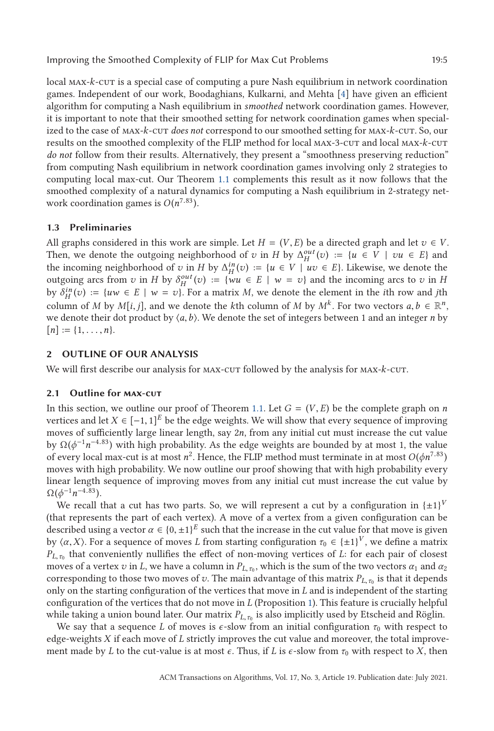local max-*k*-cut is a special case of computing a pure Nash equilibrium in network coordination games. Independent of our work, Boodaghians, Kulkarni, and Mehta [\[4\]](#page-37-0) have given an efficient algorithm for computing a Nash equilibrium in *smoothed* network coordination games. However, it is important to note that their smoothed setting for network coordination games when specialized to the case of max-*k*-cut *does not* correspond to our smoothed setting for max-*k*-cut. So, our results on the smoothed complexity of the FLIP method for local max-3-cut and local max-*k*-cut *do not* follow from their results. Alternatively, they present a "smoothness preserving reduction" from computing Nash equilibrium in network coordination games involving only 2 strategies to computing local max-cut. Our Theorem [1.1](#page-2-0) complements this result as it now follows that the smoothed complexity of a natural dynamics for computing a Nash equilibrium in 2-strategy network coordination games is  $O(n^{7.83})$ .

### **1.3 Preliminaries**

All graphs considered in this work are simple. Let  $H = (V, E)$  be a directed graph and let  $v \in V$ . Then, we denote the outgoing neighborhood of *v* in *H* by  $\Delta_H^{out}(v) := \{u \in V \mid vu \in E\}$  and the incoming neighborhood of *v* in *H* by  $\Delta_H^{in}(v) := \{u \in V \mid uv \in E\}$ . Likewise, we denote the outgoing arcs from *v* in *H* by  $\delta_H^{out}(v) := \{wu \in E \mid w = v\}$  and the incoming arcs to *v* in *H* by  $\delta_H^{in}(v) := \{uw \in E \mid w = v\}$ . For a matrix *M*, we denote the element in the *i*th row and *j*th column of *M* by *M*[*i*, *j*], and we denote the *k*th column of *M* by  $M^k$ . For two vectors  $a, b \in \mathbb{R}^n$ , we denote their dot product by  $\langle a, b \rangle$ . We denote the set of integers between 1 and an integer *n* by  $[n] := \{1, \ldots, n\}.$ 

### **2 OUTLINE OF OUR ANALYSIS**

We will first describe our analysis for MAX-CUT followed by the analysis for MAX- $k$ -CUT.

#### **2.1 Outline for max-cut**

In this section, we outline our proof of Theorem [1.1.](#page-2-0) Let  $G = (V, E)$  be the complete graph on *n* vertices and let *X* ∈  $[-1, 1]$ <sup>E</sup> be the edge weights. We will show that every sequence of improving moves of sufficiently large linear length, say 2*n*, from any initial cut must increase the cut value by Ω(*ϕ*−<sup>1</sup> *n*−4.83) with high probability. As the edge weights are bounded by at most 1, the value of every local max-cut is at most  $n^2$ . Hence, the FLIP method must terminate in at most  $O(\phi n^{7.83})$ moves with high probability. We now outline our proof showing that with high probability every linear length sequence of improving moves from any initial cut must increase the cut value by  $\Omega(\phi^{-1}n^{-4.83}).$ 

We recall that a cut has two parts. So, we will represent a cut by a configuration in  $\{\pm 1\}^V$ (that represents the part of each vertex). A move of a vertex from a given configuration can be described using a vector  $\alpha \in \{0, \pm 1\}^E$  such that the increase in the cut value for that move is given by  $\langle \alpha, X \rangle$ . For a sequence of moves *L* from starting configuration  $\tau_0 \in {\{\pm 1\}}^V$ , we define a matrix  $P_V$ , that conveniently pullifies the effect of non-moving vertices of *L*; for each pair of closest  $P_{L,\tau_0}$  that conveniently nullifies the effect of non-moving vertices of *L*: for each pair of closest moves of a vertex *v* in *L*, we have a column in  $P_{L,\tau_0}$ , which is the sum of the two vectors  $\alpha_1$  and  $\alpha_2$ corresponding to those two moves of *v*. The main advantage of this matrix  $P_{L,\tau_0}$  is that it depends only on the starting configuration of the vertices that move in *L* and is independent of the starting configuration of the vertices that do not move in *L* (Proposition [1\)](#page-8-0). This feature is crucially helpful while taking a union bound later. Our matrix *P<sub>L, τ<sub>0</sub>*</sub> is also implicitly used by Etscheid and Röglin.

We say that a sequence *L* of moves is  $\epsilon$ -slow from an initial configuration  $\tau_0$  with respect to edge-weights *X* if each move of *L* strictly improves the cut value and moreover, the total improvement made by *L* to the cut-value is at most  $\epsilon$ . Thus, if *L* is  $\epsilon$ -slow from  $\tau_0$  with respect to *X*, then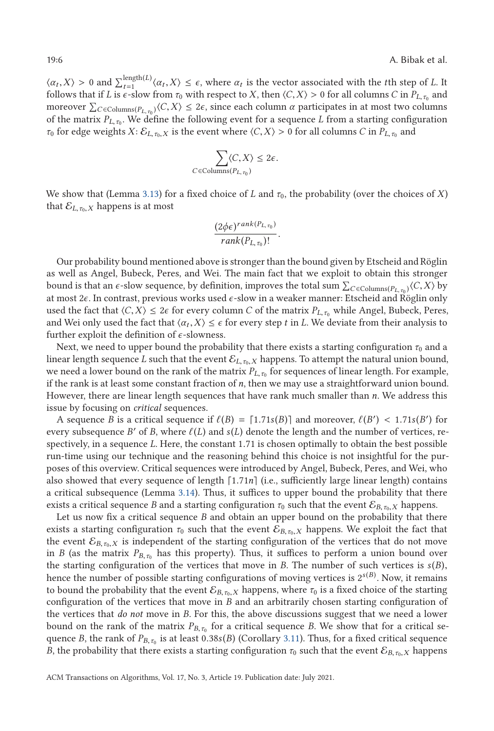$\langle \alpha_t, X \rangle > 0$  and  $\sum_{t=1}^{\text{length}(L)} \langle \alpha_t, X \rangle \leq \epsilon$ , where  $\alpha_t$  is the vector associated with the *t*th step of *L*. It follows that if *L* is  $\epsilon$ -glow from  $\tau_0$  with respect to *X* then  $\langle C|X \rangle > 0$  for all columns  $C$ follows that if *L* is  $\epsilon$ -slow from  $\tau_0$  with respect to *X*, then  $\langle C, X \rangle > 0$  for all columns *C* in  $P_{L, \tau_0}$  and moreover  $\sum_{C \in \text{Columns}(P_{L,\tau_0})} \langle C, X \rangle \leq 2\epsilon$ , since each column *α* participates in at most two columns of the matrix  $P_{\epsilon}$ . We define the following event for a sequence I from a starting configuration of the matrix  $P_{L,\tau_0}$ . We define the following event for a sequence *L* from a starting configuration *τ*<sub>0</sub> for edge weights *X*:  $\mathcal{E}_{L,\tau_0,X}$  is the event where  $\langle C,X \rangle > 0$  for all columns *C* in  $P_{L,\tau_0}$  and

$$
\sum_{C \in \text{Columns}(P_{L, \tau_0})} \langle C, X \rangle \leq 2\epsilon.
$$

We show that (Lemma [3.13\)](#page-14-0) for a fixed choice of *L* and  $\tau_0$ , the probability (over the choices of *X*) that  $\mathcal{E}_{L,\tau_0,X}$  happens is at most

$$
\frac{(2\phi\epsilon)^{rank(P_{L,\tau_0})}}{rank(P_{L,\tau_0})!}.
$$

Our probability bound mentioned above is stronger than the bound given by Etscheid and Röglin as well as Angel, Bubeck, Peres, and Wei. The main fact that we exploit to obtain this stronger bound is that an  $\epsilon$ -slow sequence, by definition, improves the total sum  $\sum_{C \in \text{Columns}(P_{L, \tau_0})} \langle C, X \rangle$  by at most 26. In contrast, previous works used  $\epsilon$ -slow in a weaker manner; Etchaid and Pöglin only at most 2*ϵ*. In contrast, previous works used *ϵ*-slow in a weaker manner: Etscheid and Röglin only used the fact that  $\langle C, X \rangle \leq 2\epsilon$  for every column *C* of the matrix  $P_{L, \tau_0}$  while Angel, Bubeck, Peres, and Wei only used the fact that  $\langle \alpha_t, X \rangle \leq \epsilon$  for every step *t* in *L*. We deviate from their analysis to further exploit the definition of *ϵ*-slowness.

Next, we need to upper bound the probability that there exists a starting configuration  $\tau_0$  and a linear length sequence *L* such that the event  $\mathcal{E}_{L,\tau_0,X}$  happens. To attempt the natural union bound, we need a lower bound on the rank of the matrix  $P_{L, \tau_0}$  for sequences of linear length. For example, if the rank is at least some constant fraction of *n*, then we may use a straightforward union bound. However, there are linear length sequences that have rank much smaller than *n*. We address this issue by focusing on *critical* sequences.

A sequence *B* is a critical sequence if  $\ell(B) = [1.71s(B)]$  and moreover,  $\ell(B') < 1.71s(B')$  for ery subsequence *B'* of *B* where  $\ell(I)$  and  $s(I)$  denote the length and the number of vertices reevery subsequence *B'* of *B*, where  $\ell(L)$  and  $s(L)$  denote the length and the number of vertices, respectively, in a sequence *<sup>L</sup>*. Here, the constant 1.71 is chosen optimally to obtain the best possible run-time using our technique and the reasoning behind this choice is not insightful for the purposes of this overview. Critical sequences were introduced by Angel, Bubeck, Peres, and Wei, who also showed that every sequence of length  $[1.71n]$  (i.e., sufficiently large linear length) contains<br>a critical subsequence (Lemma 3.14). Thus, it suffices to unner bound the probability that there a critical subsequence (Lemma [3.14\)](#page-15-0). Thus, it suffices to upper bound the probability that there exists a critical sequence *B* and a starting configuration  $\tau_0$  such that the event  $\mathcal{E}_{B,\tau_0,X}$  happens.

Let us now fix a critical sequence *B* and obtain an upper bound on the probability that there exists a starting configuration  $\tau_0$  such that the event  $\mathcal{E}_{B,\tau_0,X}$  happens. We exploit the fact that the event  $\mathcal{E}_{B,\tau_0,X}$  is independent of the starting configuration of the vertices that do not move in *B* (as the matrix  $P_{B,\tau_0}$  has this property). Thus, it suffices to perform a union bound over the starting configuration of the vertices that move in *B*. The number of such vertices is  $s(B)$ , hence the number of possible starting configurations of moving vertices is 2<sup>s(B)</sup>. Now, it remains to bound the probability that the event  $\mathcal{E}_{B,\tau_0,X}$  happens, where  $\tau_0$  is a fixed choice of the starting configuration of the vertices that move in *B* and an arbitrarily chosen starting configuration of the vertices that *do not* move in *B*. For this, the above discussions suggest that we need a lower bound on the rank of the matrix  $P_{B,\tau_0}$  for a critical sequence *B*. We show that for a critical sequence *B*, the rank of  $P_{B,\tau_0}$  is at least 0.38*s*(*B*) (Corollary [3.11\)](#page-12-0). Thus, for a fixed critical sequence *B*, the probability that there exists a starting configuration  $\tau_0$  such that the event  $\mathcal{E}_{B,\tau_0,X}$  happens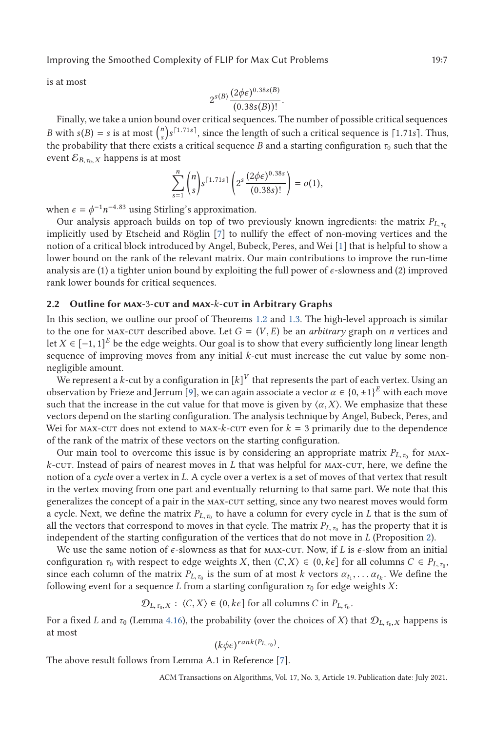is at most

$$
2^{s(B)} \frac{(2\phi\epsilon)^{0.38s(B)}}{(0.38s(B))!}
$$
.

(0.38*s*(*B*))! . Finally, we take a union bound over critical sequences. The number of possible critical sequences *B* with  $s(B) = s$  is at most  $\binom{n}{s} s^{[1.71s]}$ , since the length of such a critical sequence is [1.71*s*]. Thus, the probability that there exists a critical sequence *B* and a starting configuration  $\tau$ , such that the the probability that there exists a critical sequence *B* and a starting configuration  $\tau_0$  such that the event  $\mathcal{E}_{B, \tau_0, X}$  happens is at most

$$
\sum_{s=1}^{n} {n \choose s} s^{\lceil 1.71s \rceil} \left( 2^s \frac{(2\phi \epsilon)^{0.38s}}{(0.38s)!} \right) = o(1),
$$

when  $\epsilon = \phi^{-1} n^{-4.83}$  using Stirling's approximation.

Our analysis approach builds on top of two previously known ingredients: the matrix  $P_{L,\tau_0}$ implicitly used by Etscheid and Röglin [\[7\]](#page-37-0) to nullify the effect of non-moving vertices and the notion of a critical block introduced by Angel, Bubeck, Peres, and Wei [\[1\]](#page-37-0) that is helpful to show a lower bound on the rank of the relevant matrix. Our main contributions to improve the run-time analysis are (1) a tighter union bound by exploiting the full power of  $\epsilon$ -slowness and (2) improved rank lower bounds for critical sequences.

### **2.2 Outline for max-**3**-cut and max-***k***-cut in Arbitrary Graphs**

In this section, we outline our proof of Theorems [1.2](#page-3-0) and [1.3.](#page-3-0) The high-level approach is similar to the one for MAX-CUT described above. Let  $G = (V, E)$  be an *arbitrary* graph on *n* vertices and let *X* ∈ [−1, 1]<sup>E</sup> be the edge weights. Our goal is to show that every sufficiently long linear length sequence of improving moves from any initial *k*-cut must increase the cut value by some nonnegligible amount.

We represent a  $k$ -cut by a configuration in  $[k]^V$  that represents the part of each vertex. Using an observation by Frieze and Jerrum [\[9\]](#page-37-0), we can again associate a vector  $\alpha \in \{0, \pm 1\}^E$  with each move such that the increase in the cut value for that move is given by  $\langle \alpha, X \rangle$ . We emphasize that these vectors depend on the starting configuration. The analysis technique by Angel, Bubeck, Peres, and Wei for MAX-cut does not extend to MAX- $k$ -cut even for  $k = 3$  primarily due to the dependence of the rank of the matrix of these vectors on the starting configuration.

Our main tool to overcome this issue is by considering an appropriate matrix  $P_{L,\tau_0}$  for max*k*-cut. Instead of pairs of nearest moves in *L* that was helpful for max-cut, here, we define the notion of a *cycle* over a vertex in *L*. A cycle over a vertex is a set of moves of that vertex that result in the vertex moving from one part and eventually returning to that same part. We note that this generalizes the concept of a pair in the MAX-CUT setting, since any two nearest moves would form a cycle. Next, we define the matrix  $P_{L,\tau_0}$  to have a column for every cycle in *L* that is the sum of all the vectors that correspond to moves in that cycle. The matrix  $P_{L,\tau_0}$  has the property that it is independent of the starting configuration of the vertices that do not move in *L* (Proposition [2\)](#page-21-0).

We use the same notion of *ε*-slowness as that for MAX-CUT. Now, if *L* is *ε*-slow from an initial configuration  $\tau_0$  with respect to edge weights *X*, then  $\langle C, X \rangle \in (0, k\epsilon]$  for all columns  $C \in P_{L, \tau_0}$ , since each column of the matrix  $P_{L,\tau_0}$  is the sum of at most *k* vectors  $\alpha_{t_1}, \ldots, \alpha_{t_k}$ . We define the following event for a sequence *L* from a starting configuration  $\tau_0$  for edge weights *X*:

 $\mathcal{D}_{L,\tau_0,X}$ :  $\langle C,X\rangle \in (0,k\epsilon]$  for all columns *C* in  $P_{L,\tau_0}$ .

For a fixed *L* and  $\tau_0$  (Lemma [4.16\)](#page-29-0), the probability (over the choices of *X*) that  $\mathcal{D}_{L,\tau_0,X}$  happens is at most

$$
(k\phi\epsilon)^{rank(P_{L,\tau_0})}
$$

. The above result follows from Lemma A.1 in Reference [\[7\]](#page-37-0).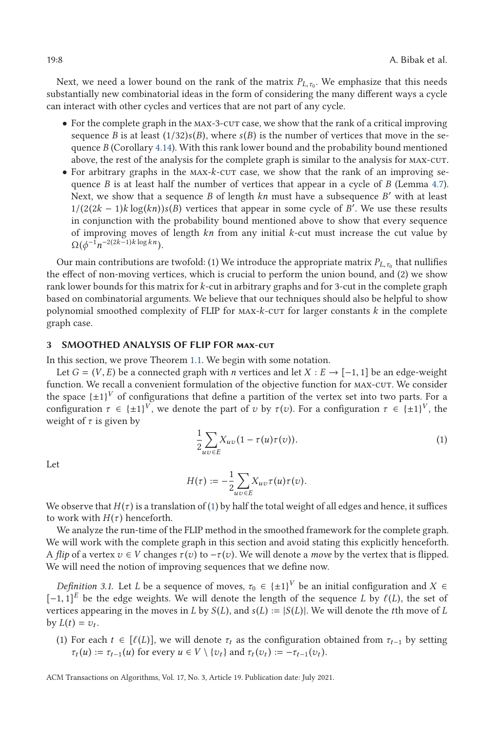<span id="page-7-0"></span>Next, we need a lower bound on the rank of the matrix  $P_{L,\tau_0}$ . We emphasize that this needs substantially new combinatorial ideas in the form of considering the many different ways a cycle can interact with other cycles and vertices that are not part of any cycle.

- For the complete graph in the MAX-3-CUT case, we show that the rank of a critical improving sequence *B* is at least  $(1/32)s(B)$ , where  $s(B)$  is the number of vertices that move in the sequence *B* (Corollary [4.14\)](#page-28-0). With this rank lower bound and the probability bound mentioned above, the rest of the analysis for the complete graph is similar to the analysis for MAX-CUT.
- For arbitrary graphs in the max-*k*-cut case, we show that the rank of an improving sequence *B* is at least half the number of vertices that appear in a cycle of *B* (Lemma [4.7\)](#page-23-0). Next, we show that a sequence  $B$  of length  $kn$  must have a subsequence  $B'$  with at least  $1/(2(2k-1)k \log(kn))s(B)$  vertices that appear in some cycle of *B*<sup>7</sup>. We use these results in conjunction with the probability bound mentioned above to show that every sequence in conjunction with the probability bound mentioned above to show that every sequence of improving moves of length *kn* from any initial *k*-cut must increase the cut value by  $\Omega(\phi^{-1}n^{-2(2k-1)k\log kn}).$

Our main contributions are twofold: (1) We introduce the appropriate matrix  $P_{L,\tau_0}$  that nullifies the effect of non-moving vertices, which is crucial to perform the union bound, and (2) we show rank lower bounds for this matrix for *k*-cut in arbitrary graphs and for 3-cut in the complete graph based on combinatorial arguments. We believe that our techniques should also be helpful to show polynomial smoothed complexity of FLIP for max-*k*-cut for larger constants *k* in the complete graph case.

### **3 SMOOTHED ANALYSIS OF FLIP FOR max-cut**

In this section, we prove Theorem [1.1.](#page-2-0) We begin with some notation.

Let  $G = (V, E)$  be a connected graph with *n* vertices and let  $X : E \rightarrow [-1, 1]$  be an edge-weight function. We recall a convenient formulation of the objective function for max-cut. We consider the space  $\{\pm 1\}^V$  of configurations that define a partition of the vertex set into two parts. For a configuration  $\tau \in \{\pm 1\}^V$ , we denote the part of *v* by  $\tau(v)$ . For a configuration  $\tau \in \{\pm 1\}^V$ , the weight of *τ* is given by

$$
\frac{1}{2} \sum_{uv \in E} X_{uv} (1 - \tau(u)\tau(v)). \tag{1}
$$

Let

$$
H(\tau):=-\frac{1}{2}\underset{uv\in E}{\sum}X_{uv}\tau(u)\tau(v).
$$

We observe that  $H(\tau)$  is a translation of (1) by half the total weight of all edges and hence, it suffices to work with  $H(\tau)$  henceforth.

We analyze the run-time of the FLIP method in the smoothed framework for the complete graph. We will work with the complete graph in this section and avoid stating this explicitly henceforth. A *flip* of a vertex  $v \in V$  changes  $\tau(v)$  to  $-\tau(v)$ . We will denote a *move* by the vertex that is flipped. We will need the notion of improving sequences that we define now.

*Definition 3.1.* Let *L* be a sequence of moves,  $\tau_0 \in {\pm 1}^V$  be an initial configuration and  $X \in$  $[-1, 1]^E$  be the edge weights. We will denote the length of the sequence *L* by  $\ell(L)$ , the set of  $\ell$ vertices appearing in the moves in *L* by  $S(L)$ , and  $s(L) := |S(L)|$ . We will denote the *t*th move of *L* by  $L(t) = v_t$ .

(1) For each  $t \in [\ell(L)]$ , we will denote  $\tau_t$  as the configuration obtained from  $\tau_{t-1}$  by setting  $\tau_t(u) = \tau_{t-1}(u)$  for every  $u \in V \setminus \{v_1\}$  and  $\tau_t(x) = -\tau_{t-1}(x)$ .  $\tau_t(u) := \tau_{t-1}(u)$  for every  $u \in V \setminus \{v_t\}$  and  $\tau_t(v_t) := -\tau_{t-1}(v_t)$ .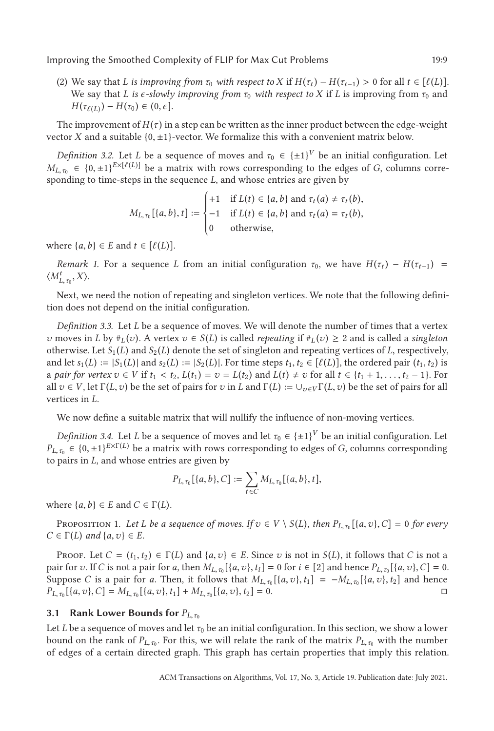<span id="page-8-0"></span>(2) We say that *L* is improving from  $\tau_0$  with respect to *X* if  $H(\tau_t) - H(\tau_{t-1}) > 0$  for all  $t \in [\ell(L)]$ .<br>We say that *L* is e-slowly improving from  $\tau_0$  with respect to *X* if *L* is improving from  $\tau_0$  and We say that *L* is  $\epsilon$ -slowly improving from  $\tau_0$  with respect to X if *L* is improving from  $\tau_0$  and *H*( $\tau_{\ell(L)}$ ) – *H*( $\tau_0$ ) ∈ (0,  $\epsilon$ ].

The improvement of  $H(\tau)$  in a step can be written as the inner product between the edge-weight vector *X* and a suitable  ${0, \pm 1}$ -vector. We formalize this with a convenient matrix below.

*Definition 3.2.* Let *L* be a sequence of moves and  $\tau_0 \in {\pm 1}^V$  be an initial configuration. Let  $M_{L,\tau_0} \in \{0, \pm 1\}^{E \times [\ell(L)]}$  be a matrix with rows corresponding to the edges of *G*, columns corresponding to time-steps in the sequence *L* and whose entries are given by sponding to time-steps in the sequence *L*, and whose entries are given by

$$
M_{L,\tau_0}[\{a,b\},t] := \begin{cases} +1 & \text{if } L(t) \in \{a,b\} \text{ and } \tau_t(a) \neq \tau_t(b), \\ -1 & \text{if } L(t) \in \{a,b\} \text{ and } \tau_t(a) = \tau_t(b), \\ 0 & \text{otherwise,} \end{cases}
$$

where  $\{a, b\} \in E$  and  $t \in [\ell(L)]$ .

*Remark 1.* For a sequence *L* from an initial configuration  $\tau_0$ , we have  $H(\tau_t) - H(\tau_{t-1}) =$  $\langle M^t_{L,\tau_0}, X \rangle$ .

Next, we need the notion of repeating and singleton vertices. We note that the following definition does not depend on the initial configuration.

*Definition 3.3.* Let *L* be a sequence of moves. We will denote the number of times that a vertex *v* moves in *L* by  $\#_L(v)$ . A vertex  $v \in S(L)$  is called *repeating* if  $\#_L(v) \geq 2$  and is called a *singleton* otherwise. Let  $S_1(L)$  and  $S_2(L)$  denote the set of singleton and repeating vertices of *L*, respectively, and let  $s_1(L) := |S_1(L)|$  and  $s_2(L) := |S_2(L)|$ . For time steps  $t_1, t_2 \in [\ell(L)]$ , the ordered pair  $(t_1, t_2)$  is<br>a pair for vertex  $v \in V$  if  $t_1 \le t_2$ ,  $I(t_1) = v_1 - I(t_2)$  and  $I(t_1) \ne v_1$  for all  $t \in \{t_1 + 1, t_2 - 1\}$ . For a *pair for vertex*  $v \in V$  if  $t_1 < t_2$ ,  $L(t_1) = v = L(t_2)$  and  $L(t) \neq v$  for all  $t \in \{t_1 + 1, \ldots, t_2 - 1\}$ . For all  $v \in V$  let  $\Gamma(I, v)$  be the set of pairs for z*i* in *L* and  $\Gamma(I) := \prod_{v \in V} \Gamma(I, v)$  be the set of pairs for all  $v \in V$ , let  $\Gamma(L, v)$  be the set of pairs for *v* in *L* and  $\Gamma(L) := \cup_{v \in V} \Gamma(L, v)$  be the set of pairs for all vertices in *L*.

We now define a suitable matrix that will nullify the influence of non-moving vertices.

*Definition 3.4.* Let *L* be a sequence of moves and let  $\tau_0 \in \{ \pm 1 \}^V$  be an initial configuration. Let  $P_{L,\tau_0}$  ∈ {0, ±1}<sup>*E*×Γ(*L*) be a matrix with rows corresponding to edges of *G*, columns corresponding</sup> to pairs in *L*, and whose entries are given by

$$
P_{L,\tau_0}[\{a,b\},C]:=\sum_{t\in C}M_{L,\tau_0}[\{a,b\},t],
$$

where  $\{a, b\} \in E$  and  $C \in \Gamma(L)$ .

PROPOSITION 1. Let *L* be a sequence of moves. If  $v \in V \setminus S(L)$ , then  $P_{L,\tau_0}[\{a, v\}, C] = 0$  for every  $C \in \Gamma(L)$  *and*  $\{a, v\} \in E$ *.* 

PROOF. Let  $C = (t_1, t_2) \in \Gamma(L)$  and  $\{a, v\} \in E$ . Since *v* is not in  $S(L)$ , it follows that *C* is not a pair for v. If C is not a pair for a, then  $M_{L, \tau_0}[\{a, v\}, t_i] = 0$  for  $i \in [2]$  and hence  $P_{L, \tau_0}[\{a, v\}, C] = 0$ . Suppose *C* is a pair for *a*. Then, it follows that  $M_{L, \tau_0}[\{a, v\}, t_1] = -M_{L, \tau_0}[\{a, v\}, t_2]$  and hence  $P_{L, \tau_0}[\{a, v\}, t] = M_{L, \tau_0}[\{a, v\}, t_1] + M_{L, \tau_0}[\{a, v\}, t_2] = 0$  $P_{L, \tau_0} [\{a, v\}, C] = M_{L, \tau_0} [\{a, v\}, t_1] + M_{L, \tau_0} [\{a, v\}, t_2] = 0.$ 

### **3.1 Rank Lower Bounds for**  $P_{L,\tau_0}$

Let *L* be a sequence of moves and let  $\tau_0$  be an initial configuration. In this section, we show a lower bound on the rank of  $P_{L,\tau_0}$ . For this, we will relate the rank of the matrix  $P_{L,\tau_0}$  with the number of edges of a certain directed graph. This graph has certain properties that imply this relation.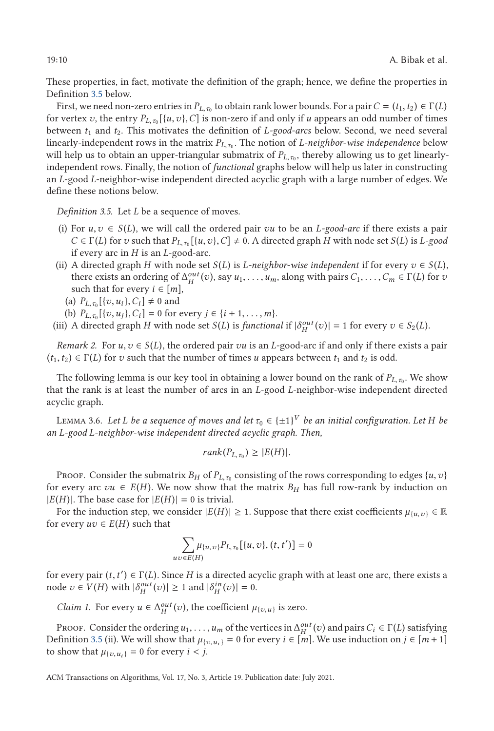These properties, in fact, motivate the definition of the graph; hence, we define the properties in Definition 3.5 below.

First, we need non-zero entries in  $P_{L,\tau_0}$  to obtain rank lower bounds. For a pair  $C = (t_1, t_2) \in \Gamma(L)$ for vertex *v*, the entry  $P_{L,\tau_0}[\{u,v\},C]$  is non-zero if and only if *u* appears an odd number of times between *t*<sup>1</sup> and *t*2. This motivates the definition of *L-good-arcs* below. Second, we need several linearly-independent rows in the matrix  $P_{L,\tau_0}$ . The notion of *L-neighbor-wise independence* below will help us to obtain an upper-triangular submatrix of  $P_{L, \tau_0}$ , thereby allowing us to get linearlyindependent rows. Finally, the notion of *functional* graphs below will help us later in constructing an *L*-good *L*-neighbor-wise independent directed acyclic graph with a large number of edges. We define these notions below.

*Definition 3.5.* Let *L* be a sequence of moves.

- (i) For  $u, v \in S(L)$ , we will call the ordered pair *vu* to be an *L*-good-arc if there exists a pair  $C \in \Gamma(L)$  for *v* such that  $P_{L, \tau_0}[\{u, v\}, C] \neq 0$ . A directed graph *H* with node set *S*(*L*) is *L*-good if every arc in *H* is an *L*-good-arc if every arc in *H* is an *L*-good-arc.
- (ii) A directed graph *H* with node set  $S(L)$  is *L*-neighbor-wise independent if for every  $v \in S(L)$ , there exists an ordering of  $\Delta_H^{out}(v)$ , say  $u_1, \ldots, u_m$ , along with pairs  $C_1, \ldots, C_m \in \Gamma(L)$  for *v* such that for every  $i \in [m]$ such that for every  $i \in [m]$ ,

(a) 
$$
P_{L, \tau_0}[\{v, u_i\}, C_i] \neq 0
$$
 and  
(b)  $P_{\tau_0}[\{v, u_i\}, C_i] = 0$  for

- (b)  $P_{L,\tau_0}[\{v, u_j\}, C_i] = 0$  for every  $j \in \{i + 1, \ldots, m\}$ .<br>A directed graph H with node set  $S(I)$  is functions
- (iii) A directed graph *H* with node set *S*(*L*) is *functional* if  $|\delta_H^{out}(v)| = 1$  for every  $v \in S_2(L)$ .

*Remark 2.* For  $u, v \in S(L)$ , the ordered pair *vu* is an *L*-good-arc if and only if there exists a pair  $(t_1, t_2) \in \Gamma(L)$  for *v* such that the number of times *u* appears between  $t_1$  and  $t_2$  is odd.

The following lemma is our key tool in obtaining a lower bound on the rank of  $P_{L,\tau_0}$ . We show that the rank is at least the number of arcs in an *L*-good *L*-neighbor-wise independent directed acyclic graph.

LEMMA 3.6. *Let L be a sequence of moves and let*  $\tau_0 \in \{\pm 1\}^V$  *be an initial configuration. Let H be an L-good L-neighbor-wise independent directed acyclic graph. Then,*

$$
rank(P_{L,\tau_0}) \geq |E(H)|.
$$

Proof. Consider the submatrix  $B_H$  of  $P_{L,\tau_0}$  consisting of the rows corresponding to edges  $\{u,v\}$ for every arc  $vu \in E(H)$ . We now show that the matrix  $B_H$  has full row-rank by induction on  $|E(H)|$ . The base case for  $|E(H)| = 0$  is trivial.

For the induction step, we consider  $|E(H)| \geq 1$ . Suppose that there exist coefficients  $\mu_{\{u,v\}} \in \mathbb{R}$ for every  $uv \in E(H)$  such that

$$
\sum_{uv \in E(H)} \mu_{\{u,v\}} P_{L,\tau_0} [\{u,v\}, (t,t')] = 0
$$

for every pair  $(t, t') \in \Gamma(L)$ . Since *H* is a directed acyclic graph with at least one arc, there exists a node  $v \in V(H)$  with  $|\delta^{out}(v)| \ge 1$  and  $|\delta^{in}(v)| = 0$ node  $v \in V(H)$  with  $|\delta_H^{out}(v)| \ge 1$  and  $|\delta_H^{in}(v)| = 0$ .

*Claim 1.* For every  $u \in \Delta_H^{out}(v)$ , the coefficient  $\mu_{\{v,u\}}$  is zero.

PROOF. Consider the ordering  $u_1, \ldots, u_m$  of the vertices in  $\Delta_{H}^{out}(v)$  and pairs  $C_i \in \Gamma(L)$  satisfying  $\Omega_{H}^{in}(v)$  and pairs  $C_i \in \Gamma(L)$  satisfying Definition 3.5 (ii). We will show that  $\mu_{\{v, u_i\}} = 0$  for every  $i \in [m]$ . We use induction on  $j \in [m+1]$ to show that  $\mu_{\{v, u_i\}} = 0$  for every  $i < j$ .

<span id="page-9-0"></span>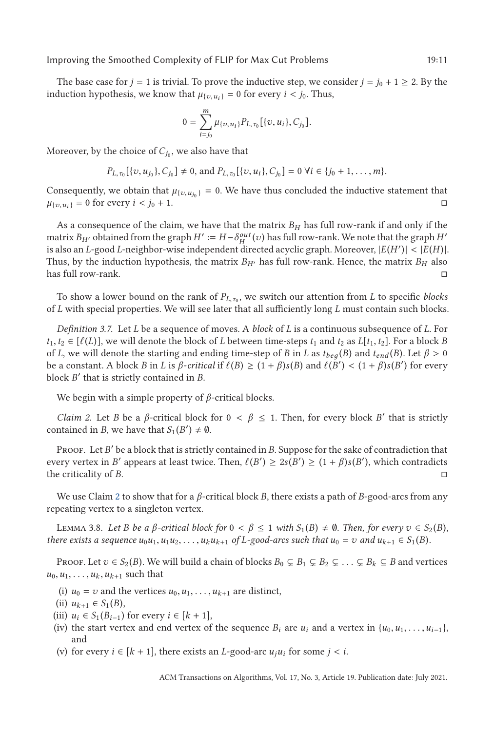<span id="page-10-0"></span>The base case for *j* = 1 is trivial. To prove the inductive step, we consider *j* = *j*<sub>0</sub> + 1 ≥ 2. By the induction hypothesis, we know that  $\mu_{\{v, u_i\}} = 0$  for every  $i < j_0$ . Thus,

$$
0 = \sum_{i=j_0}^m \mu_{\{v, u_i\}} P_{L, \tau_0} [\{v, u_i\}, C_{j_0}].
$$

Moreover, by the choice of  $C_{j_0}$ , we also have that

$$
P_{L,\tau_0}[\{v,u_{j_0}\},C_{j_0}]\neq 0
$$
, and  $P_{L,\tau_0}[\{v,u_i\},C_{j_0}]=0 \ \forall i\in\{j_0+1,\ldots,m\}.$ 

Consequently, we obtain that  $\mu_{\{v, u_{j_0}\}} = 0$ . We have thus concluded the inductive statement that  $\mu_{\{v, u_j\}} = 0$  for every  $i \le j_0 + 1$ .  $\mu_{\{v, u_i\}} = 0$  for every  $i < j_0 + 1$ .

As a consequence of the claim, we have that the matrix  $B_H$  has full row-rank if and only if the matrix  $B_{H'}$  obtained from the graph  $H' := H - \delta_H^{out}(v)$  has full row-rank. We note that the graph  $H'$ is also an *L*-good *L*-neighbor-wise independent directed acyclic graph. Moreover,  $|E(H')| < |E(H)|$ .<br>Thus, by the induction hypothesis, the matrix  $R_{yy}$  has full row-rank. Hence, the matrix  $R_{yy}$  also Thus, by the induction hypothesis, the matrix  $B_{H'}$  has full row-rank. Hence, the matrix  $B_H$  also has full row-rank.  $\square$ 

To show a lower bound on the rank of  $P_{L,\tau_0}$ , we switch our attention from *L* to specific *blocks* of *L* with special properties. We will see later that all sufficiently long *L* must contain such blocks.

*Definition 3.7.* Let *L* be a sequence of moves. A *block* of *L* is a continuous subsequence of *L*. For *t*<sub>1</sub>, *t*<sub>2</sub> ∈ [ $\ell(L)$ ], we will denote the block of *L* between time-steps *t*<sub>1</sub> and *t*<sub>2</sub> as *L*[*t*<sub>1</sub>, *t*<sub>2</sub>]. For a block *B* of *L* we will denote the starting and ending time-step of *B* in *L* as *t*<sub>1</sub>. (*B* of *L*, we will denote the starting and ending time-step of *B* in *L* as  $t_{beq}(B)$  and  $t_{end}(B)$ . Let  $\beta > 0$ be a constant. A block *B* in *L* is *β*-*critical* if  $\ell(B) \geq (1 + \beta)s(B)$  and  $\ell(B') < (1 + \beta)s(B')$  for every block *B'* that is strictly contained in *B* block *B* that is strictly contained in *B*.

We begin with a simple property of *β*-critical blocks.

*Claim 2.* Let *B* be a *β*-critical block for  $0 < \beta \le 1$ . Then, for every block *B'* that is strictly contained in *B*, we have that  $S_1(B') \neq \emptyset$ .

PROOF. Let *B*' be a block that is strictly contained in *B*. Suppose for the sake of contradiction that every vertex in *B'* appears at least twice. Then,  $\ell(B') \geq 2s(B') \geq (1 + \beta)s(B')$ , which contradicts the criticality of *B* the criticality of *B*. □

We use Claim 2 to show that for a *β*-critical block *B*, there exists a path of *B*-good-arcs from any repeating vertex to a singleton vertex.

Lemma 3.8. *Let <sup>B</sup> be a <sup>β</sup>-critical block for* <sup>0</sup> <sup>&</sup>lt; *<sup>β</sup>* <sup>≤</sup> <sup>1</sup> *with <sup>S</sup>*<sup>1</sup> (*B*) - ∅*. Then, for every v* ∈ *S*<sup>2</sup> (*B*)*,* there exists a sequence  $u_0u_1, u_1u_2, \ldots, u_ku_{k+1}$  of L-good-arcs such that  $u_0 = v$  and  $u_{k+1} \in S_1(B)$ .

Proof. Let  $v \in S_2(B)$ . We will build a chain of blocks  $B_0 \subsetneq B_1 \subsetneq B_2 \subsetneq \ldots \subsetneq B_k \subsetneq B$  and vertices  $u_0, u_1, \ldots, u_k, u_{k+1}$  such that

- (i)  $u_0 = v$  and the vertices  $u_0, u_1, \ldots, u_{k+1}$  are distinct,
- (ii)  $u_{k+1} \in S_1(B)$ ,
- (iii)  $u_i$  ∈  $S_1(B_{i-1})$  for every  $i \in [k+1]$ ,
- (iv) the start vertex and end vertex of the sequence  $B_i$  are  $u_i$  and a vertex in  $\{u_0, u_1, \ldots, u_{i-1}\}$ , and
- (v) for every  $i \in [k + 1]$ , there exists an *L*-good-arc  $u_i u_i$  for some  $j < i$ .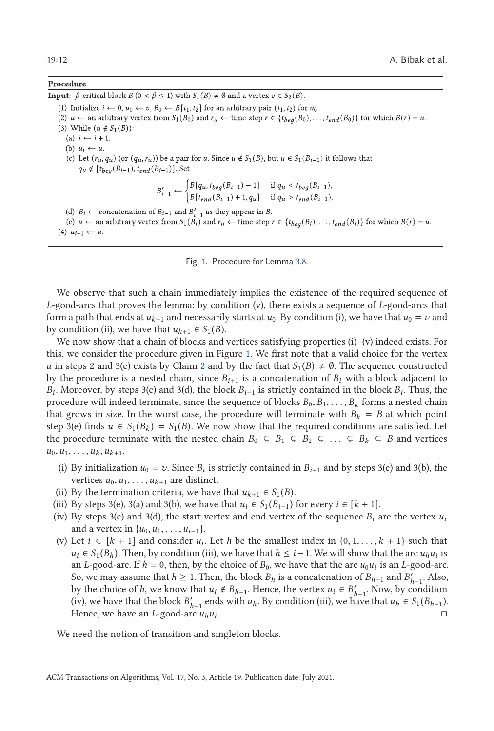### Procedure

**Input:**  $\beta$ -critical block  $B$  ( $0 < \beta \le 1$ ) with  $S_1(B) \ne \emptyset$  and a vertex  $v \in S_2(B)$ .

(1) Initialize  $i \leftarrow 0$ ,  $u_0 \leftarrow v$ ,  $B_0 \leftarrow B[t_1, t_2]$  for an arbitrary pair  $(t_1, t_2)$  for  $u_0$ .

(2)  $u \leftarrow$  an arbitrary vertex from  $S_1(B_0)$  and  $r_u \leftarrow$  time-step  $r \in \{t_{beg}(B_0), \ldots, t_{end}(B_0)\}$  for which  $B(r) = u$ .

- (3) While  $(u \notin S_1(B))$ :
	- (a)  $i \leftarrow i + 1$ .
	- (b)  $u_i \leftarrow u$ .
	- (c) Let  $(r_u, q_u)$  (or  $(q_u, r_u)$ ) be a pair for u. Since  $u \notin S_1(B)$ , but  $u \in S_1(B_{i-1})$  it follows that  $q_u \notin [t_{beg}(B_{i-1}), t_{end}(B_{i-1})]$ . Set

$$
B'_{i-1} \leftarrow \begin{cases} B[q_u, t_{beg}(B_{i-1}) - 1] & \text{if } q_u < t_{beg}(B_{i-1}), \\ B[t_{end}(B_{i-1}) + 1, q_u] & \text{if } q_u > t_{end}(B_{i-1}). \end{cases}
$$

- (d)  $B_i \leftarrow$  concatenation of  $B_{i-1}$  and  $B'_{i-1}$  as they appear in B.
- (e)  $u \leftarrow$  an arbitrary vertex from  $S_1(B_i)$  and  $r_u \leftarrow$  time-step  $r \in \{t_{beg}(B_i), \ldots, t_{end}(B_i)\}$  for which  $B(r) = u$ . (4)  $u_{i+1} \leftarrow u$ .
	- Fig. 1. Procedure for Lemma [3.8.](#page-10-0)

We observe that such a chain immediately implies the existence of the required sequence of *L*-good-arcs that proves the lemma: by condition (v), there exists a sequence of *L*-good-arcs that form a path that ends at  $u_{k+1}$  and necessarily starts at  $u_0$ . By condition (i), we have that  $u_0 = v$  and by condition (ii), we have that  $u_{k+1} \in S_1(B)$ .

We now show that a chain of blocks and vertices satisfying properties (i)–(v) indeed exists. For this, we consider the procedure given in Figure 1. We first note that a valid choice for the vertex *u* in steps [2](#page-10-0) and 3(e) exists by Claim 2 and by the fact that  $S_1(B) \neq \emptyset$ . The sequence constructed by the procedure is a nested chain, since  $B_{i+1}$  is a concatenation of  $B_i$  with a block adjacent to *B<sup>i</sup>* . Moreover, by steps 3(c) and 3(d), the block *Bi*−<sup>1</sup> is strictly contained in the block *B<sup>i</sup>* . Thus, the procedure will indeed terminate, since the sequence of blocks  $B_0, B_1, \ldots, B_k$  forms a nested chain that grows in size. In the worst case, the procedure will terminate with  $B_k = B$  at which point step 3(e) finds  $u \in S_1(B_k) = S_1(B)$ . We now show that the required conditions are satisfied. Let the procedure terminate with the nested chain  $B_0 \subsetneq B_1 \subsetneq B_2 \subsetneq \ldots \subsetneq B_k \subsetneq B$  and vertices  $u_0, u_1, \ldots, u_k, u_{k+1}.$ 

- (i) By initialization  $u_0 = v$ . Since  $B_i$  is strictly contained in  $B_{i+1}$  and by steps 3(e) and 3(b), the vertices  $u_0, u_1, \ldots, u_{k+1}$  are distinct.
- (ii) By the termination criteria, we have that  $u_{k+1} \in S_1(B)$ .
- (iii) By steps 3(e), 3(a) and 3(b), we have that  $u_i$  ∈  $S_1(B_{i-1})$  for every  $i$  ∈  $[k + 1]$ .
- (iv) By steps 3(c) and 3(d), the start vertex and end vertex of the sequence  $B_i$  are the vertex  $u_i$ and a vertex in  $\{u_0, u_1, \ldots, u_{i-1}\}.$
- (v) Let  $i \in [k + 1]$  and consider  $u_i$ . Let *h* be the smallest index in  $\{0, 1, \ldots, k + 1\}$  such that  $u_i \in S_1(B_h)$ . Then, by condition (iii), we have that  $h \leq i-1$ . We will show that the arc  $u_h u_i$  is an *L*-good-arc. If  $h = 0$ , then, by the choice of  $B_0$ , we have that the arc  $u_0u_i$  is an *L*-good-arc. So, we may assume that  $h \ge 1$ . Then, the block  $B_h$  is a concatenation of  $B_{h-1}$  and  $B'_{h-1}$ . Also, by the choice of *h*, we know that  $u_i \notin B_{h-1}$ . Hence, the vertex  $u_i \in B'_{h-1}$ . Now, by condition (iv), we have that the block  $B'_{h-1}$  ends with  $u_h$ . By condition (iii), we have that  $u_h \in S_1(B_{h-1})$ . Hence, we have an *L*-good-arc  $u_h u_i$ .

We need the notion of transition and singleton blocks.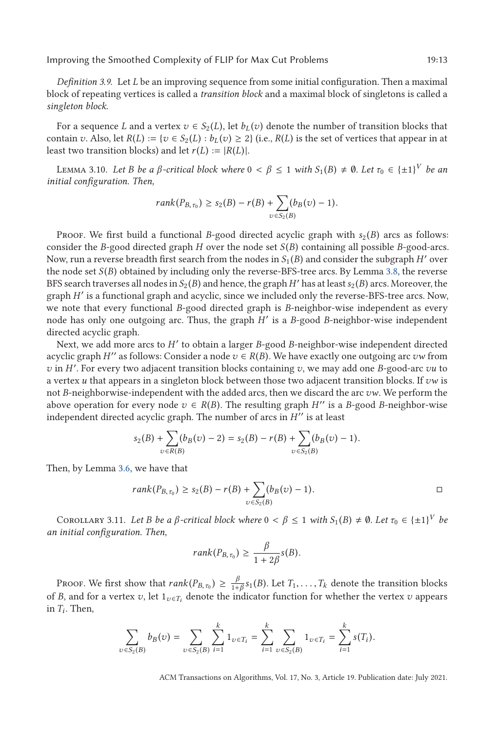<span id="page-12-0"></span>*Definition 3.9.* Let *L* be an improving sequence from some initial configuration. Then a maximal block of repeating vertices is called a *transition block* and a maximal block of singletons is called a *singleton block*.

For a sequence *L* and a vertex  $v \in S_2(L)$ , let  $b_L(v)$  denote the number of transition blocks that contain *v*. Also, let  $R(L) := \{v \in S_2(L) : b_L(v) \geq 2\}$  (i.e.,  $R(L)$  is the set of vertices that appear in at least two transition blocks) and let  $r(L) := |R(L)|$ .

LEMMA 3.10. Let *B be a β*-critical block where  $0 < \beta \le 1$  *with*  $S_1(B) \ne \emptyset$ . Let  $\tau_0 \in {\pm 1}^V$  *be an itial configuration. Then initial configuration. Then,*

$$
rank(P_{B,\tau_0}) \geq s_2(B) - r(B) + \sum_{v \in S_2(B)} (b_B(v) - 1).
$$

Proof. We first build a functional *B*-good directed acyclic graph with  $s_2(B)$  arcs as follows: consider the *B*-good directed graph *H* over the node set *S* (*B*) containing all possible *B*-good-arcs. Now, run a reverse breadth first search from the nodes in  $S_1(B)$  and consider the subgraph *H'* over the node set *S* (*B*) obtained by including only the reverse-BFS-tree arcs. By Lemma [3.8,](#page-10-0) the reverse BFS search traverses all nodes in *S*<sup>2</sup> (*B*) and hence, the graph*H* has at least*s*<sup>2</sup> (*B*) arcs. Moreover, the graph *H* is a functional graph and acyclic, since we included only the reverse-BFS-tree arcs. Now, we note that every functional *B*-good directed graph is *B*-neighbor-wise independent as every node has only one outgoing arc. Thus, the graph *H* is a *B*-good *B*-neighbor-wise independent directed acyclic graph.

Next, we add more arcs to *H* to obtain a larger *B*-good *B*-neighbor-wise independent directed acyclic graph *H*<sup> $\prime\prime$ </sup> as follows: Consider a node  $v \in R(B)$ . We have exactly one outgoing arc *vw* from *v* in *H* . For every two adjacent transition blocks containing *v*, we may add one *B*-good-arc *vu* to a vertex *u* that appears in a singleton block between those two adjacent transition blocks. If *vw* is not *B*-neighborwise-independent with the added arcs, then we discard the arc *vw*. We perform the above operation for every node  $v \in R(B)$ . The resulting graph *H*'' is a *B*-good *B*-neighbor-wise independent directed acyclic graph. The number of arcs in  $H''$  is at least

$$
s_2(B) + \sum_{v \in R(B)} (b_B(v) - 2) = s_2(B) - r(B) + \sum_{v \in S_2(B)} (b_B(v) - 1).
$$

Then, by Lemma [3.6,](#page-9-0) we have that

$$
rank(P_{B,\tau_0}) \ge s_2(B) - r(B) + \sum_{v \in S_2(B)} (b_B(v) - 1).
$$

COROLLARY 3.11. *Let B be a*  $\beta$ -critical block where  $0 < \beta \leq 1$  with  $S_1(B) \neq \emptyset$ . Let  $\tau_0 \in {\{\pm 1\}}^V$  be initial configuration. Then *an initial configuration. Then,*

$$
rank(P_{B,\tau_0}) \geq \frac{\beta}{1+2\beta}s(B).
$$

PROOF. We first show that  $rank(P_{B,\tau_0}) \geq \frac{\beta}{1+\beta} s_1(B)$ . Let  $T_1, \ldots, T_k$  denote the transition blocks of *B*, and for a vertex *v*, let  $1_{v \in T_i}$  denote the indicator function for whether the vertex *v* appears in  $T_i$ . Then,

$$
\sum_{v \in S_2(B)} b_B(v) = \sum_{v \in S_2(B)} \sum_{i=1}^k 1_{v \in T_i} = \sum_{i=1}^k \sum_{v \in S_2(B)} 1_{v \in T_i} = \sum_{i=1}^k s(T_i).
$$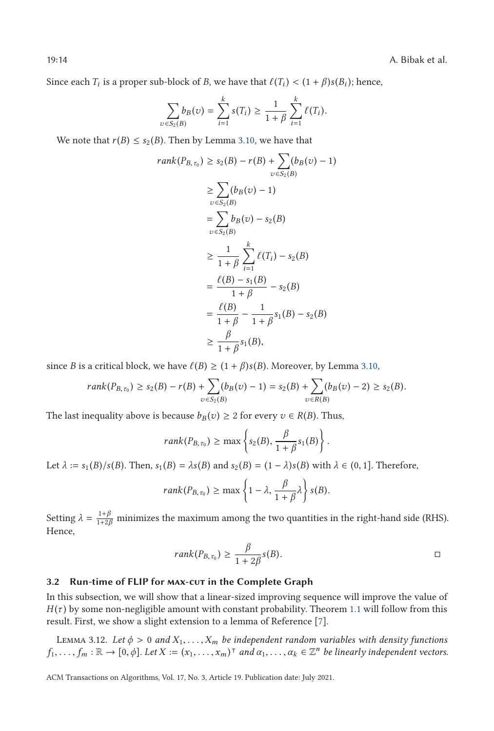<span id="page-13-0"></span>19:14 A. Bibak et al.

Since each  $T_i$  is a proper sub-block of *B*, we have that  $\ell(T_i) < (1 + \beta)s(B_i)$ ; hence,

$$
\sum_{v \in S_2(B)} b_B(v) = \sum_{i=1}^k s(T_i) \ge \frac{1}{1+\beta} \sum_{i=1}^k \ell(T_i).
$$

We note that *r*(*B*)  $\leq$  *s*<sub>2</sub>(*B*). Then by Lemma [3.10,](#page-12-0) we have that

$$
rank(P_{B,\tau_0}) \ge s_2(B) - r(B) + \sum_{v \in S_2(B)} (b_B(v) - 1)
$$
  
\n
$$
\ge \sum_{v \in S_2(B)} (b_B(v) - 1)
$$
  
\n
$$
= \sum_{v \in S_2(B)} b_B(v) - s_2(B)
$$
  
\n
$$
\ge \frac{1}{1+\beta} \sum_{i=1}^k \ell(T_i) - s_2(B)
$$
  
\n
$$
= \frac{\ell(B) - s_1(B)}{1+\beta} - s_2(B)
$$
  
\n
$$
= \frac{\ell(B)}{1+\beta} - \frac{1}{1+\beta} s_1(B) - s_2(B)
$$
  
\n
$$
\ge \frac{\beta}{1+\beta} s_1(B),
$$

since *B* is a critical block, we have  $\ell(B) \geq (1 + \beta)s(B)$ . Moreover, by Lemma [3.10,](#page-12-0)

$$
rank(P_{B,\tau_0}) \geq s_2(B) - r(B) + \sum_{v \in S_2(B)} (b_B(v) - 1) = s_2(B) + \sum_{v \in R(B)} (b_B(v) - 2) \geq s_2(B).
$$

The last inequality above is because  $b_B(v) \geq 2$  for every  $v \in R(B)$ . Thus,

$$
rank(P_{B,\tau_0}) \ge \max\left\{s_2(B), \frac{\beta}{1+\beta}s_1(B)\right\}
$$

Let  $\lambda := s_1(B)/s(B)$ . Then,  $s_1(B) = \lambda s(B)$  and  $s_2(B) = (1 - \lambda)s(B)$  with  $\lambda \in (0, 1]$ . Therefore,

$$
rank(P_{B,\tau_0}) \ge \max\left\{1-\lambda, \frac{\beta}{1+\beta}\lambda\right\} s(B).
$$

Setting  $\lambda = \frac{1+\beta}{1+2\beta}$  minimizes the maximum among the two quantities in the right-hand side (RHS). Hence,

$$
rank(P_{B,\tau_0}) \ge \frac{\beta}{1+2\beta} s(B).
$$

### 3.2 Run-time of FLIP for **MAX-CUT** in the Complete Graph

In this subsection, we will show that a linear-sized improving sequence will improve the value of  $H(\tau)$  by some non-negligible amount with constant probability. Theorem [1.1](#page-2-0) will follow from this result. First, we show a slight extension to a lemma of Reference [\[7\]](#page-37-0).

LEMMA 3.12. Let  $\phi > 0$  and  $X_1, \ldots, X_m$  be independent random variables with density functions  $f_1, \ldots, f_m : \mathbb{R} \to [0, \phi]$ . Let  $X := (x_1, \ldots, x_m)^\top$  and  $\alpha_1, \ldots, \alpha_k \in \mathbb{Z}^n$  be linearly independent vectors.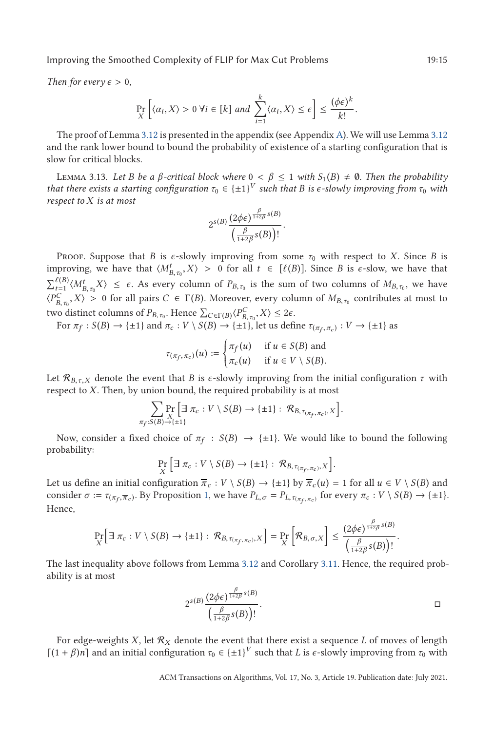<span id="page-14-0"></span>*Then for every*  $\epsilon > 0$ ,

$$
\Pr_{X}\left[\langle\alpha_i, X\rangle > 0 \,\forall i \in [k] \text{ and } \sum_{i=1}^{k} \langle\alpha_i, X\rangle \le \epsilon\right] \le \frac{(\phi\epsilon)^k}{k!}.
$$

The proof of Lemma [3.12](#page-13-0) is presented in the appendix (see Appendix [A\)](#page-36-0). We will use Lemma [3.12](#page-13-0) and the rank lower bound to bound the probability of existence of a starting configuration that is slow for critical blocks.

LEMMA 3.13. Let *B* be a *β*-critical block where  $0 < \beta \leq 1$  with  $S_1(B) \neq \emptyset$ . Then the probability at there exists a starting configuration  $\tau_2 \in I + 1$ <sup>V</sup> such that *B* is e-slough improving from  $\tau_2$  with *that there exists a starting configuration*  $\tau_0 \in \{\pm 1\}^V$  *such that B is*  $\epsilon$ *-slowly improving from*  $\tau_0$  *with respect to X is at most*

$$
2^{s(B)} \frac{(2\phi\epsilon)^{\frac{\beta}{1+2\beta}s(B)}}{\left(\frac{\beta}{1+2\beta}s(B)\right)!}.
$$

Proof. Suppose that *B* is *ϵ*-slowly improving from some *τ*<sup>0</sup> with respect to *X*. Since *B* is improving, we have that  $\langle M_{B,\tau_0}^t, X \rangle > 0$  for all  $t \in [\ell(B)]$ . Since *B* is  $\epsilon$ -slow, we have that  $\sum_{t=1}^{(\ell B)} \langle M_{B,\tau_0}^t X \rangle \leq \epsilon$ . As every column of  $P_{B,\tau_0}$  is the sum of two columns of  $M_{B,\tau_0}$ , we have  $\langle P_{B,\tau_0}^C, X \rangle > 0$  for all pairs  $C \in \Gamma(B)$ . Moreover, every column of  $M_{B,\tau_0}$  contributes at most to  $\langle P_{B,\tau_0}^C, X \rangle > 0$  for all pairs  $C \in \Gamma(B)$ . Moreover, every column of  $M_{B,\tau_0}$  contributes at most to *<sup>B</sup>*,*τ*<sup>0</sup> two distinct columns of  $P_{B,\tau_0}$ . Hence  $\sum_{C \in \Gamma(B)} \langle P_{B,\tau_0}^C, X \rangle \leq 2\epsilon$ .<br>For  $\pi \epsilon : S(B) \to \{\pm 1\}$  and  $\pi : V \setminus S(B) \to \{\pm 1\}$  let us defi

For 
$$
\pi_f : S(B) \to \{\pm 1\}
$$
 and  $\pi_c : V \setminus S(B) \to \{\pm 1\}$ , let us define  $\tau_{(\pi_f, \pi_c)} : V \to \{\pm 1\}$  as

$$
\tau_{(\pi_f, \pi_c)}(u) := \begin{cases} \pi_f(u) & \text{if } u \in S(B) \text{ and} \\ \pi_c(u) & \text{if } u \in V \setminus S(B). \end{cases}
$$

Let  $\mathcal{R}_{B,\tau,X}$  denote the event that *B* is  $\epsilon$ -slowly improving from the initial configuration  $\tau$  with respect to *X*. Then, by union bound, the required probability is at most

 *π<sup>f</sup>* :*S* (*B*)→{±1} Pr *X* <sup>∃</sup> *<sup>π</sup><sup>c</sup>* : *<sup>V</sup>* \ *<sup>S</sup>* (*B*) → {±1} : <sup>R</sup>*B*,*τ*(*πf* ,*πc* ),*<sup>X</sup>* 

Now, consider a fixed choice of  $\pi_f : S(B) \to \{\pm 1\}$ . We would like to bound the following probability:

$$
\Pr_{X} \left[ \exists \pi_c : V \setminus S(B) \to \{\pm 1\} : \mathcal{R}_{B, \tau_{(\pi_f, \pi_c)}, X} \right].
$$

Let us define an initial configuration  $\overline{\pi}_c : V \setminus S(B) \to \{\pm 1\}$  by  $\overline{\pi}_c(u) = 1$  for all  $u \in V \setminus S(B)$  and consider  $\sigma := \tau_{(\pi_f, \overline{\pi}_c)}$ . By Proposition [1,](#page-8-0) we have  $P_{L, \sigma} = P_{L, \tau_{(\pi_f, \pi_c)}}$  for every  $\pi_c : V \setminus S(B) \to \{\pm 1\}$ . Hence,

$$
\Pr_{X}\left[\exists \pi_{c}: V\setminus S(B)\to \{\pm 1\}: \mathcal{R}_{B,\tau_{(\pi_{f},\pi_{c})},X}\right]=\Pr_{X}\left[\mathcal{R}_{B,\sigma,X}\right]\leq \frac{(2\phi\epsilon)^{\frac{\beta}{1+2\beta}s(B)}}{\left(\frac{\beta}{1+2\beta}s(B)\right)!}.
$$

The last inequality above follows from Lemma [3.12](#page-13-0) and Corollary [3.11.](#page-12-0) Hence, the required probability is at most

$$
2^{s(B)} \frac{(2\phi\epsilon)^{\frac{\beta}{1+2\beta}s(B)}}{\left(\frac{\beta}{1+2\beta}s(B)\right)!}.
$$

For edge-weights  $X$ , let  $\mathcal{R}_X$  denote the event that there exist a sequence  $L$  of moves of length  $[(1 + \beta)n]$  and an initial configuration  $\tau_0 \in {\pm 1}^V$  such that *L* is  $\epsilon$ -slowly improving from  $\tau_0$  with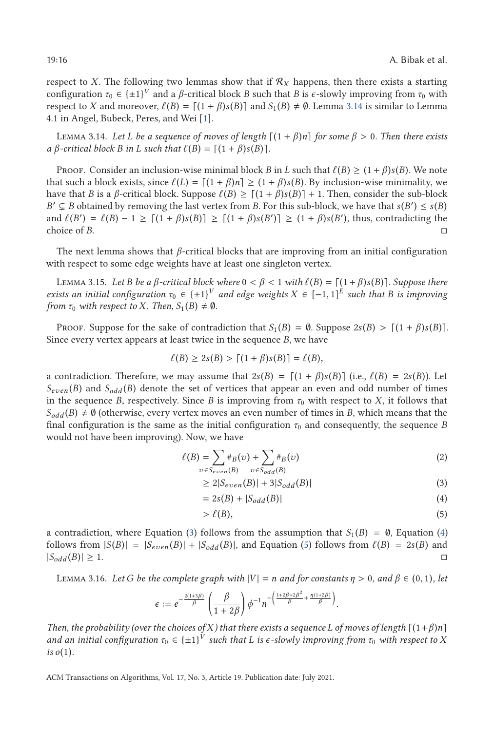<span id="page-15-0"></span>respect to *X*. The following two lemmas show that if  $\mathcal{R}_X$  happens, then there exists a starting configuration  $τ_0 ∈ {±1}^V$  and a *β*-critical block *B* such that *B* is  $ε$ -slowly improving from  $τ_0$  with respect to *X* and moreover,  $\ell(B) = [(1 + \beta)s(B)]$  and  $S_1(B) \neq \emptyset$ . Lemma 3.14 is similar to Lemma 4.1 in Angel Bubeck Peres and Wei [1] 4.1 in Angel, Bubeck, Peres, and Wei [\[1\]](#page-37-0).

LEMMA 3.14. *Let L be a sequence of moves of length*  $[(1 + β)n]$  *for some*  $β > 0$ *. Then there exists*<br>3-critical block B in L such that  $f(R) = [1 + β)s(R]$  $a \beta$ -critical block *B* in *L* such that  $\ell(B) = \lceil (1 + \beta)s(B) \rceil$ .

Proof. Consider an inclusion-wise minimal block *B* in *L* such that  $\ell(B) \geq (1 + \beta)s(B)$ . We note at such a block exists since  $\ell(I) - \lceil (1 + \beta)n \rceil > (1 + \beta)s(B)$ . By inclusion-wise minimality we that such a block exists, since  $\ell(L) = \lceil (1 + \beta)n \rceil \ge (1 + \beta)s(B)$ . By inclusion-wise minimality, we have that *B* is a *B*-critical block. Suppose  $\ell(B) > \lceil (1 + \beta)s(B) \rceil + 1$ . Then, consider the sub-block have that *B* is a *β*-critical block. Suppose  $\ell(B) \ge [(1 + \beta)s(B)] + 1$ . Then, consider the sub-block<br> $B' \subset B$  obtained by removing the last vertex from *B*. For this sub-block, we have that  $s(B') \le s(B)$  $B' \subseteq B$  obtained by removing the last vertex from *B*. For this sub-block, we have that  $s(B') \leq s(B)$ and  $\ell(B') = \ell(B) - 1 \geq \lceil (1 + \beta)s(B) \rceil \geq \lceil (1 + \beta)s(B') \rceil \geq (1 + \beta)s(B')$ , thus, contradicting the choice of *B* choice of *B*.

The next lemma shows that *β*-critical blocks that are improving from an initial configuration with respect to some edge weights have at least one singleton vertex.

LEMMA 3.15. *Let B be a β*-critical block where  $0 < β < 1$  *with*  $\ell(B) = \lceil (1 + \beta)s(B) \rceil$ . Suppose there *exists an initial configuration*  $\tau_0 \in {\pm 1}^V$  *and edge weights*  $X \in [-1,1]^E$  *such that B is improving* from  $\tau_0$  *with respect to*  $X$ . Then  $S_n(B) \neq \emptyset$ *from*  $\tau_0$  *with respect to X. Then,*  $S_1(B) \neq \emptyset$ *.* 

PROOF. Suppose for the sake of contradiction that  $S_1(B) = \emptyset$ . Suppose  $2s(B) > \lceil (1 + \beta)s(B) \rceil$ . Since every vertex appears at least twice in the sequence *B*, we have

$$
\ell(B) \ge 2s(B) > \lceil (1+\beta)s(B) \rceil = \ell(B),
$$

a contradiction. Therefore, we may assume that  $2s(B) = [(1 + \beta)s(B)]$  (i.e.,  $\ell(B) = 2s(B)$ ). Let  $\ell(B)$  and  $S_{\ell}(B)$  denote the set of vertices that appear an even and odd number of times  $S_{even}(B)$  and  $S_{odd}(B)$  denote the set of vertices that appear an even and odd number of times in the sequence *B*, respectively. Since *B* is improving from  $\tau_0$  with respect to *X*, it follows that  $S_{odd}(B) \neq \emptyset$  (otherwise, every vertex moves an even number of times in *B*, which means that the final configuration is the same as the initial configuration  $\tau_0$  and consequently, the sequence *B* would not have been improving). Now, we have

$$
\ell(B) = \sum_{v \in S_{even}(B)} \#_B(v) + \sum_{v \in S_{odd}(B)} \#_B(v)
$$
\n(2)

$$
\geq 2|S_{even}(B)| + 3|S_{odd}(B)| \tag{3}
$$

$$
=2s(B)+|S_{odd}(B)|
$$
\n(4)

$$
\mathcal{E}(B),\tag{5}
$$

a contradiction, where Equation (3) follows from the assumption that  $S_1(B) = \emptyset$ , Equation (4) follows from  $|S(B)| = |S_{even}(B)| + |S_{odd}(B)|$ , and Equation (5) follows from  $\ell(B) = 2s(B)$  and  $\Gamma(B) = \frac{1}{2}$  $|S_{odd}(B)| \geq 1$ .

LEMMA 3.16. Let G be the complete graph with  $|V| = n$  and for constants  $\eta > 0$ , and  $\beta \in (0, 1)$ , let

$$
\epsilon := e^{-\frac{2(1+3\beta)}{\beta}} \left(\frac{\beta}{1+2\beta}\right) \phi^{-1} n^{-\left(\frac{1+2\beta+2\beta^2}{\beta} + \frac{\eta(1+2\beta)}{\beta}\right)}
$$

*Then, the probability (over the choices of X) that there exists a sequence L* of moves of length  $\lceil (1+\beta)n \rceil$ and an initial configuration  $\tau_0 \in \{\pm 1\}^V$  such that L is  $\epsilon$ -slowly improving from  $\tau_0$  with respect to X *is o*(1)*.*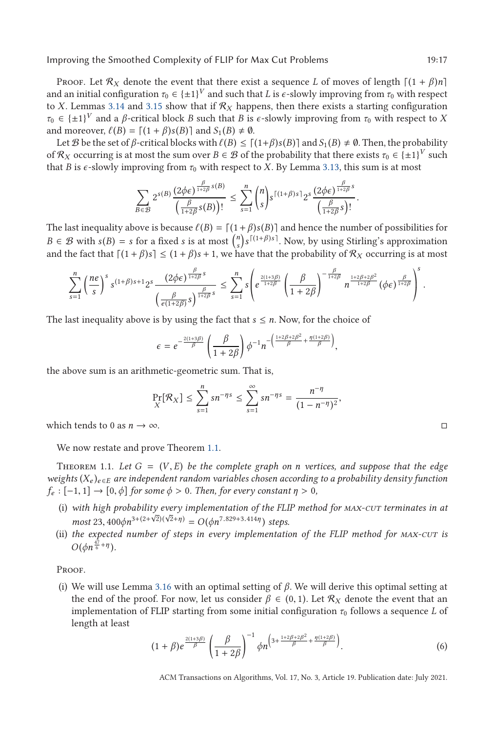<span id="page-16-0"></span>Proof. Let  $\mathcal{R}_X$  denote the event that there exist a sequence *L* of moves of length  $\lceil (1 + \beta)n \rceil$ and an initial configuration  $\tau_0 \in \{\pm 1\}^V$  and such that *L* is  $\epsilon$ -slowly improving from  $\tau_0$  with respect to *X*. Lemmas [3.14](#page-15-0) and [3.15](#page-15-0) show that if  $R_X$  happens, then there exists a starting configuration  $\tau_0 \in {\pm 1}$ <sup>V</sup> and a *β*-critical block *B* such that *B* is  $\epsilon$ -slowly improving from  $\tau_0$  with respect to *X* and moreover,  $\ell(B) = [(1 + \beta)s(B)]$  and  $S_1(B) \neq \emptyset$ .<br>Let *B* be the set of *β*-critical blocks with  $\ell(B) \leq \Gamma$ .

Let B be the set of  $\beta$ -critical blocks with  $\ell(B) \le [(1+\beta)s(B)]$  and  $S_1(B) \ne \emptyset$ . Then, the probability  $\Re y$  occurring is at most the sum over  $B \in \mathcal{B}$  of the probability that there exists  $\tau_2 \in \ell_1+1$ <sup>V</sup> such of  $\mathcal{R}_X$  occurring is at most the sum over  $B \in \mathcal{B}$  of the probability that there exists  $\tau_0 \in {\pm 1}^V$  such that *B* is  $\epsilon$ -slowly improving from  $\tau_0$  with respect to *X*. By Lemma [3.13,](#page-14-0) this sum is at most

$$
\sum_{B\in\mathcal{B}} 2^{s(B)} \frac{(2\phi\epsilon)^{\frac{\beta}{1+2\beta}s(B)}}{\left(\frac{\beta}{1+2\beta}s(B)\right)!} \leq \sum_{s=1}^n {n \choose s} s^{\lceil (1+\beta)s\rceil} 2^s \frac{(2\phi\epsilon)^{\frac{\beta}{1+2\beta}s}}{\left(\frac{\beta}{1+2\beta}s\right)!}.
$$

The last inequality above is because  $\ell(B) = \left[ (1+\beta)s(B) \right]$  and hence the number of possibilities for  $B \in \mathcal{B}$  with  $\epsilon(B) = \epsilon$  for a fixed a je at most  $\binom{n}{k} \epsilon^{[1+\beta]s]}$ . Now, by using Stirling's approximation  $B \in \mathcal{B}$  with  $s(B) = s$  for a fixed *s* is at most  $\binom{n}{s} s^{\lceil (1+\beta)s \rceil}$ . Now, by using Stirling's approximation and the fact that  $\lceil (1 + \beta)s \rceil \le (1 + \beta)s + 1$ , we have that the probability of  $\mathcal{R}_X$  occurring is at most

$$
\sum_{s=1}^n\left(\frac{ne}{s}\right)^ss^{(1+\beta)s+1}2^s\frac{(2\phi\epsilon)^{\frac{\beta}{1+2\beta}s}}{\left(\frac{\beta}{e(1+2\beta)}s\right)^{\frac{\beta}{1+2\beta}s}}\leq \sum_{s=1}^n s\left(e^{\frac{2(1+3\beta)}{1+2\beta}}\left(\frac{\beta}{1+2\beta}\right)^{-\frac{\beta}{1+2\beta}}n^{\frac{1+2\beta+2\beta^2}{1+2\beta}}(\phi\epsilon)^{\frac{\beta}{1+2\beta}}\right)^s.
$$

The last inequality above is by using the fact that  $s \leq n$ . Now, for the choice of

$$
\epsilon = e^{-\frac{2(1+3\beta)}{\beta}} \left(\frac{\beta}{1+2\beta}\right) \phi^{-1} n^{-\left(\frac{1+2\beta+2\beta^2}{\beta} + \frac{\eta(1+2\beta)}{\beta}\right)},
$$

the above sum is an arithmetic-geometric sum. That is,

$$
\Pr_{X}[\mathcal{R}_{X}] \leq \sum_{s=1}^{n} s n^{-\eta s} \leq \sum_{s=1}^{\infty} s n^{-\eta s} = \frac{n^{-\eta}}{(1-n^{-\eta})^2},
$$

which tends to 0 as  $n \to \infty$ .

We now restate and prove Theorem [1.1.](#page-2-0)

THEOREM 1.1. Let  $G = (V, E)$  be the complete graph on *n* vertices, and suppose that the edge *weights* (*X<sup>e</sup>* )*<sup>e</sup>* <sup>∈</sup>*<sup>E</sup> are independent random variables chosen according to a probability density function*  $f_e: [-1, 1] \rightarrow [0, \phi]$  *for some*  $\phi > 0$ *. Then, for every constant*  $\eta > 0$ *,* 

- (i) *with high probability every implementation of the FLIP method for max-cut terminates in at* √ *most* 23,  $400\phi n^{3+(2+\sqrt{2})(\sqrt{2}+\eta)} = O(\phi n^{7.829+3.414\eta})$  steps.<br>the expected number of steps in every implementation
- (ii) *the expected number of steps in every implementation of the FLIP method for max-cut is*  $O(\phi n^{\frac{47}{6} + \eta}).$

PROOF.

(i) We will use Lemma [3.16](#page-15-0) with an optimal setting of *β*. We will derive this optimal setting at the end of the proof. For now, let us consider  $\beta \in (0,1)$ . Let  $\mathcal{R}_X$  denote the event that an implementation of FLIP starting from some initial configuration  $\tau_0$  follows a sequence *L* of length at least

$$
(1+\beta)e^{\frac{2(1+3\beta)}{\beta}}\left(\frac{\beta}{1+2\beta}\right)^{-1}\phi n^{\left(3+\frac{1+2\beta+2\beta^2}{\beta}+\frac{\eta(1+2\beta)}{\beta}\right)}.
$$
(6)

$$
\Box
$$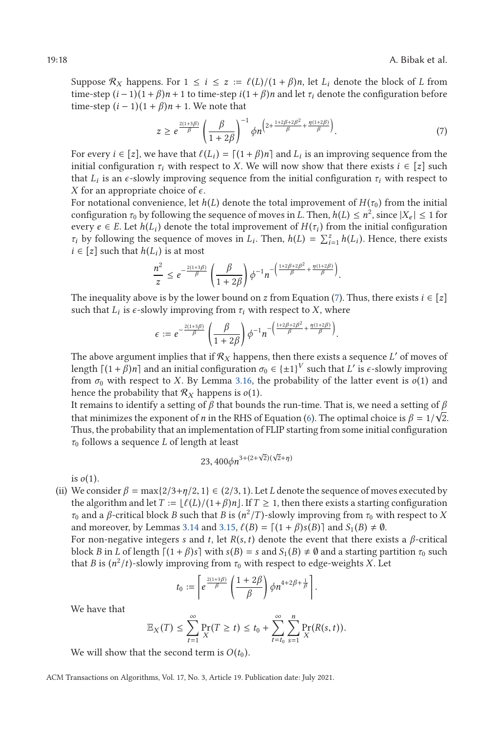Suppose  $\mathcal{R}_X$  happens. For  $1 \le i \le z := \ell(L)/(1+\beta)n$ , let  $L_i$  denote the block of *L* from time-step  $(i-1)(1+\beta)n + 1$  to time-step  $i(1+\beta)n$  and let  $\tau$ , denote the configuration before time-step  $(i-1)(1+\beta)n+1$  to time-step  $i(1+\beta)n$  and let  $\tau_i$  denote the configuration before time-step  $(i - 1)(1 + \beta)n + 1$ . We note that

$$
z \ge e^{\frac{2(1+3\beta)}{\beta}} \left(\frac{\beta}{1+2\beta}\right)^{-1} \phi n^{\left(2+\frac{1+2\beta+2\beta^2}{\beta}+\frac{\eta(1+2\beta)}{\beta}\right)}.
$$
 (7)

For every  $i \in [z]$ , we have that  $\ell(L_i) = [(1 + \beta)n]$  and  $L_i$  is an improving sequence from the initial configuration  $\tau$ , with respect to  $X$ . We will now show that there exists  $i \in [z]$  such initial configuration  $\tau_i$  with respect to *X*. We will now show that there exists  $i \in [z]$  such that  $L_i$  is an  $\epsilon$ -slowly improving sequence from the initial configuration  $\tau_i$  with respect to *X* for an appropriate choice of  $\epsilon$ .

For notational convenience, let  $h(L)$  denote the total improvement of  $H(\tau_0)$  from the initial configuration  $\tau_0$  by following the sequence of moves in *L*. Then,  $h(L) \leq n^2$ , since  $|X_e| \leq 1$  for every  $e \in E$ . Let  $h(L_i)$  denote the total improvement of  $H(\tau_i)$  from the initial configuration *τ*<sub>*i*</sub> by following the sequence of moves in *L*<sub>*i*</sub>. Then,  $h(L) = \sum_{i=1}^{z} h(L_i)$ . Hence, there exists  $i \in [z]$  such that  $h(L_i)$  is at most

$$
\frac{n^2}{z} \leq e^{-\frac{2(1+3\beta)}{\beta}} \left(\frac{\beta}{1+2\beta}\right) \phi^{-1} n^{-\left(\frac{1+2\beta+2\beta^2}{\beta} + \frac{\eta(1+2\beta)}{\beta}\right)}
$$

The inequality above is by the lower bound on *z* from Equation (7). Thus, there exists  $i \in [z]$ such that  $L_i$  is  $\epsilon$ -slowly improving from  $\tau_i$  with respect to *X*, where

$$
\epsilon := e^{-\frac{2(1+3\beta)}{\beta}} \left( \frac{\beta}{1+2\beta} \right) \phi^{-1} n^{-\left( \frac{1+2\beta+2\beta^2}{\beta} + \frac{\eta(1+2\beta)}{\beta} \right)}
$$

The above argument implies that if  $\mathcal{R}_X$  happens, then there exists a sequence L' of moves of length  $[(1 + \beta)n]$  and an initial configuration  $\sigma_0 \in {\{\pm 1\}}^V$  such that *L'* is  $\epsilon$ -slowly improving from  $\sigma_0$  with respect to *X*. By Lemma [3.16,](#page-15-0) the probability of the latter event is  $o(1)$  and hence the probability that  $\mathcal{R}_X$  happens is  $o(1)$ .

It remains to identify a setting of  $\beta$  that bounds the run-time. That is, we need a setting of  $\beta$ that minimizes the exponent of *n* in the RHS of Equation [\(6\)](#page-16-0). The optimal choice is  $\beta = 1/\sqrt{2}$ .<br>Thus the probability that an implementation of ELIP starting from some initial configuration. Thus, the probability that an implementation of FLIP starting from some initial configuration *τ*<sup>0</sup> follows a sequence *L* of length at least

$$
23,400 \phi n^{3+(2+\sqrt{2})(\sqrt{2}+\eta)}
$$

is  $o(1)$ .

(ii) We consider  $\beta = \max\{2/3 + \eta/2, 1\} \in (2/3, 1)$ . Let *L* denote the sequence of moves executed by the algorithm and let  $T := \lfloor \ell(L)/(1+\beta)n \rfloor$ . If  $T \ge 1$ , then there exists a starting configuration  $\tau_2$  and a *f*<sub>c</sub> critical block *R* such that *R* is  $(n^2/T)$ -slowly improving from  $\tau_2$  with respect to *Y*. *τ*<sub>0</sub> and a *β*-critical block *B* such that *B* is  $(n^2/T)$ -slowly improving from *τ*<sub>0</sub> with respect to *X* and moreover, by Lemmas [3.14](#page-15-0) and [3.15,](#page-15-0)  $\ell(B) = \lceil (1 + \beta)s(B) \rceil$  and  $S_1(B) \neq \emptyset$ .<br>For non-negative integers s and *t* let  $B(s, t)$  denote the event that there evidence

For non-negative integers *<sup>s</sup>* and *<sup>t</sup>*, let *<sup>R</sup>*(*s*,*t*) denote the event that there exists a *<sup>β</sup>*-critical block *B* in *L* of length  $\lceil (1 + \beta)s \rceil$  with  $s(B) = s$  and  $S_1(B) \neq \emptyset$  and a starting partition  $\tau_0$  such that *B* is  $(n^2/t)$ -slowly improving from  $\tau_0$  with respect to edge-weights *X*. Let

$$
t_0:=\left[e^{\frac{2(1+3\beta)}{\beta}}\left(\frac{1+2\beta}{\beta}\right)\phi n^{4+2\beta+\frac{1}{\beta}}\right].
$$

We have that

$$
\mathbb{E}_X(T) \leq \sum_{t=1}^{\infty} \Pr_X(T \geq t) \leq t_0 + \sum_{t=t_0}^{\infty} \sum_{s=1}^{n} \Pr_X(R(s,t)).
$$

We will show that the second term is  $O(t_0)$ .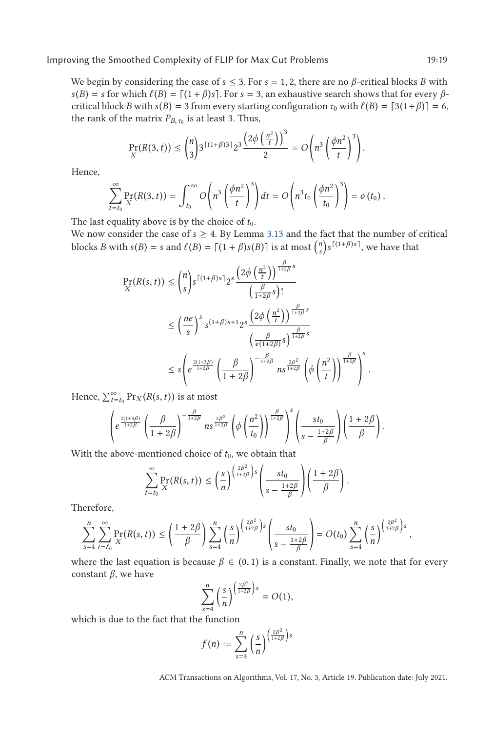We begin by considering the case of  $s \leq 3$ . For  $s = 1, 2$ , there are no  $\beta$ -critical blocks *B* with  $s(B) = s$  for which  $\ell(B) = [(1 + \beta)s]$ . For  $s = 3$ , an exhaustive search shows that for every  $\beta$ -<br>critical block *B* with  $s(B) = 3$  from every starting configuration  $\tau_s$  with  $\ell(B) = [3(1 + \beta)1] = 6$ critical block *B* with *s*(*B*) = 3 from every starting configuration  $τ_0$  with  $\ell(B) = [3(1+\beta)] = 6$ , the rank of the matrix *P<sub>p</sub>* is at least 3. Thus the rank of the matrix  $P_{B, \tau_0}$  is at least 3. Thus,

$$
\Pr_{X}(R(3, t)) \leq {n \choose 3} 3^{\lceil (1+\beta)3 \rceil} 2^3 \frac{\left(2\phi\left(\frac{n^2}{t}\right)\right)^3}{2} = O\left(n^3 \left(\frac{\phi n^2}{t}\right)^3\right).
$$

Hence,

$$
\sum_{t=t_0}^{\infty} \Pr_X(R(3, t)) = \int_{t_0}^{\infty} O\left(n^3 \left(\frac{\phi n^2}{t}\right)^3\right) dt = O\left(n^3 t_0 \left(\frac{\phi n^2}{t_0}\right)^3\right) = o\left(t_0\right).
$$

The last equality above is by the choice of  $t_0$ .

We now consider the case of  $s \geq 4$ . By Lemma [3.13](#page-14-0) and the fact that the number of critical blocks *B* with  $s(B) = s$  and  $\ell(B) = \lceil (1 + \beta)s(B) \rceil$  is at most  $\binom{n}{s} s^{\lceil (1 + \beta)s \rceil}$ , we have that

$$
\Pr(R(s,t)) \leq {n \choose s} s^{\lceil (1+\beta)s \rceil} 2^s \frac{\left(2\phi\left(\frac{n^2}{t}\right)\right)^{\frac{\beta}{1+2\beta}s}}{\left(\frac{\beta}{1+2\beta}s\right)!}
$$
\n
$$
\leq \left(\frac{ne}{s}\right)^s s^{(1+\beta)s+1} 2^s \frac{\left(2\phi\left(\frac{n^2}{t}\right)\right)^{\frac{\beta}{1+2\beta}s}}{\left(\frac{\beta}{e(1+2\beta)}s\right)^{\frac{\beta}{1+2\beta}s}}
$$
\n
$$
\leq s \left(e^{\frac{2(1+3\beta)}{1+2\beta}} \left(\frac{\beta}{1+2\beta}\right)^{-\frac{\beta}{1+2\beta}} n s^{\frac{2\beta^2}{1+2\beta}} \left(\phi\left(\frac{n^2}{t}\right)\right)^{\frac{\beta}{1+2\beta}}\right)^s.
$$

Hence,  $\sum_{t=t_0}^{\infty} Pr_X(R(s, t))$  is at most

$$
\left(e^{\frac{2(1+3\beta)}{1+2\beta}}\left(\frac{\beta}{1+2\beta}\right)^{-\frac{\beta}{1+2\beta}}n s^{\frac{2\beta^2}{1+2\beta}}\left(\phi\left(\frac{n^2}{t_0}\right)\right)^{\frac{\beta}{1+2\beta}}\right)^s\left(\frac{st_0}{s-\frac{1+2\beta}{\beta}}\right)\left(\frac{1+2\beta}{\beta}\right).
$$

With the above-mentioned choice of  $t_0$ , we obtain that

$$
\sum_{t=t_0}^{\infty} \Pr_X(R(s,t)) \leq \left(\frac{s}{n}\right)^{\left(\frac{2\beta^2}{1+2\beta}\right)s} \left(\frac{st_0}{s-\frac{1+2\beta}{\beta}}\right) \left(\frac{1+2\beta}{\beta}\right).
$$

Therefore,

$$
\sum_{s=4}^n \sum_{t=\ell_0}^\infty \Pr(X(s,t)) \le \left(\frac{1+2\beta}{\beta}\right) \sum_{s=4}^n \left(\frac{s}{n}\right)^{\left(\frac{2\beta^2}{1+2\beta}\right)s} \left(\frac{st_0}{s-\frac{1+2\beta}{\beta}}\right) = O(t_0) \sum_{s=4}^n \left(\frac{s}{n}\right)^{\left(\frac{2\beta^2}{1+2\beta}\right)s},
$$

where the last equation is because  $\beta \in (0,1)$  is a constant. Finally, we note that for every constant *β*, we have

$$
\sum_{s=4}^n \left(\frac{s}{n}\right)^{\left(\frac{2\beta^2}{1+2\beta}\right)s} = O(1),
$$

which is due to the fact that the function

$$
f(n) := \sum_{s=4}^n \left(\frac{s}{n}\right)^{\left(\frac{2\beta^2}{1+2\beta}\right)s}
$$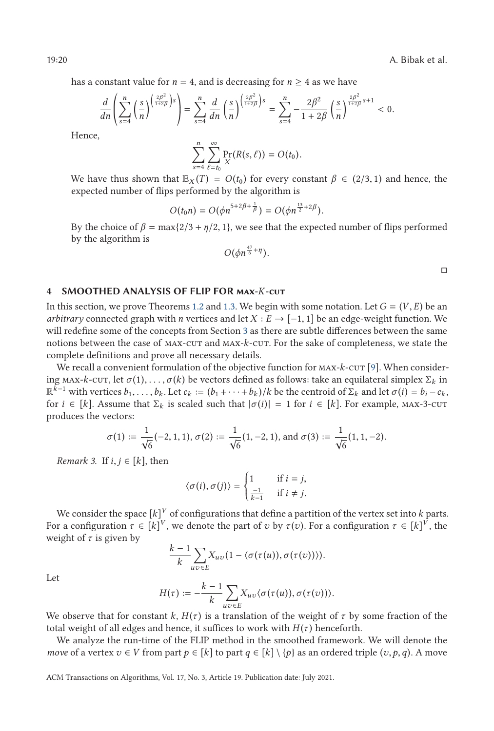19:20 A. Bibak et al.

has a constant value for  $n = 4$ , and is decreasing for  $n \geq 4$  as we have

$$
\frac{d}{dn}\left(\sum_{s=4}^{n}\left(\frac{s}{n}\right)^{\left(\frac{2\beta^{2}}{1+2\beta}\right)s}\right)=\sum_{s=4}^{n}\frac{d}{dn}\left(\frac{s}{n}\right)^{\left(\frac{2\beta^{2}}{1+2\beta}\right)s}=\sum_{s=4}^{n}-\frac{2\beta^{2}}{1+2\beta}\left(\frac{s}{n}\right)^{\frac{2\beta^{2}}{1+2\beta}s+1}<0.
$$

Hence,

$$
\sum_{s=4}^n \sum_{\ell=t_0}^\infty \Pr_X(R(s,\ell)) = O(t_0).
$$

We have thus shown that  $\mathbb{E}_X(T) = O(t_0)$  for every constant  $\beta \in (2/3, 1)$  and hence, the expected number of flips performed by the algorithm is expected number of flips performed by the algorithm is

$$
O(t_0 n) = O(\phi n^{5+2\beta+\frac{1}{\beta}}) = O(\phi n^{\frac{13}{2}+2\beta}).
$$

By the choice of  $\beta = \max\{2/3 + \eta/2, 1\}$ , we see that the expected number of flips performed by the algorithm is by the algorithm is

$$
O(\phi n^{\frac{47}{6}+\eta}).
$$

 $\Box$ 

### **4 SMOOTHED ANALYSIS OF FLIP FOR max-***K***-cut**

In this section, we prove Theorems [1.2](#page-3-0) and [1.3.](#page-3-0) We begin with some notation. Let  $G = (V, E)$  be an *arbitrary* connected graph with *n* vertices and let  $X : E \to [-1, 1]$  be an edge-weight function. We will redefine some of the concepts from Section [3](#page-7-0) as there are subtle differences between the same notions between the case of max-cut and max-*k*-cut. For the sake of completeness, we state the complete definitions and prove all necessary details.

We recall a convenient formulation of the objective function for MAX- $k$ -cut [\[9\]](#page-37-0). When considering max-*k*-cut, let  $\sigma(1), \ldots, \sigma(k)$  be vectors defined as follows: take an equilateral simplex  $\Sigma_k$  in  $\mathbb{R}^{k-1}$  with vertices  $b_1, \ldots, b_k$ . Let  $c_k := (b_1 + \cdots + b_k)/k$  be the centroid of  $\Sigma_k$  and let  $\sigma(i) = b_i - c_k$ , for  $i \in [k]$ . Assume that  $\Sigma_k$  is scaled such that  $|\sigma(i)| = 1$  for  $i \in [k]$ . For example, MAX-3-CUT produces the vectors:

$$
\sigma(1) := \frac{1}{\sqrt{6}}(-2, 1, 1), \sigma(2) := \frac{1}{\sqrt{6}}(1, -2, 1), \text{ and } \sigma(3) := \frac{1}{\sqrt{6}}(1, 1, -2).
$$

*Remark 3.* If  $i, j \in [k]$ , then

$$
\langle \sigma(i), \sigma(j) \rangle = \begin{cases} 1 & \text{if } i = j, \\ \frac{-1}{k-1} & \text{if } i \neq j. \end{cases}
$$

We consider the space  $[k]^V$  of configurations that define a partition of the vertex set into  $k$  parts. For a configuration  $\tau \in [k]^V$ , we denote the part of  $v$  by  $\tau(v)$ . For a configuration  $\tau \in [k]^V$ , the weight of *τ* is given by

$$
\frac{k-1}{k}\sum_{uv\in E}X_{uv}(1-\langle \sigma(\tau(u)), \sigma(\tau(v))\rangle).
$$

Let

$$
H(\tau) := -\frac{k-1}{k} \sum_{uv \in E} X_{uv} \langle \sigma(\tau(u)), \sigma(\tau(v)) \rangle.
$$

We observe that for constant  $k$ ,  $H(\tau)$  is a translation of the weight of  $\tau$  by some fraction of the total weight of all edges and hence, it suffices to work with  $H(\tau)$  henceforth.

We analyze the run-time of the FLIP method in the smoothed framework. We will denote the *move* of a vertex  $v \in V$  from part  $p \in [k]$  to part  $q \in [k] \setminus \{p\}$  as an ordered triple  $(v, p, q)$ . A move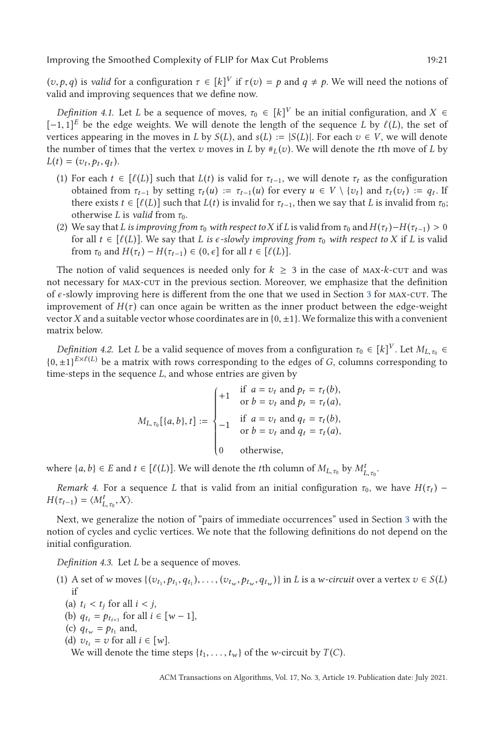$(v, p, q)$  is *valid* for a configuration  $\tau \in [k]^V$  if  $\tau(v) = p$  and  $q \neq p$ . We will need the notions of valid and improving sequences that we define now valid and improving sequences that we define now.

*Definition 4.1.* Let *L* be a sequence of moves,  $\tau_0 \in [k]^V$  be an initial configuration, and  $X \in$  $[-1, 1]^E$  be the edge weights. We will denote the length of the sequence *L* by  $\ell(L)$ , the set of vertices appearing in the moves in *L* by  $S(L)$  and  $s(L) := |S(L)|$ . For each  $v \in V$  we will denote vertices appearing in the moves in *L* by *S*(*L*), and *s*(*L*) :=  $|S(L)|$ . For each  $v \in V$ , we will denote the number of times that the vertex *v* moves in *L* by  $\#_L(v)$ . We will denote the *t*th move of *L* by  $L(t) = (v_t, p_t, q_t).$ 

- (1) For each  $t \in [\ell(L)]$  such that  $L(t)$  is valid for  $\tau_{t-1}$ , we will denote  $\tau_t$  as the configuration obtained from  $\tau_{t-1}$  by setting  $\tau_{t}(u) = \tau_{t-1}(u)$  for every  $u \in V \setminus \{v_1\}$  and  $\tau_{t}(v_1) = a$ . If obtained from *τ*<sub>*t*</sub>-1</sub> by setting *τ*<sub>*t*</sub>(*u*) := *τ*<sub>*t*-1</sub>(*u*) for every *u* ∈ *V* \{*v*<sub>*t*</sub>} and *τ*<sub>*t*</sub>(*v*<sub>*t*</sub>) := *q*<sub>*t*</sub>. If there exists  $t \in [\ell(L)]$  such that  $L(t)$  is invalid for  $\tau_{t-1}$ , then we say that *L* is invalid from  $\tau_0$ ; otherwise *L* is *welld* from  $\tau_0$ . otherwise *L* is *valid* from  $\tau_0$ .
- (2) We say that *L* is improving from  $\tau_0$  with respect to *X* if *L* is valid from  $\tau_0$  and  $H(\tau_t) H(\tau_{t-1}) > 0$ for all  $t \in [\ell(L)]$ . We say that *L* is  $\epsilon$ -slowly improving from  $\tau_0$  with respect to *X* if *L* is valid from  $\tau_0$  and  $H(\tau_1) - H(\tau_2) \in (0, \epsilon]$  for all  $t \in [\ell(L)]$ from  $\tau_0$  and  $H(\tau_t) - H(\tau_{t-1}) \in (0, \epsilon]$  for all  $t \in [\ell(L)]$ .

The notion of valid sequences is needed only for  $k \geq 3$  in the case of MAX-*k*-cut and was not necessary for max-cut in the previous section. Moreover, we emphasize that the definition of  $\epsilon$ -slowly improving here is different from the one that we used in Section [3](#page-7-0) for MAX-CUT. The improvement of  $H(\tau)$  can once again be written as the inner product between the edge-weight vector *X* and a suitable vector whose coordinates are in  ${0, \pm 1}$ . We formalize this with a convenient matrix below.

*Definition 4.2.* Let *L* be a valid sequence of moves from a configuration  $\tau_0 \in [k]^V$ . Let  $M_{L, \tau_0} \in$  $\{0, \pm 1\}^{E \times \ell(L)}$  be a matrix with rows corresponding to the edges of *G*, columns corresponding to time-steps in the sequence *L* and whose entries are given by time-steps in the sequence *L*, and whose entries are given by

$$
M_{L,\tau_0}[\{a,b\},t] := \begin{cases} +1 & \text{if } a = v_t \text{ and } p_t = \tau_t(b), \\ & \text{or } b = v_t \text{ and } p_t = \tau_t(a), \\ -1 & \text{if } a = v_t \text{ and } q_t = \tau_t(b), \\ & \text{or } b = v_t \text{ and } q_t = \tau_t(a), \\ 0 & \text{otherwise,} \end{cases}
$$

where  $\{a, b\} \in E$  and  $t \in [\ell(L)]$ . We will denote the *t*th column of  $M_{L, \tau_0}$  by  $M_{L, \tau_0}^t$ .

*Remark 4.* For a sequence *L* that is valid from an initial configuration  $\tau_0$ , we have  $H(\tau_t)$  –  $H(\tau_{t-1}) = \langle M_{L,\tau_0}^t, X \rangle.$ 

Next, we generalize the notion of "pairs of immediate occurrences" used in Section [3](#page-7-0) with the notion of cycles and cyclic vertices. We note that the following definitions do not depend on the initial configuration.

*Definition 4.3.* Let *L* be a sequence of moves.

- (1) A set of w moves  $\{(v_{t_1}, p_{t_1}, q_{t_1}), \ldots, (v_{t_w}, p_{t_w}, q_{t_w})\}$  in L is a w-circuit over a vertex  $v \in S(L)$ if
	- (a)  $t_i < t_j$  for all  $i < j$ ,
	- (b)  $q_{t_i} = p_{t_{i+1}}$  for all  $i \in [w-1]$ ,
	- (c)  $q_{t_w} = p_{t_1}$  and,
	- (d)  $v_{t_i} = v$  for all  $i \in [w]$ .

We will denote the time steps  $\{t_1, \ldots, t_w\}$  of the *w*-circuit by  $T(C)$ .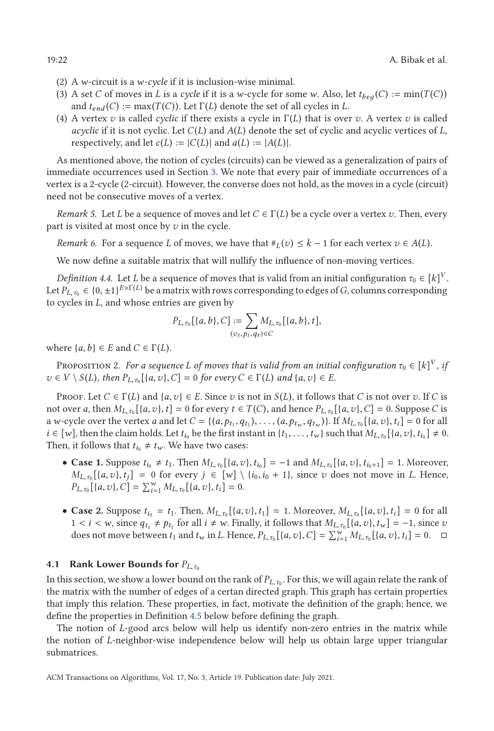- (2) A *w*-circuit is a *w-cycle* if it is inclusion-wise minimal.
- (3) A set *C* of moves in *L* is a *cycle* if it is a *w*-cycle for some *w*. Also, let  $t_{beq}(C) := min(T(C))$ and  $t_{end}(C) := \max(T(C))$ . Let  $\Gamma(L)$  denote the set of all cycles in *L*.
- (4) A vertex *v* is called *cyclic* if there exists a cycle in Γ(*L*) that is over *v*. A vertex *v* is called *acyclic* if it is not cyclic. Let *<sup>C</sup>*(*L*) and *<sup>A</sup>*(*L*) denote the set of cyclic and acyclic vertices of *<sup>L</sup>*, respectively, and let  $c(L) := |C(L)|$  and  $a(L) := |A(L)|$ .

As mentioned above, the notion of cycles (circuits) can be viewed as a generalization of pairs of immediate occurrences used in Section [3.](#page-7-0) We note that every pair of immediate occurrences of a vertex is a 2-cycle (2-circuit). However, the converse does not hold, as the moves in a cycle (circuit) need not be consecutive moves of a vertex.

*Remark 5.* Let *L* be a sequence of moves and let  $C \in \Gamma(L)$  be a cycle over a vertex *v*. Then, every part is visited at most once by *v* in the cycle.

*Remark 6.* For a sequence *L* of moves, we have that  $#_L(v) \leq k - 1$  for each vertex  $v \in A(L)$ .

We now define a suitable matrix that will nullify the influence of non-moving vertices.

*Definition 4.4.* Let *L* be a sequence of moves that is valid from an initial configuration  $\tau_0 \in [k]^V$ . Let  $P_{L,\tau_0} \in \{0,\pm 1\}^{E \times \Gamma(L)}$  be a matrix with rows corresponding to edges of *G*, columns corresponding to cycles in *L*, and whose entries are given by

$$
P_{L,\tau_0}[(a,b),C] := \sum_{(v_t,p_t,q_t)\in C} M_{L,\tau_0}[\{a,b\},t],
$$

where  $\{a, b\} \in E$  and  $C \in \Gamma(L)$ .

Proposition 2. *For a sequence L of moves that is valid from an initial configuration*  $\tau_0 \in [k]^V$  *, if*  $v \in V \setminus S(L)$ , then  $P_{L, \tau_0}[\{a, v\}, C] = 0$  for every  $C \in \Gamma(L)$  and  $\{a, v\} \in E$ .

PROOF. Let  $C \in \Gamma(L)$  and  $\{a, v\} \in E$ . Since *v* is not in  $S(L)$ , it follows that *C* is not over *v*. If *C* is not over *a*, then  $M_{L, \tau_0}[\{a, v\}, t] = 0$  for every  $t \in T(C)$ , and hence  $P_{L, \tau_0}[\{a, v\}, C] = 0$ . Suppose *C* is a w-cycle over the vertex a and let  $C = \{(a, p_{t_1}, q_{t_1}), \ldots, (a, p_{t_w}, q_{t_w})\}$ . If  $M_{L, \tau_0}[\{a, v\}, t_i] = 0$  for all *i* ∈ [*w*], then the claim holds. Let *t*<sub>*i*0</sub> be the first instant in {*t*<sub>1</sub>, ..., *t<sub><i>w*</sub>}</sub> such that *M*<sub>*L*, *τ*<sub>0</sub></sub>[{*a*, *v*}, *t*<sub>*i*0</sub>]  $\neq$  0.<br>Then it follows that *t*<sub>1</sub>  $\neq$  *t*<sub>1</sub>. We have two cases: Then, it follows that  $t_{i_0} \neq t_w$ . We have two cases:

- **Case 1.** Suppose  $t_{i_0} \neq t_1$ . Then  $M_{L, \tau_0}[(a, v), t_{i_0}] = -1$  and  $M_{L, \tau_0}[(a, v), t_{i_0+1}] = 1$ . Moreover,  $M_{L, \tau_0}[a, v]$ ,  $t_1] = 0$  for every  $i \in [w] \setminus \{i_0, i_0 + 1\}$  since  $v_i$  does not move in  $L$ . Hence  $M_{L,\tau_0}[\{a,v\},t_i] = 0$  for every  $j \in [w] \setminus \{i_0,i_0+1\}$ , since *v* does not move in *L*. Hence,  $P_{L, \tau_0}[(a, v), C] = \sum_{i=1}^{w} M_{L, \tau_0}[(a, v), t_i] = 0.$
- **Case 2.** Suppose  $t_{i_0} = t_1$ . Then,  $M_{L, \tau_0}[\{a, v\}, t_1] = 1$ . Moreover,  $M_{L, \tau_0}[\{a, v\}, t_i] = 0$  for all 1 < *i* < *w*, since  $q_{t_i} \neq p_{t_i}$  for all *i* ≠ *w*. Finally, it follows that  $M_{L,\tau_0}$ [{*a*,*v*},*t<sub>w</sub>*] = −1, since *v* does not move between *t*, and *t* in *I* Hence *P<sub>t</sub>* [*A*, *n*}  $C$ ] =  $\sum_{i=1}^{W} M_i$  [*A*, does not move between  $t_1$  and  $t_w$  in L. Hence,  $P_{L, \tau_0} [\{a, v\}, C] = \sum_{i=1}^{w} M_{L, \tau_0} [\{a, v\}, t_i] = 0.$   $\Box$

#### **4.1 Rank Lower Bounds for**  $P_{L,\tau_0}$

In this section, we show a lower bound on the rank of  $P_{L,\tau_0}$ . For this, we will again relate the rank of the matrix with the number of edges of a certan directed graph. This graph has certain properties that imply this relation. These properties, in fact, motivate the definition of the graph; hence, we define the properties in Definition [4.5](#page-22-0) below before defining the graph.

The notion of *L*-good arcs below will help us identify non-zero entries in the matrix while the notion of *L*-neighbor-wise independence below will help us obtain large upper triangular submatrices.

<span id="page-21-0"></span>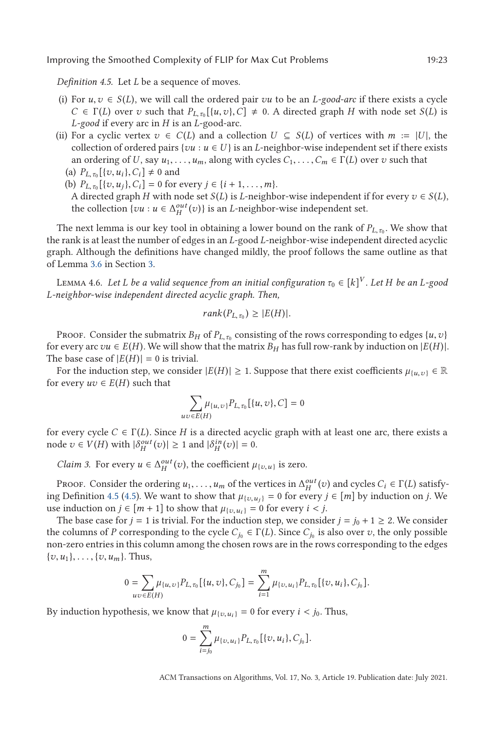<span id="page-22-0"></span>*Definition 4.5.* Let *L* be a sequence of moves.

- (i) For  $u, v \in S(L)$ , we will call the ordered pair *vu* to be an *L*-good-arc if there exists a cycle  $C \in \Gamma(L)$  over *v* such that  $P_{L,\tau_0}[\{u, v\}, C] \neq 0$ . A directed graph *H* with node set *S*(*L*) is *L*-good if every arc in *H* is an *L*-good-arc *L-good* if every arc in *H* is an *L*-good-arc.
- (ii) For a cyclic vertex  $v \in C(L)$  and a collection  $U \subseteq S(L)$  of vertices with  $m := |U|$ , the collection of ordered pairs { $vu : u \in U$ } is an *L*-neighbor-wise independent set if there exists an ordering of *U*, say  $u_1, \ldots, u_m$ , along with cycles  $C_1, \ldots, C_m \in \Gamma(L)$  over *v* such that (a)  $P_{L,\tau_0}[\{v, u_i\}, C_i] \neq 0$  and<br>(b)  $P_{\tau}$   $[\{v, u_i\}, C_i] = 0$  for
	- (b)  $P_{L,\tau_0}[\{v,u_i\},C_i] = 0$  for every  $j \in \{i+1,\ldots,m\}$ . A directed graph *H* with node set *S*(*L*) is *L*-neighbor-wise independent if for every  $v \in S(L)$ , the collection  $\{vu : u \in \Delta_H^{out}(v)\}$  is an *L*-neighbor-wise independent set.

The next lemma is our key tool in obtaining a lower bound on the rank of  $P_{L,\tau_0}$ . We show that the rank is at least the number of edges in an *L*-good *L*-neighbor-wise independent directed acyclic graph. Although the definitions have changed mildly, the proof follows the same outline as that of Lemma [3.6](#page-9-0) in Section [3.](#page-7-0)

LEMMA 4.6. *Let L be a valid sequence from an initial configuration*  $\tau_0 \in [k]^V$ *. Let H be an L-good L-neighbor-wise independent directed acyclic graph. Then,*

$$
rank(P_{L,\tau_0}) \geq |E(H)|.
$$

Proof. Consider the submatrix  $B_H$  of  $P_{L,\tau_0}$  consisting of the rows corresponding to edges  $\{u, v\}$ for every arc  $vu \in E(H)$ . We will show that the matrix  $B_H$  has full row-rank by induction on  $|E(H)|$ . The base case of  $|E(H)| = 0$  is trivial.

For the induction step, we consider  $|E(H)| \ge 1$ . Suppose that there exist coefficients  $\mu_{\{u,v\}} \in \mathbb{R}$ for every  $uv \in E(H)$  such that

$$
\sum_{uv \in E(H)} \mu_{\{u,v\}} P_{L,\tau_0} [\{u,v\}, C] = 0
$$

for every cycle  $C \in \Gamma(L)$ . Since *H* is a directed acyclic graph with at least one arc, there exists a node  $v \in V(H)$  with  $|\delta_H^{out}(v)| \ge 1$  and  $|\delta_H^{in}(v)| = 0$ .

*Claim 3.* For every  $u \in \Delta_H^{out}(v)$ , the coefficient  $\mu_{\{v,u\}}$  is zero.

PROOF. Consider the ordering  $u_1, \ldots, u_m$  of the vertices in  $\Delta_H^{out}(v)$  and cycles  $C_i \in \Gamma(L)$  satisfy-<br>*r* Definition 4.5 (4.5). We want to show that  $u_{\ell} = 0$  for every  $i \in [m]$  by induction on *i*. We ing Definition 4.5 (4.5). We want to show that  $\mu_{\{v, u_j\}} = 0$  for every  $j \in [m]$  by induction on *j*. We use induction on  $j \in [m+1]$  to show that  $\mu_{\{v, u_i\}} = 0$  for every  $i < j$ .

The base case for  $j = 1$  is trivial. For the induction step, we consider  $j = j_0 + 1 \ge 2$ . We consider the columns of *P* corresponding to the cycle  $C_{j_0} \in \Gamma(L)$ . Since  $C_{j_0}$  is also over *v*, the only possible non-zero entries in this column among the chosen rows are in the rows corresponding to the edges  $\{v, u_1\}, \ldots, \{v, u_m\}.$  Thus,

$$
0 = \sum_{uv \in E(H)} \mu_{\{u,v\}} P_{L,\tau_0} [\{u,v\}, C_{j_0}] = \sum_{i=1}^m \mu_{\{v,u_i\}} P_{L,\tau_0} [\{v,u_i\}, C_{j_0}].
$$

By induction hypothesis, we know that  $\mu_{\{v, u_i\}} = 0$  for every  $i < j_0$ . Thus,

$$
0 = \sum_{i=j_0}^m \mu_{\{v, u_i\}} P_{L, \tau_0} [\{v, u_i\}, C_{j_0}].
$$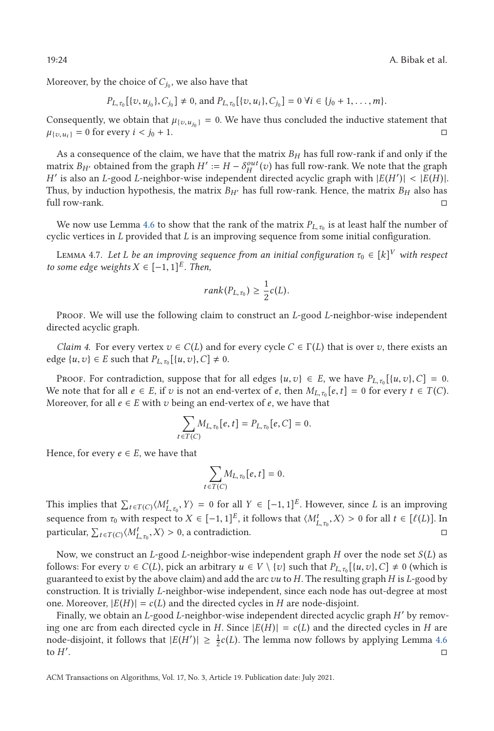<span id="page-23-0"></span>19:24 A. Bibak et al.

Moreover, by the choice of  $C_{j_0}$ , we also have that

 $P_{L,\tau_0}[\{v, u_{j_0}\}, C_{j_0}] \neq 0$ , and  $P_{L,\tau_0}[\{v, u_i\}, C_{j_0}] = 0 \ \forall i \in \{j_0 + 1, \ldots, m\}.$ 

Consequently, we obtain that  $\mu_{\{v, u_{j_0}\}} = 0$ . We have thus concluded the inductive statement that  $\mu_{\{v, u_i\}} = 0$  for every  $i < j_0 + 1$ .  $\Box$ 

As a consequence of the claim, we have that the matrix  $B_H$  has full row-rank if and only if the matrix *B<sub>H'</sub>* obtained from the graph  $H' := H - \delta_H^{out}(v)$  has full row-rank. We note that the graph *H'* is also an *L*-good *L*-neighbor-wise independent directed acyclic graph with  $|E(H')| < |E(H)|$ .<br>Thus by induction bypothesis, the matrix *B<sub>UL</sub>* has full row-rank. Hence the matrix *B<sub>UL</sub>* also has Thus, by induction hypothesis, the matrix  $B_{H'}$  has full row-rank. Hence, the matrix  $B_H$  also has full row-rank.  $\Box$ 

We now use Lemma [4.6](#page-22-0) to show that the rank of the matrix  $P_{L, \tau_0}$  is at least half the number of cyclic vertices in *L* provided that *L* is an improving sequence from some initial configuration.

L $ت $$  Lemma 4.7. Let  $L$  be an improving sequence from an initial configuration  $\tau_0 \in [k]^V$  with respect$ *to some edge weights*  $X \in [-1, 1]^E$ *. Then,* 

$$
rank(P_{L,\tau_0}) \geq \frac{1}{2}c(L).
$$

Proof. We will use the following claim to construct an *L*-good *L*-neighbor-wise independent directed acyclic graph.

*Claim 4.* For every vertex  $v \in C(L)$  and for every cycle  $C \in \Gamma(L)$  that is over *v*, there exists an edge {*u*, *v*} ∈ *E* such that  $P_{L, \tau_0}$  [{*u*, *v*}, *C*] ≠ 0.

PROOF. For contradiction, suppose that for all edges  $\{u, v\} \in E$ , we have  $P_{L, \tau_0}[\{u, v\}, C] = 0$ . We note that for all  $e \in E$ , if *v* is not an end-vertex of *e*, then  $M_{L, \tau_0}[e, t] = 0$  for every  $t \in T(C)$ . Moreover, for all  $e \in E$  with  $v$  being an end-vertex of  $e$ , we have that

$$
\sum_{t \in T(C)} M_{L, \tau_0}[e, t] = P_{L, \tau_0}[e, C] = 0.
$$

Hence, for every  $e \in E$ , we have that

$$
\sum_{t \in T(C)} M_{L, \tau_0}[e, t] = 0.
$$

This implies that  $\sum_{t \in T(C)} \langle M_{L, \tau_0}^t, Y \rangle = 0$  for all  $Y \in [-1, 1]^E$ . However, since *L* is an improving **L**<sub>*I*</sub> c *L*<sub>*I*</sub> c *L*<sub>*I*</sub> *L*<sub>*I*</sub> *L*<sub>*I*</sub> *L*<sub>*I*</sub> *L*<sub>*I*</sub> *L*<sub>*I*</sub> *L*<sub>*I*</sub> *L*<sub>*I*</sub> *L*<sub>*I*</sub> *L*<sub>*I*</sub> *L*<sub>*I*</sub> *L*<sub>*I*</sub> *L*<sub>*I*</sub> *L*<sub>*I*</sub> *L*<sub>*I*</sub> *L*<sub>*I*</sub> *L*<sub>*I*</sub> *L*<sub>*I*</sub> *L*<sub>*I*</sub> *L*<sub>*I*</sub> *L*<sub>*I*</sub> *L*<sub>*I*</sub>  $\text{particular, } \sum_{t \in T(C)} \langle M_{L, \tau_0}^t, X \rangle > 0$ , a contradiction.  $\square$ 

Now, we construct an *L*-good *L*-neighbor-wise independent graph *H* over the node set *S* (*L*) as follows: For every  $v \in C(L)$ , pick an arbitrary  $u \in V \setminus \{v\}$  such that  $P_{L,\tau_0}[\{u, v\}, C] \neq 0$  (which is guaranteed to evist by the above claim) and add the arc zu to H. The resulting graph H is L-good by guaranteed to exist by the above claim) and add the arc*vu* to *H*. The resulting graph *H* is *L*-good by construction. It is trivially *L*-neighbor-wise independent, since each node has out-degree at most one. Moreover,  $|E(H)| = c(L)$  and the directed cycles in *H* are node-disjoint.

Finally, we obtain an *L*-good *L*-neighbor-wise independent directed acyclic graph *H* by removing one arc from each directed cycle in *H*. Since  $|E(H)| = c(L)$  and the directed cycles in *H* are node-disjoint, it follows that  $|E(H')| \ge \frac{1}{2}c(L)$ . The lemma now follows by applying Lemma [4.6](#page-22-0) to  $H'$ . . - $\Box$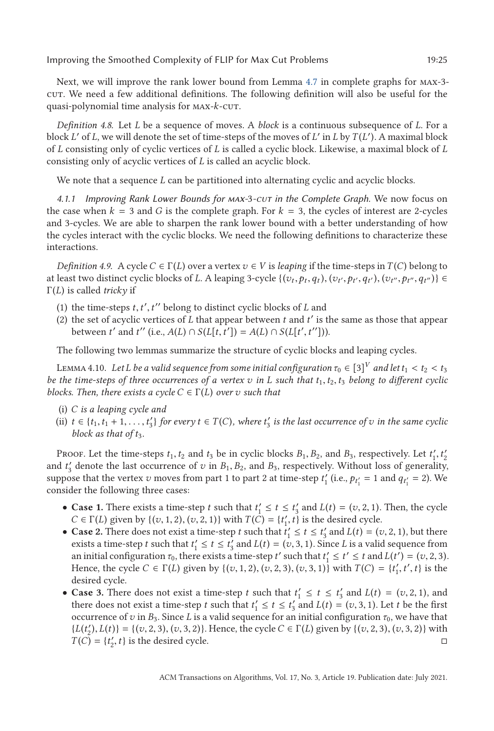<span id="page-24-0"></span>Next, we will improve the rank lower bound from Lemma [4.7](#page-23-0) in complete graphs for max-3 cut. We need a few additional definitions. The following definition will also be useful for the quasi-polynomial time analysis for max-*k*-cut.

*Definition 4.8.* Let *L* be a sequence of moves. A *block* is a continuous subsequence of *L*. For a block *L* of *L*, we will denote the set of time-steps of the moves of *L* in *L* by*T* (*L* ). A maximal block of *L* consisting only of cyclic vertices of *L* is called a cyclic block. Likewise, a maximal block of *L* consisting only of acyclic vertices of *L* is called an acyclic block.

We note that a sequence *L* can be partitioned into alternating cyclic and acyclic blocks.

*4.1.1 Improving Rank Lower Bounds for max-*3*-cut in the Complete Graph.* We now focus on the case when  $k = 3$  and *G* is the complete graph. For  $k = 3$ , the cycles of interest are 2-cycles and 3-cycles. We are able to sharpen the rank lower bound with a better understanding of how the cycles interact with the cyclic blocks. We need the following definitions to characterize these interactions.

*Definition 4.9.* A cycle  $C \in \Gamma(L)$  over a vertex  $v \in V$  is *leaping* if the time-steps in  $T(C)$  belong to at least two distinct cyclic blocks of L. A leaping 3-cycle  $\{(v_t, p_t, q_t), (v_{t'}, p_{t'}, q_{t'}), (v_{t''}, p_{t''}, q_{t''})\} \in$ Γ(*L*) is called *tricky* if

- (1) the time-steps *t*, *t'*, *t''* belong to distinct cyclic blocks of *L* and  $f'$  is the set of acyclic vertices of *L* that appear between *t* and  $f'$  is the
- (2) the set of acyclic vertices of *L* that appear between *t* and *t* is the same as those that appear **b**etween *t*' and *t*'' (i.e., *A*(*L*) ∩ *S*(*L*[*t*,*t'*]) = *A*(*L*) ∩ *S*(*L*[*t'*, *t''*])).

The following two lemmas summarize the structure of cyclic blocks and leaping cycles.

LEMMA 4.10. Let L be a valid sequence from some initial configuration  $\tau_0 \in [3]^V$  and let  $t_1 < t_2 < t_3$ *be the time-steps of three occurrences of a vertex*  $v$  *in*  $L$  *such that*  $t_1, t_2, t_3$  *belong to different cyclic blocks. Then, there exists a cycle*  $C \in \Gamma(L)$  *over v such that* 

- (i) *C is a leaping cycle and*
- (ii)  $t \in \{t_1, t_1 + 1, \ldots, t'_3\}$  *for every*  $t \in T(C)$ *, where*  $t'_3$  *is the last occurrence of v in the same cyclic block as that of t<sub>2</sub> block as that of t<sub>3</sub>.*

Proof. Let the time-steps  $t_1, t_2$  and  $t_3$  be in cyclic blocks  $B_1, B_2$ , and  $B_3$ , respectively. Let  $t'_1, t'_2$ <br>d  $t'$  denote the last occurrence of z<sub>i</sub> in  $B_1, B_2$  and  $B_2$  respectively. Without loss of generality and  $t'_{3}$  denote the last occurrence of *v* in  $B_1, B_2$ , and  $B_3$ , respectively. Without loss of generality, suppose that the vertex *v* moves from part 1 to part 2 at time-step  $t'_{1}$  (i.e.,  $p_{t'_{1}} = 1$  and  $q_{t'_{1}} = 2$ ). We consider the following three cases:

- **Case 1.** There exists a time-step *t* such that  $t'_1 \le t \le t'_3$  and  $L(t) = (v, 2, 1)$ . Then, the cycle  $C \in \Gamma(I)$  given by  $l(z_1, 1, 2)$   $(z_2, 2, 1)$  with  $T(C) = It'$  *t* is the desired cycle *C* ∈ Γ(*L*) given by {(*v*, 1, 2), (*v*, 2, 1)} with  $T(\hat{C}) = \{t'_1, t\}$  is the desired cycle.
- **Case 2.** There does not exist a time-step *t* such that  $t'_1 \le t \le t'_3$  and  $L(t) = (v, 2, 1)$ , but there exists a time-step *t* such that  $t' \le t \le t'$  and  $L(t) = (v, 3, 1)$ . Since *L* is a valid sequence from exists a time-step *t* such that  $t'_1 \le t \le t'_3$  and  $L(t) = (v, 3, 1)$ . Since *L* is a valid sequence from<br>an initial configuration  $\tau_1$ , there exists a time-step  $t'$  such that  $t' \le t' \le t$  and  $L(t') = (v, 2, 3)$ an initial configuration  $\tau_0$ , there exists a time-step *t'* such that  $t'_1 \le t' \le t$  and  $L(t') = (v, 2, 3)$ .<br>Hence the cycle  $C \in \Gamma(I)$  given by  $L(z_1, 1, 2)$   $(z_1, 2, 3)$   $(z_1, 3, 1)$  with  $T(C) = L't'$   $t'$   $t'$  is the Hence, the cycle  $C \in \Gamma(L)$  given by  $\{(v, 1, 2), (v, 2, 3), (v, 3, 1)\}$  with  $T(C) = \{t'_1, t', t\}$  is the desired cycle desired cycle.
- **Case 3.** There does not exist a time-step *t* such that  $t'_1 \le t \le t'_3$  and  $L(t) = (v, 2, 1)$ , and there does not exist a time-step *t* such that  $t' < t < t'$  and  $L(t) = (v, 3, 1)$ . Let *t* be the first there does not exist a time-step *t* such that  $t'_1 \le t \le t'_3$  and  $L(t) = (v, 3, 1)$ . Let *t* be the first occurrence of z in *B*<sub>2</sub>. Since *I* is a valid sequence for an initial configuration  $\tau_2$ , we have that occurrence of *v* in  $B_3$ . Since *L* is a valid sequence for an initial configuration  $\tau_0$ , we have that  ${L(t'_2), L(t)} = {(v, 2, 3), (v, 3, 2)}$ . Hence, the cycle  $C \in \Gamma(L)$  given by  ${(v, 2, 3), (v, 3, 2)}$  with  $T(C) = {t' t' t}$  is the desired cycle  $T(C) = \{t'_2, t\}$  is the desired cycle.  $\Box$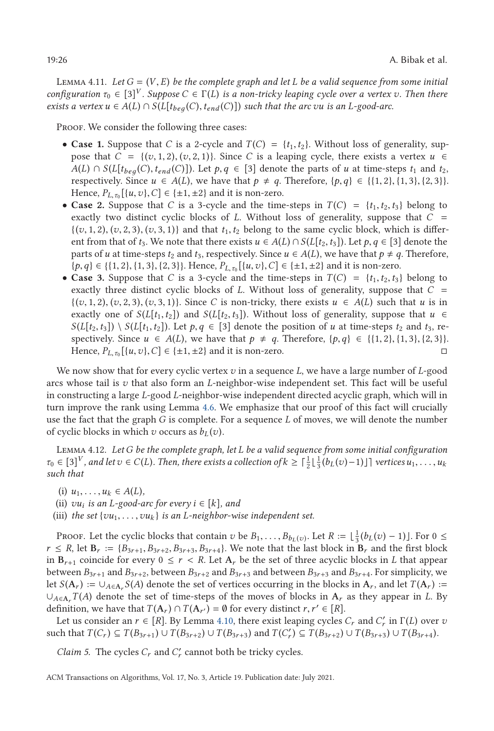<span id="page-25-0"></span>LEMMA 4.11. Let  $G = (V, E)$  be the complete graph and let L be a valid sequence from some initial *configuration*  $\tau_0 \in [3]^V$ . Suppose  $C \in \Gamma(L)$  is a non-tricky leaping cycle over a vertex v. Then there *exists a vertex*  $u$  ∈  $A(L) ∩ S(L[t_{beg}(C), t_{end}(C)])$  *such that the arc vu is an L*-good-arc.

PROOF. We consider the following three cases:

- **Case 1.** Suppose that *C* is a 2-cycle and  $T(C) = \{t_1, t_2\}$ . Without loss of generality, suppose that  $C = \{(v, 1, 2), (v, 2, 1)\}\.$  Since *C* is a leaping cycle, there exists a vertex  $u \in$  $A(L) \cap S(L[t_{beq}(C), t_{end}(C))]$ ). Let  $p, q \in [3]$  denote the parts of *u* at time-steps  $t_1$  and  $t_2$ , respectively. Since  $u \in A(L)$ , we have that  $p \neq q$ . Therefore,  $\{p,q\} \in \{\{1,2\}, \{1,3\}, \{2,3\}\}.$ <br>Hence  $P_L$ ,  $\{u,v\} \cap \{f \in \{+1,+2\}$  and it is non-zero Hence,  $P_{L,\tau_0}[\{u,v\},C] \in \{\pm 1, \pm 2\}$  and it is non-zero.
- **Case 2.** Suppose that *C* is a 3-cycle and the time-steps in  $T(C) = \{t_1, t_2, t_3\}$  belong to exactly two distinct cyclic blocks of *L*. Without loss of generality, suppose that *C* =  $\{(v, 1, 2), (v, 2, 3), (v, 3, 1)\}\$ and that  $t_1, t_2$  belong to the same cyclic block, which is different from that of  $t_3$ . We note that there exists  $u \in A(L) \cap S(L[t_2, t_3])$ . Let  $p, q \in [3]$  denote the parts of *u* at time-steps  $t_2$  and  $t_3$ , respectively. Since  $u \in A(L)$ , we have that  $p \neq q$ . Therefore,  $\{p,q\} \in \{\{1,2\},\{1,3\},\{2,3\}\}\$ . Hence,  $P_{L,\tau_0}[\{u,v\},C] \in \{\pm 1, \pm 2\}$  and it is non-zero.
- **Case 3.** Suppose that *C* is a 3-cycle and the time-steps in  $T(C) = \{t_1, t_2, t_3\}$  belong to exactly three distinct cyclic blocks of *L*. Without loss of generality, suppose that *C* =  $\{(v, 1, 2), (v, 2, 3), (v, 3, 1)\}\)$ . Since *C* is non-tricky, there exists  $u \in A(L)$  such that *u* is in exactly one of  $S(L[t_1, t_2])$  and  $S(L[t_2, t_3])$ . Without loss of generality, suppose that  $u \in$  $S(L[t_2, t_3]) \setminus S(L[t_1, t_2])$ . Let  $p, q \in [3]$  denote the position of *u* at time-steps  $t_2$  and  $t_3$ , respectively. Since  $u \in A(L)$ , we have that  $p \neq q$ . Therefore,  $\{p,q\} \in \{\{1,2\}, \{1,3\}, \{2,3\}\}.$ <br>Hence  $P_L$ ,  $\{u,v\} \cap \{q+1\}$ , and it is non-zero Hence,  $P_{L, \tau_0}[(u, v), C] \in \{\pm 1, \pm 2\}$  and it is non-zero.  $\Box$

We now show that for every cyclic vertex *v* in a sequence *L*, we have a large number of *L*-good arcs whose tail is *v* that also form an *L*-neighbor-wise independent set. This fact will be useful in constructing a large *L*-good *L*-neighbor-wise independent directed acyclic graph, which will in turn improve the rank using Lemma [4.6.](#page-22-0) We emphasize that our proof of this fact will crucially use the fact that the graph *G* is complete. For a sequence *L* of moves, we will denote the number of cyclic blocks in which *v* occurs as  $b_L(v)$ .

Lemma 4.12. *LetG be the complete graph, let L be a valid sequence from some initial configuration τ*<sub>0</sub> ∈ [3]<sup>*V*</sup>, and let  $v$  ∈ *C*(*L*)*.* Then, there exists a collection of  $k \geq \lceil \frac{1}{2} \lfloor \frac{1}{3} (b_L(v)-1) \rfloor \rceil$  vertices  $u_1, \ldots, u_k$ *such that*

- $(i)$   $u_1, \ldots, u_k \in A(L)$ ,
- (ii)  $vu_i$  *is an L*-good-arc for every  $i \in [k]$ , and
- (iii) *the set*  $\{vu_1, \ldots, vu_k\}$  *is an L-neighbor-wise independent set.*

PROOF. Let the cyclic blocks that contain *v* be  $B_1, \ldots, B_{b_L(v)}$ . Let  $R := \lfloor \frac{1}{3} (b_L(v) - 1) \rfloor$ . For  $0 \leq$ <br> $\leq R$  let **R**  $\cdots$  *B*<sub>2</sub>  $\cdots$  *B*<sub>2</sub>  $\cdots$  *B*<sub>2</sub>  $\cdots$  *N*<sub>2</sub> note that the last block in **B**, and the fir  $r \leq R$ , let  $\mathbf{B}_r := \{B_{3r+1}, B_{3r+2}, B_{3r+3}, B_{3r+4}\}$ . We note that the last block in  $\mathbf{B}_r$  and the first block in  $B_{r+1}$  coincide for every  $0 \le r < R$ . Let  $A_r$  be the set of three acyclic blocks in *L* that appear between  $B_{3r+1}$  and  $B_{3r+2}$ , between  $B_{3r+2}$  and  $B_{3r+3}$  and between  $B_{3r+3}$  and  $B_{3r+4}$ . For simplicity, we let  $S(A_r) := \bigcup_{A \in A_r} S(A)$  denote the set of vertices occurring in the blocks in  $A_r$ , and let  $T(A_r) :=$  $\cup_{A \in \Lambda} T(A)$  denote the set of time-steps of the moves of blocks in  $\Lambda_r$  as they appear in *L*. By definition, we have that  $T(A_r) \cap T(A_{r'}) = \emptyset$  for every distinct  $r, r' \in [R]$ .

Let us consider an  $r \in [R]$ . By Lemma [4.10,](#page-24-0) there exist leaping cycles  $C_r$  and  $C'_r$  in  $\Gamma(L)$  over  $v$ such that  $T(C_r) \subseteq T(B_{3r+1}) \cup T(B_{3r+2}) \cup T(B_{3r+3})$  and  $T(C'_r) \subseteq T(B_{3r+2}) \cup T(B_{3r+3}) \cup T(B_{3r+4})$ .

*Claim 5.* The cycles  $C_r$  and  $C'_r$  cannot both be tricky cycles.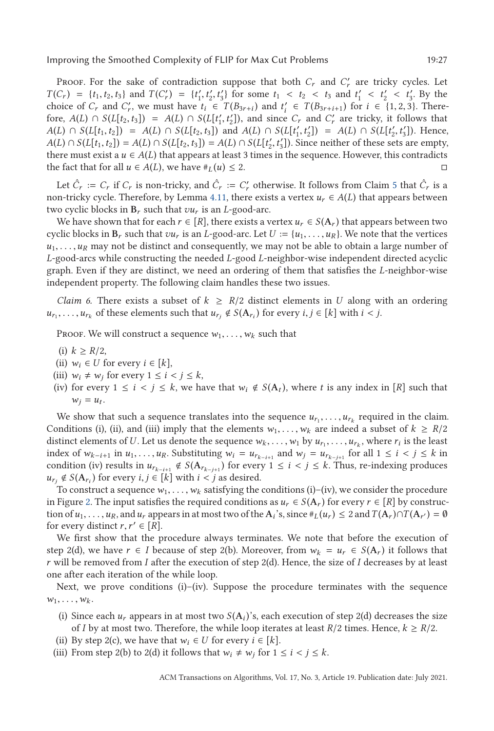<span id="page-26-0"></span>PROOF. For the sake of contradiction suppose that both  $C_r$  and  $C'_r$  are tricky cycles. Let  $T(C_r) = \{t_1, t_2, t_3\}$  and  $T(C'_r) = \{t'_1, t'_2, t'_3\}$  for some  $t_1 < t_2 < t_3$  and  $t'_1 < t'_2 < t'_3$ . By the choice of  $C$  and  $C'$  we must have  $t_1 \in T(B_2, \ldots)$  and  $t' \in T(B_2, \ldots)$  for  $i \in \{1, 2, 3\}$ . There choice of *C<sub>r</sub>* and *C*<sub>*r*</sub>, we must have  $t_i \in T(B_{3r+i})$  and  $t'_i \in T(B_{3r+i+1})$  for  $i \in \{1, 2, 3\}$ . There-<br>fore  $A(I) \cap S(I[t, t, 1) = A(I) \cap S(I[t', t'])$  and since *C* and *C'* are tricky it follows that fore,  $A(L) \cap S(L[t_2, t_3]) = A(L) \cap S(L[t'_1, t'_2])$ , and since  $C_r$  and  $C'_r$  are tricky, it follows that  $A(I) \cap S(L[t_1, t_2]) = A(I) \cap S(L[t_1, t_2]) = A(L) \cap S(L[t'_1, t'_2]) = A(L) \cap S(L[t'_1, t'_2])$ .  $A(L) \cap S(L[t_1, t_2]) = A(L) \cap S(L[t_2, t_3])$  and  $A(L) \cap S(L[t'_1, t'_2]) = A(L) \cap S(L[t'_2, t'_3])$ . Hence,<br> $A(L) \cap S(L[t_1, t_2]) = A(L) \cap S(L[t_2, t_3]) = A(L) \cap S(L[t'_1, t'_2])$ . Since neither of these sets are empty  $A(L) \cap S(L[t_1, t_2]) = A(L) \cap S(L[t_2, t_3]) = A(L) \cap S(L[t'_2, t'_3])$ . Since neither of these sets are empty,<br>there must exist a  $u \in A(L)$  that appears at least 3 times in the sequence However, this contradicts there must exist a  $u \in A(L)$  that appears at least 3 times in the sequence. However, this contradicts the fact that for all *u* ∈ *A*(*L*), we have  $#$ *L*(*u*) ≤ 2.  $\Box$ 

Let  $\hat{C}_r := C_r$  if  $C_r$  is non-tricky, and  $\hat{C}_r := C'_r$  otherwise. It follows from Claim [5](#page-25-0) that  $\hat{C}_r$  is a non-tricky cycle. Therefore, by Lemma [4.11,](#page-25-0) there exists a vertex  $u_r \in A(L)$  that appears between two cyclic blocks in  $B_r$  such that  $vu_r$  is an *L*-good-arc.

We have shown that for each  $r \in [R]$ , there exists a vertex  $u_r \in S(A_r)$  that appears between two cyclic blocks in  $\mathbf{B}_r$  such that  $vu_r$  is an *L*-good-arc. Let  $U := \{u_1, \ldots, u_R\}$ . We note that the vertices  $u_1, \ldots, u_R$  may not be distinct and consequently, we may not be able to obtain a large number of *L*-good-arcs while constructing the needed *L*-good *L*-neighbor-wise independent directed acyclic graph. Even if they are distinct, we need an ordering of them that satisfies the *L*-neighbor-wise independent property. The following claim handles these two issues.

*Claim 6.* There exists a subset of  $k \geq R/2$  distinct elements in *U* along with an ordering  $u_{r_1}, \ldots, u_{r_k}$  of these elements such that  $u_{r_i} \notin S(A_{r_i})$  for every  $i, j \in [k]$  with  $i < j$ .

Proof. We will construct a sequence  $w_1, \ldots, w_k$  such that

- (i)  $k \geq R/2$ ,
- (ii)  $w_i \in U$  for every  $i \in [k]$ ,
- (iii)  $w_i \neq w_j$  for every  $1 \leq i \leq j \leq k$ ,<br>(iv) for every  $1 \leq i \leq k \leq k$ , we have
- (iv) for every  $1 \le i \le j \le k$ , we have that  $w_i \notin S(A_t)$ , where t is any index in [R] such that  $w_j = u_t$ .

We show that such a sequence translates into the sequence  $u_r$ ,...,  $u_{r_k}$  required in the claim. Conditions (i), (ii), and (iii) imply that the elements  $w_1, \ldots, w_k$  are indeed a subset of  $k \geq R/2$ distinct elements of *U*. Let us denote the sequence  $w_k, \ldots, w_1$  by  $u_r, \ldots, u_r$ , where  $r_i$  is the least index of  $w_{k-i+1}$  in  $u_1, \ldots, u_R$ . Substituting  $w_i = u_{r_{k-i+1}}$  and  $w_j = u_{r_{k-j+1}}$  for all  $1 \le i \le j \le k$  in condition (iv) results in  $u_{r_{k-i+1}} \notin S(A_{r_{k-i+1}})$  for every  $1 \leq i \leq j \leq k$ . Thus, re-indexing produces  $u_{r_i} \notin S(A_{r_i})$  for every  $i, j \in [k]$  with  $i < j$  as desired.

To construct a sequence  $w_1, \ldots, w_k$  satisfying the conditions (i)–(iv), we consider the procedure in Figure [2.](#page-27-0) The input satisfies the required conditions as  $u_r \in S(A_r)$  for every  $r \in [R]$  by construction of  $u_1, \ldots, u_R$ , and  $u_r$  appears in at most two of the  $A_i$ 's, since  $\#_L(u_r) \leq 2$  and  $T(A_r) \cap T(A_{r'}) = \emptyset$ for every distinct  $r, r' \in [R]$ .

We first show that the procedure always terminates. We note that before the execution of step 2(d), we have  $r \in I$  because of step 2(b). Moreover, from  $w_k = u_r \in S(A_r)$  it follows that *r* will be removed from *I* after the execution of step 2(d). Hence, the size of *I* decreases by at least one after each iteration of the while loop.

Next, we prove conditions  $(i)-(iv)$ . Suppose the procedure terminates with the sequence  $w_1, \ldots, w_k$ .

- (i) Since each  $u_r$  appears in at most two  $S(A_i)$ 's, each execution of step 2(d) decreases the size of *I* by at most two. Therefore, the while loop iterates at least  $R/2$  times. Hence,  $k \geq R/2$ .
- (ii) By step 2(c), we have that  $w_i \in U$  for every  $i \in [k]$ .
- (iii) From step 2(b) to 2(d) it follows that  $w_i \neq w_j$  for  $1 \leq i < j \leq k$ .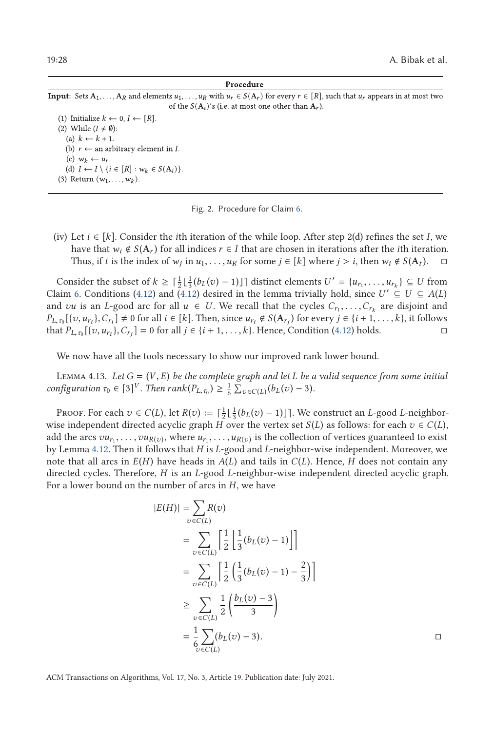#### Procedure

<span id="page-27-0"></span>Input: Sets A<sub>1</sub>, ..., A<sub>R</sub> and elements  $u_1, \ldots, u_R$  with  $u_r \in S(A_r)$  for every  $r \in [R]$ , such that  $u_r$  appears in at most two of the  $S(A_i)$ 's (i.e. at most one other than  $A_r$ ).

(1) Initialize  $k \leftarrow 0, I \leftarrow [R]$ . (2) While  $(I \neq \emptyset)$ : (a)  $k \leftarrow k + 1$ . (b)  $r \leftarrow$  an arbitrary element in *I*. (c)  $w_k \leftarrow u_r$ . (d)  $I \leftarrow I \setminus \{i \in [R] : w_k \in S(A_i)\}.$ (3) Return  $(w_1, ..., w_k)$ .

Fig. 2. Procedure for Claim [6.](#page-26-0)

(iv) Let  $i \in [k]$ . Consider the *i*th iteration of the while loop. After step 2(d) refines the set *I*, we have that  $w_i \notin S(A_r)$  for all indices  $r \in I$  that are chosen in iterations after the *i*th iteration. Thus, if *t* is the index of  $w_i$  in  $u_1, \ldots, u_R$  for some  $j \in [k]$  where  $j > i$ , then  $w_i \notin S(A_t)$ .  $\Box$ 

Consider the subset of  $k \geq \left[\frac{1}{2}\right] \left[\frac{1}{3}(b_L(v)-1)\right]$  distinct elements  $U' = \{u_{r_1}, \ldots, u_{r_k}\} \subseteq U$  from  $\lim_{k \to \infty} 6$  Conditions (4.12) and (4.12) desired in the lemma trivially hold since  $U' \subseteq U \subseteq A(I)$ Claim [6.](#page-26-0) Conditions [\(4.12\)](#page-25-0) and (4.12) desired in the lemma trivially hold, since  $U' \subseteq U \subseteq A(L)$ and *vu* is an *L*-good arc for all  $u \in U$ . We recall that the cycles  $C_{r_1}, \ldots, C_{r_k}$  are disjoint and  $P_{L,\tau_0}[\{v, u_{r_i}\}, C_{r_i}] \neq 0$  for all  $i \in [k]$ . Then, since  $u_{r_i} \notin S(\mathbf{A}_{r_j})$  for every  $j \in \{i+1,\ldots,k\}$ , it follows that  $P_{r_i}$   $[1, 1, \ldots, k]$ ,  $C_i$   $] = 0$  for all  $i \in \{i+1, \ldots, k\}$ . Hence Condition (4.12) holds that  $P_{L, \tau_0}[\{v, u_{r_i}\}, C_{r_j}] = 0$  for all  $j \in \{i + 1, ..., k\}$ . Hence, Condition [\(4.12\)](#page-25-0) holds.  $\Box$ 

We now have all the tools necessary to show our improved rank lower bound.

Lemma 4.13. *Let <sup>G</sup>* <sup>=</sup> (*V*, *<sup>E</sup>*) *be the complete graph and let <sup>L</sup> be a valid sequence from some initial*  $\text{configuration } \tau_0 \in [3]^V$ *. Then*  $\text{rank}(P_{L,\tau_0}) \geq \frac{1}{6} \sum_{v \in C(L)} (b_L(v) - 3)$ *.* 

Proof. For each  $v \in C(L)$ , let  $R(v) := \lceil \frac{1}{2} \lfloor \frac{1}{3} (b_L(v) - 1) \rfloor \rceil$ . We construct an *L*-good *L*-neighborwise independent directed acyclic graph *H* over the vertex set *S*(*L*) as follows: for each  $v \in C(L)$ , add the arcs  $vu_{r_1}, \ldots, vu_{R(v)}$ , where  $u_{r_1}, \ldots, u_{R(v)}$  is the collection of vertices guaranteed to exist by Lemma [4.12.](#page-25-0) Then it follows that *H* is *L*-good and *L*-neighbor-wise independent. Moreover, we note that all arcs in  $E(H)$  have heads in  $A(L)$  and tails in  $C(L)$ . Hence, *H* does not contain any directed cycles. Therefore, *H* is an *L*-good *L*-neighbor-wise independent directed acyclic graph. For a lower bound on the number of arcs in *H*, we have

$$
|E(H)| = \sum_{v \in C(L)} R(v)
$$
  
= 
$$
\sum_{v \in C(L)} \left[ \frac{1}{2} \left[ \frac{1}{3} (b_L(v) - 1) \right] \right]
$$
  
= 
$$
\sum_{v \in C(L)} \left[ \frac{1}{2} \left( \frac{1}{3} (b_L(v) - 1) - \frac{2}{3} \right) \right]
$$
  

$$
\geq \sum_{v \in C(L)} \frac{1}{2} \left( \frac{b_L(v) - 3}{3} \right)
$$
  
= 
$$
\frac{1}{6} \sum_{v \in C(L)} (b_L(v) - 3).
$$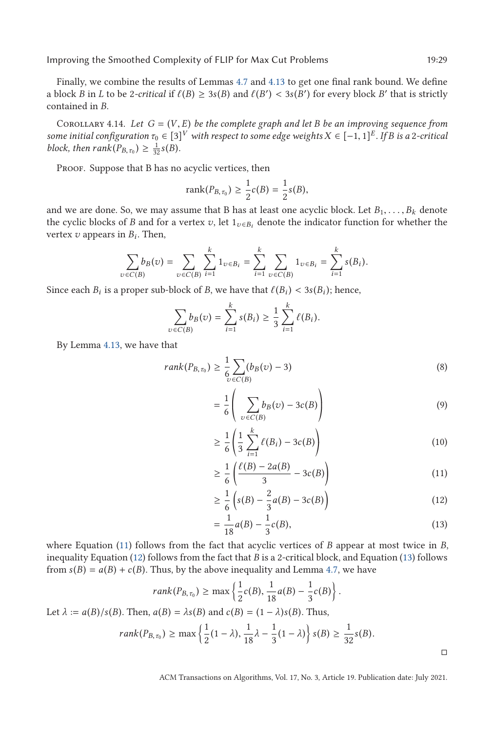<span id="page-28-0"></span>Finally, we combine the results of Lemmas [4.7](#page-23-0) and [4.13](#page-27-0) to get one final rank bound. We define a block *B* in *L* to be 2*-critical* if  $\ell(B) \geq 3s(B)$  and  $\ell(B') < 3s(B')$  for every block *B'* that is strictly contained in *B* contained in *B*.

COROLLARY 4.14. Let  $G = (V, E)$  be the complete graph and let B be an improving sequence from *some initial configuration*  $\tau_0 \in [3]^V$  *with respect to some edge weights*  $X \in [-1, 1]^E$ *. If B is a* 2*-critical block, then*  $rank(P_{B,\tau_0}) \geq \frac{1}{32}s(B)$ *.* 

PROOF. Suppose that B has no acyclic vertices, then

rank
$$
(P_{B,\tau_0}) \ge \frac{1}{2}c(B) = \frac{1}{2}s(B)
$$
,

and we are done. So, we may assume that B has at least one acyclic block. Let  $B_1, \ldots, B_k$  denote the cyclic blocks of *B* and for a vertex *v*, let  $1_{v \in B_i}$  denote the indicator function for whether the vertex  $v$  appears in  $B_i$ . Then,

$$
\sum_{v \in C(B)} b_B(v) = \sum_{v \in C(B)} \sum_{i=1}^k 1_{v \in B_i} = \sum_{i=1}^k \sum_{v \in C(B)} 1_{v \in B_i} = \sum_{i=1}^k s(B_i).
$$

Since each  $B_i$  is a proper sub-block of *B*, we have that  $\ell(B_i) < 3s(B_i)$ ; hence,

$$
\sum_{v \in C(B)} b_B(v) = \sum_{i=1}^k s(B_i) \ge \frac{1}{3} \sum_{i=1}^k \ell(B_i).
$$

By Lemma [4.13,](#page-27-0) we have that

$$
rank(P_{B,\tau_0}) \ge \frac{1}{6} \sum_{v \in C(B)} (b_B(v) - 3)
$$
\n(8)

$$
= \frac{1}{6} \left( \sum_{v \in C(B)} b_B(v) - 3c(B) \right)
$$
 (9)

$$
\geq \frac{1}{6} \left( \frac{1}{3} \sum_{i=1}^{k} \ell(B_i) - 3c(B) \right) \tag{10}
$$

$$
\geq \frac{1}{6} \left( \frac{\ell(B) - 2a(B)}{3} - 3c(B) \right) \tag{11}
$$

$$
\geq \frac{1}{6} \left( s(B) - \frac{2}{3} a(B) - 3c(B) \right) \tag{12}
$$

$$
=\frac{1}{18}a(B)-\frac{1}{3}c(B),
$$
\n(13)

where Equation (11) follows from the fact that acyclic vertices of *B* appear at most twice in *B*, inequality Equation (12) follows from the fact that *B* is a 2-critical block, and Equation (13) follows from  $s(B) = a(B) + c(B)$ . Thus, by the above inequality and Lemma [4.7,](#page-23-0) we have

$$
rank(P_{B,\tau_0}) \ge \max\left\{\frac{1}{2}c(B), \frac{1}{18}a(B) - \frac{1}{3}c(B)\right\}.
$$
  
Let  $\lambda := a(B)/s(B)$ . Then,  $a(B) = \lambda s(B)$  and  $c(B) = (1 - \lambda)s(B)$ . Thus,  

$$
rank(P_{B,\tau_0}) \ge \max\left\{\frac{1}{2}(1 - \lambda), \frac{1}{18}\lambda - \frac{1}{3}(1 - \lambda)\right\} s(B) \ge \frac{1}{32}s(B).
$$

 $\Box$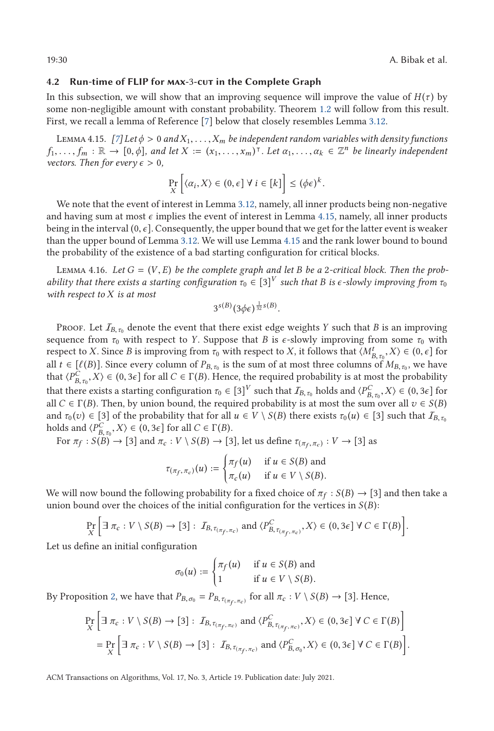### <span id="page-29-0"></span>**4.2 Run-time of FLIP for max-**3**-cut in the Complete Graph**

In this subsection, we will show that an improving sequence will improve the value of  $H(\tau)$  by some non-negligible amount with constant probability. Theorem [1.2](#page-3-0) will follow from this result. First, we recall a lemma of Reference [\[7\]](#page-37-0) below that closely resembles Lemma [3.12.](#page-13-0)

LEMMA 4.15. *[\[7\]](#page-37-0)* Let  $\phi > 0$  and  $X_1, \ldots, X_m$  be independent random variables with density functions  $f_1, \ldots, f_m : \mathbb{R} \to [0, \phi]$ , and let  $X := (x_1, \ldots, x_m)$ <sup>T</sup>. Let  $\alpha_1, \ldots, \alpha_k \in \mathbb{Z}^n$  be linearly independent *vectors. Then for every*  $\epsilon > 0$ ,

$$
\Pr_{X} \left[ \langle \alpha_i, X \rangle \in (0, \epsilon] \ \forall \ i \in [k] \right] \leq (\phi \epsilon)^k.
$$

We note that the event of interest in Lemma [3.12,](#page-13-0) namely, all inner products being non-negative and having sum at most  $\epsilon$  implies the event of interest in Lemma 4.15, namely, all inner products being in the interval (0, *<sup>ϵ</sup>*]. Consequently, the upper bound that we get for the latter event is weaker than the upper bound of Lemma [3.12.](#page-13-0) We will use Lemma 4.15 and the rank lower bound to bound the probability of the existence of a bad starting configuration for critical blocks.

LEMMA 4.16. Let  $G = (V, E)$  be the complete graph and let B be a 2-critical block. Then the prob*ability that there exists a starting configuration*  $\tau_0 \in [3]^V$  *such that B is*  $\epsilon$ *-slowly improving from*  $\tau_0$ *with respect to X is at most*

$$
3^{s(B)}(3\phi\epsilon)^{\frac{1}{32}s(B)}
$$

Proof. Let  $I_{B,\tau_0}$  denote the event that there exist edge weights *Y* such that *B* is an improving sequence from  $\tau_0$  with respect to *Y*. Suppose that *B* is  $\epsilon$ -slowly improving from some  $\tau_0$  with respect to *X*. Since *B* is improving from  $\tau_0$  with respect to *X*, it follows that  $\langle M_{B,\tau_0}^t, X \rangle \in (0, \epsilon]$  for **B**, *F*<sub>B</sub>, *T*<sub>B</sub>, *T*<sub>B</sub>, *T*<sub>B</sub>, *T*<sub>B</sub>, *E*<sub>B</sub>, *F*<sub>B</sub>, *F*<sub>B</sub>, *F*<sub>B</sub>, *F*<sub>B</sub>, *F*<sub>B</sub>, *F*<sub>B</sub>, *F*<sub>B</sub>, *F*<sub>B</sub>, *F*<sub>B</sub>, *F*<sub>B</sub>, *F*<sub>B</sub>, *F*<sub>B</sub>, *F*<sub>B</sub>, *F*<sub>B</sub>, *F*<sub>B</sub>, *F*<sub>B</sub>, *F*<sub>B</sub>, *F*<sub>B</sub>, *F*<sub>B</sub>, *F*<sub>B</sub>, *F*<sub>B</sub>, that  $\langle P_{B,\tau_0}^C, X \rangle \in (0, 3\epsilon]$  for all  $C \in \Gamma(B)$ . Hence, the required probability is at most the probability that the model of  $C = \Gamma(B)$  and the set of  $B = \Gamma(B)$ . *B*, *τ*<sub>0</sub>, *X* / ⊂ (0, 5*∈*] for an  $C \subset I$  (*D*). Thence, the required probability is at most the probability that there exists a starting configuration  $\tau_0 \in [3]^V$  such that  $I_{B,\tau_0}$  holds and  $\langle P_{B,\tau_0}^C, X \rangle \in (0$ all *C* ∈ Γ(*B*). Then, by union bound, the required probability is at most the sum over all  $v \in S(B)$ <br>all *C* ∈ Γ(*B*). Then, by union bound, the required probability is at most the sum over all  $v \in S(B)$ and  $\tau_0(v) \in [3]$  of the probability that for all  $u \in V \setminus S(B)$  there exists  $\tau_0(u) \in [3]$  such that  $I_{B,\tau_0}$ holds and  $\langle P_{B,\tau_0}^C, X \rangle \in (0, 3\epsilon]$  for all  $C \in \Gamma(B)$ .<br>For  $\pi_0 : S(B) \to [3]$  and  $\pi : V \setminus S(B) \to [3]$ 

For  $\pi_f : S(B) \to [3]$  and  $\pi_c : V \setminus S(B) \to [3]$ , let us define  $\tau_{(\pi_f, \pi_c)} : V \to [3]$  as

$$
\tau_{(\pi_f, \pi_c)}(u) := \begin{cases} \pi_f(u) & \text{if } u \in S(B) \text{ and} \\ \pi_c(u) & \text{if } u \in V \setminus S(B). \end{cases}
$$

We will now bound the following probability for a fixed choice of  $\pi_f : S(B) \to [3]$  and then take a union bound over the choices of the initial configuration for the vertices in  $S(B)$ :

$$
\Pr_X \left[ \exists \pi_c : V \setminus S(B) \to [3] : I_{B, \tau_{(\pi_f, \pi_c)}} \text{ and } \langle P_{B, \tau_{(\pi_f, \pi_c)}}^C, X \rangle \in (0, 3\epsilon] \ \forall \ C \in \Gamma(B) \right].
$$

Let us define an initial configuration

$$
\sigma_0(u) := \begin{cases} \pi_f(u) & \text{if } u \in S(B) \text{ and} \\ 1 & \text{if } u \in V \setminus S(B). \end{cases}
$$

By Proposition [2,](#page-21-0) we have that  $P_{B,\sigma_0} = P_{B,\tau_{(\pi_r,\pi_c)}}$  for all  $\pi_c : V \setminus S(B) \to [3]$ . Hence,

$$
\Pr_{X} \left[ \exists \pi_c : V \setminus S(B) \to [3] : I_{B, \tau_{(\pi_f, \pi_c)}} \text{ and } \langle P_{B, \tau_{(\pi_f, \pi_c)}}^C, X \rangle \in (0, 3\epsilon] \ \forall \ C \in \Gamma(B) \right]
$$
\n
$$
= \Pr_{X} \left[ \exists \ \pi_c : V \setminus S(B) \to [3] : I_{B, \tau_{(\pi_f, \pi_c)}} \text{ and } \langle P_{B, \sigma_0}^C, X \rangle \in (0, 3\epsilon] \ \forall \ C \in \Gamma(B) \right].
$$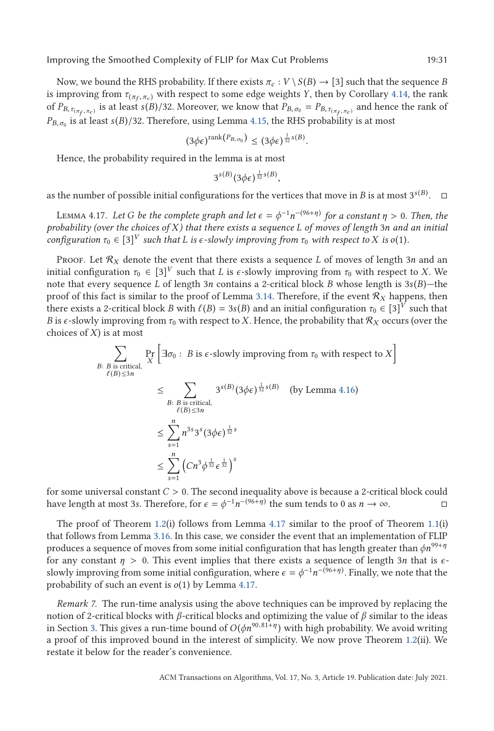<span id="page-30-0"></span>Now, we bound the RHS probability. If there exists  $\pi_c : V \setminus S(B) \to [3]$  such that the sequence *B* is improving from  $\tau_{(\pi_f, \pi_c)}$  with respect to some edge weights *Y*, then by Corollary [4.14,](#page-28-0) the rank of  $P_{B, \tau_{(\pi_F, \pi_c)}}$  is at least *s*(*B*)/32. Moreover, we know that  $P_{B, \sigma_0} = P_{B, \tau_{(\pi_F, \pi_c)}}$  and hence the rank of  $P_{B,\sigma_0}$  is at least *s*(*B*)/32. Therefore, using Lemma [4.15,](#page-29-0) the RHS probability is at most

$$
(3\phi\epsilon)^{\text{rank}\left(P_{B,\,\sigma_0}\right)} \leq (3\phi\epsilon)^{\frac{1}{32}s(B)}.
$$

Hence, the probability required in the lemma is at most

$$
3^{s(B)}(3\phi\epsilon)^{\frac{1}{32}s(B)},
$$

as the number of possible initial configurations for the vertices that move in *B* is at most 3<sup>*s*(*B*)</sup>.  $\Box$ 

LEMMA 4.17. *Let G be the complete graph and let*  $\epsilon = \phi^{-1}n^{-(96+\eta)}$  *for a constant*  $\eta > 0$ . Then, the photolity (over the choices of X) that there exists a sequence *I* of moves of length 3n and an initial *probability (over the choices of X) that there exists a sequence L of moves of length* 3*n and an initial configuration*  $\tau_0 \in [3]^V$  *such that L is*  $\epsilon$ *-slowly improving from*  $\tau_0$  *with respect to X is o*(1)*.* 

Proof. Let  $\mathcal{R}_X$  denote the event that there exists a sequence *L* of moves of length 3*n* and an initial configuration  $\tau_0 \in [3]^V$  such that *L* is  $\epsilon$ -slowly improving from  $\tau_0$  with respect to *X*. We note that every sequence *L* of length 3*n* contains a 2-critical block *B* whose length is 3*s*(*B*)—the proof of this fact is similar to the proof of Lemma [3.14.](#page-15-0) Therefore, if the event R*<sup>X</sup>* happens, then there exists a 2-critical block *B* with  $\ell(B) = 3s(B)$  and an initial configuration  $\tau_0 \in [3]^V$  such that *B* is e-slowly improving from  $\tau_0$  with respect to *X*. Hence the probability that *B* is e-slowly improving fro *B* is  $\epsilon$ -slowly improving from  $\tau_0$  with respect to *X*. Hence, the probability that  $\mathcal{R}_X$  occurs (over the choices of *X*) is at most

$$
\sum_{B: B \text{ is critical,}} \Pr_{\ell(B) \le 3n} \left[ \exists \sigma_0 : B \text{ is } \epsilon\text{-slowly improving from } \tau_0 \text{ with respect to } X \right]
$$
\n
$$
\le \sum_{B: B \text{ is critical,}} 3^{s(B)} (3\phi \epsilon)^{\frac{1}{32} s(B)} \quad \text{(by Lemma 4.16)}
$$
\n
$$
\le \sum_{s=1}^n n^{3s} 3^s (3\phi \epsilon)^{\frac{1}{32} s}
$$
\n
$$
\le \sum_{s=1}^n (Cn^3 \phi^{\frac{1}{32}} \epsilon^{\frac{1}{32}})^s
$$

for some universal constant *C* > 0. The second inequality above is because a 2-critical block could have length at most 3s. Therefore, for  $\epsilon = \phi^{-1}n^{-(96+\eta)}$  the sum tends to 0 as  $n \to \infty$ . have length at most 3*s*. Therefore, for  $\epsilon = \phi^{-1} n^{-(96+\eta)}$  the sum tends to 0 as  $n \to \infty$ .  $\Box$ 

The proof of Theorem [1.2\(](#page-3-0)i) follows from Lemma 4.17 similar to the proof of Theorem [1.1\(](#page-2-0)i) that follows from Lemma [3.16.](#page-15-0) In this case, we consider the event that an implementation of FLIP produces a sequence of moves from some initial configuration that has length greater than *ϕn*99+*<sup>η</sup>* for any constant *<sup>η</sup>* > 0. This event implies that there exists a sequence of length 3*<sup>n</sup>* that is *<sup>ϵ</sup>*slowly improving from some initial configuration, where  $\epsilon = \phi^{-1} n^{-(96+\eta)}$ . Finally, we note that the probability of such an event is *o*(1) by Lemma 4.17.

*Remark 7.* The run-time analysis using the above techniques can be improved by replacing the notion of 2-critical blocks with *β*-critical blocks and optimizing the value of *β* similar to the ideas in Section [3.](#page-7-0) This gives a run-time bound of  $O(\phi n^{90.81+\eta})$  with high probability. We avoid writing a proof of this improved bound in the interest of simplicity. We now prove Theorem [1.2\(](#page-3-0)ii). We restate it below for the reader's convenience.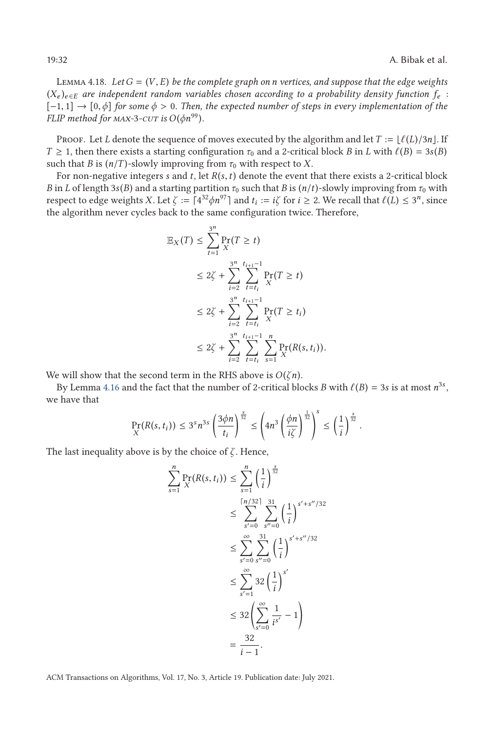Lemma 4.18. *Let<sup>G</sup>* <sup>=</sup> (*V*, *<sup>E</sup>*) *be the complete graph on <sup>n</sup> vertices, and suppose that the edge weights*  $(X_e)_{e \in E}$  are independent random variables chosen according to a probability density function  $f_e$ : [−1, 1] <sup>→</sup> [0,*ϕ*] *for some <sup>ϕ</sup>* > <sup>0</sup>*. Then, the expected number of steps in every implementation of the FLIP method for MAX-3-CUT is*  $O(\phi n^{99})$ *.* 

Proof. Let *L* denote the sequence of moves executed by the algorithm and let  $T := \lfloor \ell(L)/3n \rfloor$ . If *T*  $\geq$  1, then there exists a starting configuration  $\tau_0$  and a 2-critical block *B* in *L* with  $\ell(B) = 3s(B)$  such that *B* is  $(n/T)$ -slowly improving from  $\tau_2$  with respect to *Y* such that *B* is  $(n/T)$ -slowly improving from  $\tau_0$  with respect to *X*.

For non-negative integers *<sup>s</sup>* and *<sup>t</sup>*, let *<sup>R</sup>*(*s*,*t*) denote the event that there exists a 2-critical block *B* in *L* of length 3*s*(*B*) and a starting partition  $\tau_0$  such that *B* is  $(n/t)$ -slowly improving from  $\tau_0$  with respect to edge weights *X*. Let  $\zeta := \lceil 4^{32} \phi n^{97} \rceil$  and  $t_i := i\zeta$  for  $i \geq 2$ . We recall that  $\ell(L) \leq 3^n$ , since the algorithm never cycles back to the same configuration twice. Therefore the algorithm never cycles back to the same configuration twice. Therefore,

$$
\mathbb{E}_X(T) \le \sum_{t=1}^{3^n} \Pr_{X}(T \ge t)
$$
\n
$$
\le 2\zeta + \sum_{i=2}^{3^n} \sum_{t=t_i}^{t_{i+1}-1} \Pr_{X}(T \ge t)
$$
\n
$$
\le 2\zeta + \sum_{i=2}^{3^n} \sum_{t=t_i}^{t_{i+1}-1} \Pr_{X}(T \ge t_i)
$$
\n
$$
\le 2\zeta + \sum_{i=2}^{3^n} \sum_{t=t_i}^{t_{i+1}-1} \sum_{s=1}^n \Pr_{X}(R(s, t_i)).
$$

We will show that the second term in the RHS above is *O*(*ζ n*).

By Lemma [4.16](#page-29-0) and the fact that the number of 2-critical blocks *B* with  $\ell(B) = 3s$  is at most  $n^{3s}$ , we have that

$$
\Pr_X(R(s,t_i)) \leq 3^s n^{3s} \left(\frac{3\phi n}{t_i}\right)^{\frac{s}{32}} \leq \left(4n^3 \left(\frac{\phi n}{i\zeta}\right)^{\frac{1}{32}}\right)^s \leq \left(\frac{1}{i}\right)^{\frac{s}{32}}.
$$

The last inequality above is by the choice of *ζ* . Hence,

$$
\sum_{s=1}^{n} \Pr_{X}(R(s, t_i)) \leq \sum_{s=1}^{n} \left(\frac{1}{i}\right)^{\frac{s}{32}} \\
\leq \sum_{s'=0}^{\lceil n/32 \rceil} \sum_{s''=0}^{31} \left(\frac{1}{i}\right)^{s'+s''/32} \\
\leq \sum_{s'=0}^{\infty} \sum_{s''=0}^{31} \left(\frac{1}{i}\right)^{s'+s''/32} \\
\leq \sum_{s'=1}^{\infty} 32 \left(\frac{1}{i}\right)^{s'} \\
\leq 32 \left(\sum_{s'=0}^{\infty} \frac{1}{i^{s'}} - 1\right) \\
= \frac{32}{i-1}.
$$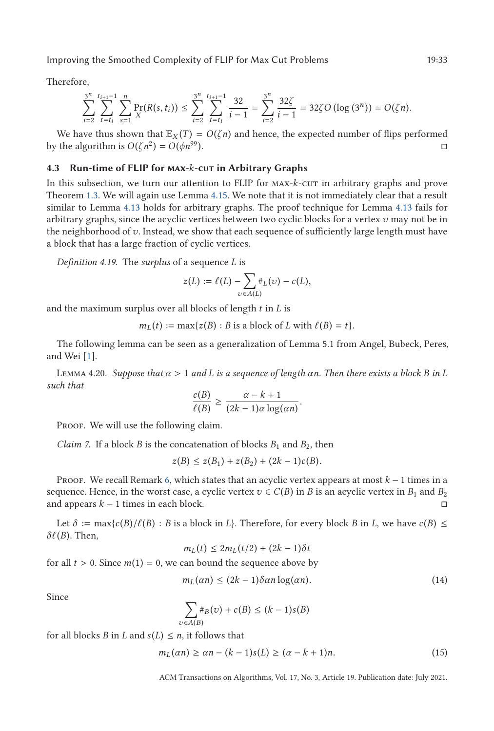<span id="page-32-0"></span>Therefore,

$$
\sum_{i=2}^{3^n} \sum_{t=t_i}^{t_{i+1}-1} \sum_{s=1}^n \Pr_{X}(R(s, t_i)) \leq \sum_{i=2}^{3^n} \sum_{t=t_i}^{t_{i+1}-1} \frac{32}{i-1} = \sum_{i=2}^{3^n} \frac{32\zeta}{i-1} = 32\zeta O\left(\log\left(3^n\right)\right) = O(\zeta n).
$$

We have thus shown that  $\mathbb{E}_X(T) = O(\zeta n)$  and hence, the expected number of flips performed by the algorithm is  $O(\zeta n^2) = O(\phi n^{99})$ .

### **4.3 Run-time of FLIP for max-***k***-cut in Arbitrary Graphs**

In this subsection, we turn our attention to FLIP for MAX- $k$ -cut in arbitrary graphs and prove Theorem [1.3.](#page-3-0) We will again use Lemma [4.15.](#page-29-0) We note that it is not immediately clear that a result similar to Lemma [4.13](#page-27-0) holds for arbitrary graphs. The proof technique for Lemma [4.13](#page-27-0) fails for arbitrary graphs, since the acyclic vertices between two cyclic blocks for a vertex *v* may not be in the neighborhood of *v*. Instead, we show that each sequence of sufficiently large length must have a block that has a large fraction of cyclic vertices.

*Definition 4.19.* The *surplus* of a sequence *L* is

$$
z(L) := \ell(L) - \sum_{v \in A(L)} \#_L(v) - c(L),
$$

and the maximum surplus over all blocks of length *t* in *L* is

 $m_L(t) := \max\{z(B) : B \text{ is a block of } L \text{ with } \ell(B) = t\}.$ 

The following lemma can be seen as a generalization of Lemma 5.1 from Angel, Bubeck, Peres, and Wei [\[1\]](#page-37-0).

LEMMA 4.20. *Suppose that*  $α$  > 1 *and L* is a sequence of length  $αn$ *. Then there exists a block B* in *L* such that *such that <sup>c</sup>*(*B*)

$$
\frac{c(B)}{\ell(B)} \ge \frac{\alpha - k + 1}{(2k - 1)\alpha \log(\alpha n)}.
$$

PROOF. We will use the following claim.

*Claim 7.* If a block *B* is the concatenation of blocks  $B_1$  and  $B_2$ , then

$$
z(B) \leq z(B_1) + z(B_2) + (2k - 1)c(B).
$$

Proof. We recall Remark [6,](#page-21-0) which states that an acyclic vertex appears at most *k* − 1 times in a sequence. Hence, in the worst case, a cyclic vertex  $v \in C(B)$  in *B* is an acyclic vertex in  $B_1$  and  $B_2$ and appears *k* − 1 times in each block. -

Let  $\delta := \max\{c(B)/\ell(B) : B \text{ is a block in } L\}$ . Therefore, for every block *B* in *L*, we have  $c(B) \le$  (*B*) Then  $\delta\ell$ (*B*). Then,

$$
m_L(t) \le 2m_L(t/2) + (2k - 1)\delta t
$$

for all  $t > 0$ . Since  $m(1) = 0$ , we can bound the sequence above by

$$
m_L(\alpha n) \le (2k - 1)\delta \alpha n \log(\alpha n). \tag{14}
$$

Since

$$
\sum_{v \in A(B)} \#_B(v) + c(B) \le (k-1)s(B)
$$

for all blocks *B* in *L* and  $s(L) \leq n$ , it follows that

$$
m_L(\alpha n) \ge \alpha n - (k-1)s(L) \ge (\alpha - k + 1)n. \tag{15}
$$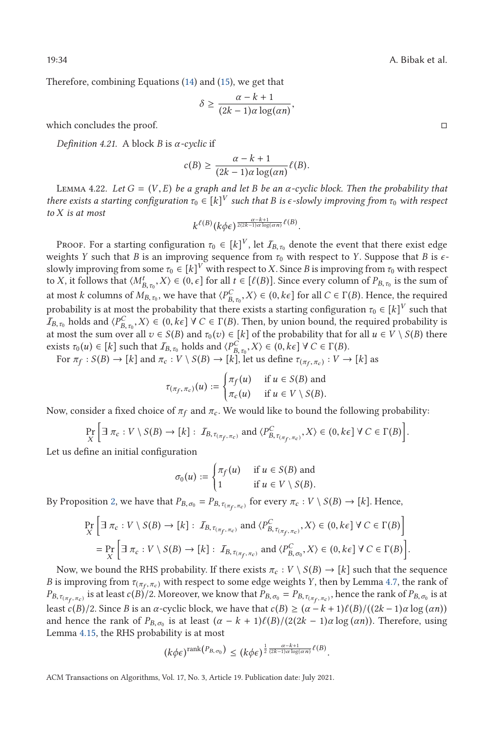Therefore, combining Equations [\(14\)](#page-32-0) and [\(15\)](#page-32-0), we get that

$$
\delta \ge \frac{\alpha - k + 1}{(2k - 1)\alpha \log(\alpha n)},
$$

which concludes the proof.

*Definition 4.21.* A block *B* is *α-cyclic* if

$$
c(B) \ge \frac{\alpha - k + 1}{(2k - 1)\alpha \log(\alpha n)} \ell(B).
$$

LEMMA 4.22. Let  $G = (V, E)$  be a graph and let B be an  $\alpha$ -cyclic block. Then the probability that *there exists a starting configuration*  $\tau_0 \in [k]^V$  *such that B is*  $\epsilon$ *-slowly improving from*  $\tau_0$  *with respect to X is at most*

$$
k^{\ell(B)}(k\phi\epsilon)^{\frac{\alpha-k+1}{2(2k-1)\alpha\log(\alpha n)}\ell(B)}
$$

PROOF. For a starting configuration  $\tau_0 \in [k]^V$ , let  $I_{B,\tau_0}$  denote the event that there exist edge<br>is the *V* such that *B* is an improving assumes from  $\tau$  with respect to *V* Suppose that *B* is a weights *Y* such that *B* is an improving sequence from *τ*<sup>0</sup> with respect to *Y*. Suppose that *B* is *ϵ*slowly improving from some  $\tau_0 \in [k]^V$  with respect to *X*. Since *B* is improving from  $\tau_0$  with respect to *X*, it follows that  $\langle M^t_{B,\tau_0}, X \rangle \in (0, \epsilon]$  for all  $t \in [\ell(B)]$ . Since every column of  $P_{B,\tau_0}$  is the sum of  $\lambda$  and such a sum of  $\lambda$  and such a sum of  $\lambda$ at most *k* columns of  $M_{B,\tau_0}$ , we have that  $\langle P_{B,\tau_0}^C, X \rangle \in (0, k\epsilon]$  for all  $C \in \Gamma(B)$ . Hence, the required at most *k* columns of  $M_{B,\tau_0}$ , we have that  $\langle P_{B,\tau_0}^C, X \rangle \in (0, k\epsilon]$  for all  $C \in \Gamma(B)$ . Hence, the *<sup>B</sup>*,*τ*<sup>0</sup> probability is at most the probability that there exists a starting configuration *τ*<sup>0</sup> ∈ [*k*] *<sup>V</sup>* such that  $I_{B,\tau_0}$  holds and  $\langle P_{B,\tau_0}^C, X \rangle \in (0, k\epsilon]$   $\forall C \in \Gamma(B)$ . Then, by union bound, the required probability is  $B_{B,\tau_0}$  holds and  $\forall B_{B,\tau_0}, X \in (0, \kappa \epsilon]$   $\forall c \in (B)$ . Then, by allow bound, the required probability is at most the sum over all  $v \in S(B)$  and  $\tau_0(v) \in [k]$  of the probability that for all  $u \in V \setminus S(B)$  there exists  $\tau_0(u) \in [k]$  such that  $I_{B, \tau_0}$  holds and  $\langle P_{B, \tau_0}^C, X \rangle \in (0, k\epsilon] \forall C \in \Gamma(B)$ .<br>For  $\pi_{\epsilon} : S(B) \to [k]$  and  $\pi_{\epsilon} : V \to S(B) \to [k]$  let us define  $\pi_{\epsilon} : V$ .

For  $\pi_f : S(B) \to [k]$  and  $\pi_c : V \setminus S(B) \to [k]$ , let us define  $\tau_{(\pi_f, \pi_c)} : V \to [k]$  as

$$
\tau_{(\pi_f, \pi_c)}(u) := \begin{cases} \pi_f(u) & \text{if } u \in S(B) \text{ and} \\ \pi_c(u) & \text{if } u \in V \setminus S(B). \end{cases}
$$

Now, consider a fixed choice of  $\pi_f$  and  $\pi_c$ . We would like to bound the following probability:

Pr *X*  $\left[\exists \pi_c : V \setminus S(B) \to [k] : I_{B, \tau_{(\pi_f, \pi_c)}} \text{ and } \langle P_{B, \tau_{(\pi_f, \pi_c)}}^C, X \rangle \in (0, k\epsilon] \ \forall \ C \in \Gamma(B) \right]$  $\overline{1}$ 

Let us define an initial configuration

$$
\sigma_0(u) := \begin{cases} \pi_f(u) & \text{if } u \in S(B) \text{ and} \\ 1 & \text{if } u \in V \setminus S(B). \end{cases}
$$

By Proposition [2,](#page-21-0) we have that  $P_{B,\,\sigma_0} = P_{B,\,\tau_{(\pi_f,\,\pi_c)}}$  for every  $\pi_c: V \setminus S(B) \to [k]$ . Hence,

$$
\Pr_{X} \left[ \exists \pi_c : V \setminus S(B) \to [k] : I_{B, \tau_{(\pi_f, \pi_c)}} \text{ and } \langle P_{B, \tau_{(\pi_f, \pi_c)}}^C, X \rangle \in (0, k \epsilon] \ \forall \ C \in \Gamma(B) \right]
$$
\n
$$
= \Pr_{X} \left[ \exists \ \pi_c : V \setminus S(B) \to [k] : I_{B, \tau_{(\pi_f, \pi_c)}} \text{ and } \langle P_{B, \sigma_0}^C, X \rangle \in (0, k \epsilon] \ \forall \ C \in \Gamma(B) \right]
$$

Now, we bound the RHS probability. If there exists  $\pi_c : V \setminus S(B) \to [k]$  such that the sequence *B* is improving from  $\tau_{(\pi_f, \pi_c)}$  with respect to some edge weights *Y*, then by Lemma [4.7,](#page-23-0) the rank of  $P_{B,\tau_{(\pi_{\epsilon},\pi_{c})}}$  is at least  $c(B)/2$ . Moreover, we know that  $P_{B,\sigma_{0}} = P_{B,\tau_{(\pi_{\epsilon},\pi_{c})}}$ , hence the rank of  $P_{B,\sigma_{0}}$  is at least *c*(*B*)/2. Since *B* is an *α*-cyclic block, we have that *c*(*B*) ≥ (*α* − *k* + 1) $\ell$ (*B*)/((2*k* − 1)*α* log (*αn*)) <br>and hence the rank of *P<sub>p</sub>* is at least (*α* − *k* + 1) $\ell$ (*B*)/(2(2*k* − 1)α log(*αn*)) and hence the rank of  $P_{B,\sigma_0}$  is at least  $(\alpha - k + 1)\ell(B)/(2(2k - 1)\alpha \log(\alpha n))$ . Therefore, using Lemma 4.15, the RHS probability is at most Lemma [4.15,](#page-29-0) the RHS probability is at most

$$
(k\phi\epsilon)^{\text{rank}(P_{B,\sigma_0})} \le (k\phi\epsilon)^{\frac{1}{2}\frac{\alpha-k+1}{(2k-1)\alpha\log(\alpha n)}}\ell^{(B)}
$$

ACM Transactions on Algorithms, Vol. 17, No. 3, Article 19. Publication date: July 2021.

<span id="page-33-0"></span>

 $\Box$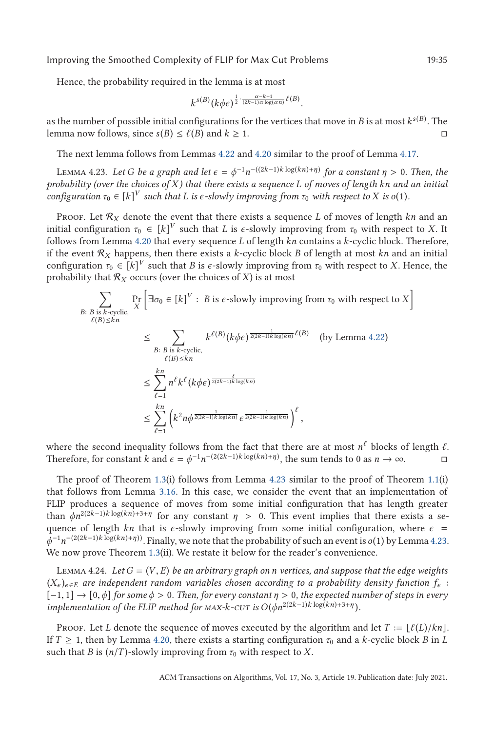Hence, the probability required in the lemma is at most

$$
k^{s(B)}(k\phi\epsilon)^{\frac{1}{2}\cdot\frac{\alpha-k+1}{(2k-1)\alpha\log(\alpha n)}\ell(B)}
$$

as the number of possible initial configurations for the vertices that move in *B* is at most  $k^{s(B)}$  . The lemma now follows, since *s*(*B*) ≤  $\ell$ (*B*) and *k* ≥ 1.  $\Box$ 

The next lemma follows from Lemmas [4.22](#page-33-0) and [4.20](#page-32-0) similar to the proof of Lemma [4.17.](#page-30-0)

LEMMA 4.23. *Let G be a graph and let*  $\epsilon = \phi^{-1} n^{-(2k-1)k \log(kn)+η)}$  *for a constant*  $η > 0$ *. Then, the*<br>obability (over the choices of X) that there exists a sequence *L* of moves of length kn and an initial *probability (over the choices of X) that there exists a sequence L of moves of length kn and an initial configuration*  $\tau_0 \in [k]^V$  *such that L is*  $\epsilon$ -*slowly improving from*  $\tau_0$  *with respect to X is*  $o(1)$ *.* 

PROOF. Let  $R_X$  denote the event that there exists a sequence *L* of moves of length  $kn$  and an initial configuration  $\tau_0 \in [k]^V$  such that *L* is  $\epsilon$ -slowly improving from  $\tau_0$  with respect to *X*. It follows from Lemma [4.20](#page-32-0) that every sequence *L* of length *kn* contains a *k*-cyclic block. Therefore, if the event  $\mathcal{R}_X$  happens, then there exists a *k*-cyclic block *B* of length at most *kn* and an initial configuration  $\tau_0 \in [k]^V$  such that *B* is  $\epsilon$ -slowly improving from  $\tau_0$  with respect to *X*. Hence, the probability that  $\mathcal{R}_X$  occurs (over the choices of *X*) is at most

$$
\sum_{B: B \text{ is } k\text{-cyclic}, \atop \ell(B)\leq kn} \Pr\left[\exists \sigma_0 \in [k]^V : B \text{ is } \epsilon\text{-slowly improving from } \tau_0 \text{ with respect to } X\right]
$$
\n
$$
\leq \sum_{B: B \text{ is } k\text{-cyclic}, \atop \ell(B)\leq kn} k^{\ell(B)} (k\phi\epsilon)^{\frac{1}{2(2k-1)k\log(kn)}} \ell(B) \quad \text{(by Lemma 4.22)}
$$
\n
$$
\leq \sum_{\ell=1}^{kn} n^{\ell} k^{\ell} (k\phi\epsilon)^{\frac{\ell}{2(2k-1)k\log(kn)}}
$$
\n
$$
\leq \sum_{\ell=1}^{kn} \left(k^2 n\phi^{\frac{1}{2(2k-1)k\log(kn)}} \epsilon^{\frac{1}{2(2k-1)k\log(kn)}}\right)^{\ell},
$$

where the second inequality follows from the fact that there are at most  $n^{\ell}$  blocks of length  $\ell$ .<br>Therefore for constant  $k$  and  $\epsilon = \phi^{-1}n^{-(2(2k-1)k \log(kn)+\eta)}$  the sum tends to 0.38  $n \to \infty$ Therefore, for constant *k* and  $\epsilon = \phi^{-1} n^{-(2(2k-1)k \log(kn)+\eta)}$ , the sum tends to 0 as  $n \to \infty$ .

The proof of Theorem [1.3\(](#page-3-0)i) follows from Lemma 4.23 similar to the proof of Theorem [1.1\(](#page-2-0)i) that follows from Lemma [3.16.](#page-15-0) In this case, we consider the event that an implementation of FLIP produces a sequence of moves from some initial configuration that has length greater than  $\phi n^{2(2k-1)k \log(kn)+3+\eta}$  for any constant  $\eta > 0$ . This event implies that there exists a sequence of length *kn* that is  $\epsilon$ -slowly improving from some initial configuration, where  $\epsilon$  = *ϕ*−<sup>1</sup> *n*−(2(2*k*−1)*<sup>k</sup>* log(*kn*)+*η*)). Finally, we note that the probability of such an event is *o*(1) by Lemma 4.23. We now prove Theorem [1.3\(](#page-3-0)ii). We restate it below for the reader's convenience.

Lemma 4.24. *Let<sup>G</sup>* <sup>=</sup> (*V*, *<sup>E</sup>*) *be an arbitrary graph on <sup>n</sup> vertices, and suppose that the edge weights*  $(X_e)_{e \in E}$  are independent random variables chosen according to a probability density function  $f_e$ : [−1, 1] <sup>→</sup> [0,*ϕ*] *for some <sup>ϕ</sup>* > <sup>0</sup>*. Then, for every constant <sup>η</sup>* > <sup>0</sup>*, the expected number of steps in every implementation of the FLIP method for MAX-* $k$ *-CUT is*  $O(\phi n^{2(2k-1)k \log(kn)+3+\eta})$ *.* 

Proof. Let *L* denote the sequence of moves executed by the algorithm and let  $T := \lfloor \ell(L)/kn \rfloor$ .<br> $T > 1$  then by Lemma 4.20, there exists a starting configuration  $\tau_2$  and a *k*-cyclic block *B* in *L* If  $T \geq 1$ , then by Lemma [4.20,](#page-32-0) there exists a starting configuration  $\tau_0$  and a *k*-cyclic block *B* in *L* such that *B* is  $(n/T)$ -slowly improving from  $\tau_0$  with respect to *X*.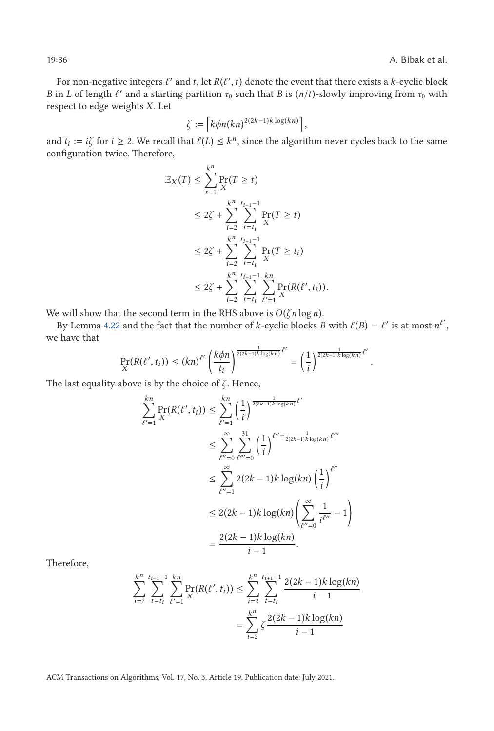For non-negative integers  $\ell'$  and *t*, let  $R(\ell', t)$  denote the event that there exists a *k*-cyclic block<br>in *I* of length  $\ell'$  and a starting partition  $\tau_s$  such that *B* is  $(n/t)$ -slowly improving from  $\tau_s$  with *B* in *L* of length  $\ell'$  and a starting partition  $\tau_0$  such that *B* is  $(n/t)$ -slowly improving from  $\tau_0$  with respect to edge weights *X* Let respect to edge weights *X*. Let

$$
\zeta := \left\lceil k \phi n (kn)^{2(2k-1)k \log(kn)} \right\rceil,
$$

and  $t_i := i\zeta$  for  $i \ge 2$ . We recall that  $\ell(L) \le k^n$ , since the algorithm never cycles back to the same configuration twice. Therefore configuration twice. Therefore,

$$
\mathbb{E}_{X}(T) \leq \sum_{t=1}^{k^{n}} \Pr_{X}(T \geq t)
$$
\n
$$
\leq 2\zeta + \sum_{i=2}^{k^{n}} \sum_{t=t_{i}}^{t_{i+1}-1} \Pr_{X}(T \geq t)
$$
\n
$$
\leq 2\zeta + \sum_{i=2}^{k^{n}} \sum_{t=t_{i}}^{t_{i+1}-1} \Pr_{X}(T \geq t_{i})
$$
\n
$$
\leq 2\zeta + \sum_{i=2}^{k^{n}} \sum_{t=t_{i}}^{t_{i+1}-1} \sum_{\ell'=1}^{k^{n}} \Pr_{X}(R(\ell', t_{i})).
$$

We will show that the second term in the RHS above is  $O(\zeta n \log n)$ .

By Lemma [4.22](#page-33-0) and the fact that the number of *k*-cyclic blocks *B* with  $\ell(B) = \ell'$  is at most  $n^{\ell'}$ , we have that

$$
\Pr_{X}(R(\ell',t_i)) \leq (kn)^{\ell'} \left(\frac{k\phi n}{t_i}\right)^{\frac{1}{2(2k-1)k\log(kn)}\ell'} = \left(\frac{1}{i}\right)^{\frac{1}{2(2k-1)k\log(kn)}\ell'}
$$

The last equality above is by the choice of *ζ* . Hence,

$$
\sum_{\ell'=1}^{kn} \Pr(R(\ell', t_i)) \le \sum_{\ell'=1}^{kn} \left(\frac{1}{i}\right)^{\frac{1}{2(2k-1)k \log(kn)} \ell'}
$$
  

$$
\le \sum_{\ell''=0}^{\infty} \sum_{\ell'''=0}^{31} \left(\frac{1}{i}\right)^{\ell'' + \frac{1}{2(2k-1)k \log(kn)} \ell'''}
$$
  

$$
\le \sum_{\ell''=1}^{\infty} 2(2k-1)k \log(kn) \left(\frac{1}{i}\right)^{\ell''}
$$
  

$$
\le 2(2k-1)k \log(kn) \left(\sum_{\ell''=0}^{\infty} \frac{1}{i\ell''} - 1\right)
$$
  

$$
= \frac{2(2k-1)k \log(kn)}{i-1}.
$$

Therefore,

$$
\sum_{i=2}^{k^n} \sum_{t=t_i}^{t_{i+1}-1} \sum_{\ell'=1}^{kn} \Pr_{X}(R(\ell', t_i)) \le \sum_{i=2}^{k^n} \sum_{t=t_i}^{t_{i+1}-1} \frac{2(2k-1)k \log(kn)}{i-1}
$$

$$
= \sum_{i=2}^{k^n} \zeta \frac{2(2k-1)k \log(kn)}{i-1}
$$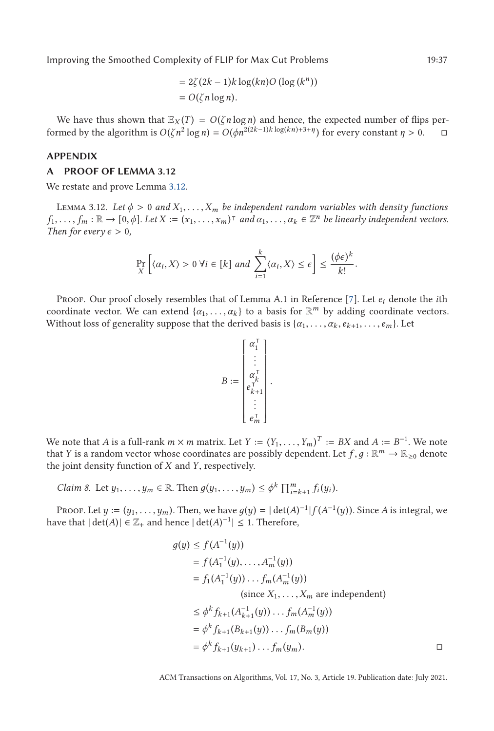$$
= 2\zeta(2k-1)k\log(kn)O(\log(k^n))
$$
  
= O( $\zeta n \log n$ ).

<span id="page-36-0"></span>We have thus shown that  $\mathbb{E}_X(T) = O(\zeta n \log n)$  and hence, the expected number of flips performed by the algorithm is  $O(\zeta n^2 \log n) = O(\phi n^{2(2k-1)k \log(kn)+3+\eta})$  for every constant  $\eta > 0$ .  $\Box$ 

### **APPENDIX**

### **A PROOF OF LEMMA 3.12**

We restate and prove Lemma [3.12.](#page-13-0)

LEMMA 3.12. Let  $\phi > 0$  and  $X_1, \ldots, X_m$  be independent random variables with density functions  $f_1, \ldots, f_m : \mathbb{R} \to [0, \phi]$ . Let  $X := (x_1, \ldots, x_m)^\intercal$  and  $\alpha_1, \ldots, \alpha_k \in \mathbb{Z}^n$  be linearly independent vectors. *Then for every*  $\epsilon > 0$ *,* 

$$
\Pr_{X}\left[\langle \alpha_i, X\rangle > 0 \,\forall i \in [k] \text{ and } \sum_{i=1}^{k} \langle \alpha_i, X\rangle \le \epsilon\right] \le \frac{(\phi\epsilon)^k}{k!}.
$$

Proof. Our proof closely resembles that of Lemma A.1 in Reference [\[7\]](#page-37-0). Let *e<sup>i</sup>* denote the *i*th coordinate vector. We can extend  $\{\alpha_1, \ldots, \alpha_k\}$  to a basis for  $\mathbb{R}^m$  by adding coordinate vectors. Without loss of generality suppose that the derived basis is  $\{\alpha_1, \ldots, \alpha_k, e_{k+1}, \ldots, e_m\}$ . Let

$$
B:=\left[\begin{matrix}\alpha_1^\mathsf{T}\\ \vdots\\ \alpha_{k}^\mathsf{T}\\ \alpha_{k+1}^\mathsf{T}\\ \vdots\\ \alpha_{m}^\mathsf{T}\end{matrix}\right].
$$

We note that *A* is a full-rank  $m \times m$  matrix. Let  $Y := (Y_1, \ldots, Y_m)^T := BX$  and  $A := B^{-1}$ . We note that *Y* is a random vector whose coordinates are possibly dependent. Let  $f \circ R \times \mathbb{R}^m \to \mathbb{R}$ , a denote that *Y* is a random vector whose coordinates are possibly dependent. Let  $f, g : \mathbb{R}^m \to \mathbb{R}_{\geq 0}$  denote the joint density function of *<sup>X</sup>* and *<sup>Y</sup>*, respectively.

*Claim 8.* Let  $y_1, ..., y_m \in \mathbb{R}$ . Then  $g(y_1, ..., y_m) \leq \phi^k \prod_{i=k+1}^m f_i(y_i)$ .

PROOF. Let  $y := (y_1, \ldots, y_m)$ . Then, we have  $g(y) = |\det(A)^{-1}| f(A^{-1}(y))$ . Since *A* is integral, we that  $|\det(A)| \in \mathbb{Z}$ , and hence  $|\det(A)^{-1}| < 1$ . Therefore have that  $|\det(A)| \in \mathbb{Z}_+$  and hence  $|\det(A)^{-1}| \leq 1$ . Therefore,

$$
g(y) \le f(A^{-1}(y))
$$
  
=  $f(A_1^{-1}(y),..., A_m^{-1}(y))$   
=  $f_1(A_1^{-1}(y))... f_m(A_m^{-1}(y))$   
(since  $X_1,..., X_m$  are independent)  
 $\le \phi^k f_{k+1}(A_{k+1}^{-1}(y))... f_m(A_m^{-1}(y))$   
=  $\phi^k f_{k+1}(B_{k+1}(y))... f_m(B_m(y))$   
=  $\phi^k f_{k+1}(y_{k+1})... f_m(y_m).$ 

ACM Transactions on Algorithms, Vol. 17, No. 3, Article 19. Publication date: July 2021.

 $\Box$